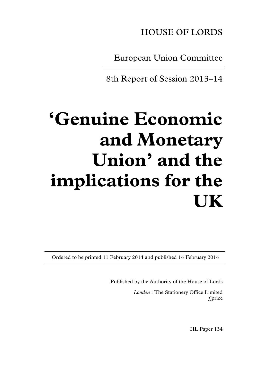HOUSE OF LORDS

European Union Committee

8th Report of Session 2013–14

# **'Genuine Economic and Monetary Union' and the implications for the UK**

Ordered to be printed 11 February 2014 and published 14 February 2014

Published by the Authority of the House of Lords

*London* : The Stationery Office Limited £price

HL Paper 134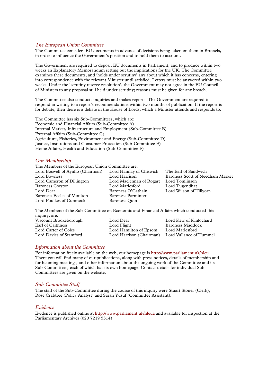# *The European Union Committee*

The Committee considers EU documents in advance of decisions being taken on them in Brussels, in order to influence the Government's position and to hold them to account.

The Government are required to deposit EU documents in Parliament, and to produce within two weeks an Explanatory Memorandum setting out the implications for the UK. The Committee examines these documents, and 'holds under scrutiny' any about which it has concerns, entering into correspondence with the relevant Minister until satisfied. Letters must be answered within two weeks. Under the 'scrutiny reserve resolution', the Government may not agree in the EU Council of Ministers to any proposal still held under scrutiny; reasons must be given for any breach.

The Committee also conducts inquiries and makes reports. The Government are required to respond in writing to a report's recommendations within two months of publication. If the report is for debate, then there is a debate in the House of Lords, which a Minister attends and responds to.

The Committee has six Sub-Committees, which are: Economic and Financial Affairs (Sub-Committee A) Internal Market, Infrastructure and Employment (Sub-Committee B) External Affairs (Sub-Committee C) Agriculture, Fisheries, Environment and Energy (Sub-Committee D) Justice, Institutions and Consumer Protection (Sub-Committee E) Home Affairs, Health and Education (Sub-Committee F)

#### *Our Membership*

The Members of the European Union Committee are: Lord Boswell of Aynho (Chairman) Lord Hannay of Chiswick The Earl of Sandwich Lord Bowness Lord Harrison Baroness Scott of Needham Market Lord Cameron of Dillington Lord Maclennan of Rogart Lord Tomlinson Baroness Corston Lord Marlesford Lord Tugendhat Lord Dear Baroness O'Cathain Lord Wilson of Tillyorn Baroness Eccles of Moulton Baroness Parminter Lord Foulkes of Cumnock Baroness Quin

The Members of the Sub-Committee on Economic and Financial Affairs which conducted this inquiry, are: Viscount Brookeborough Lord Dear Lord Kerr of Kinlochard Earl of Caithness<br>
Lord Flight
Baroness Maddock<br>
Lord Carter of Coles
Iord Hamilton of Epsom
Lord Marlesford Lord Carter of Coles Lord Hamilton of Epsom Lord Marlesford Lord Harrison (Chairman)

# *Information about the Committee*

For information freely available on the web, our homepage i[s http://www.parliament.uk/hleu](http://www.parliament.uk/hleu) There you will find many of our publications, along with press notices, details of membership and forthcoming meetings, and other information about the ongoing work of the Committee and its Sub-Committees, each of which has its own homepage. Contact details for individual Sub-Committees are given on the website.

#### *Sub-Committee Staff*

The staff of the Sub-Committee during the course of this inquiry were Stuart Stoner (Clerk), Rose Crabtree (Policy Analyst) and Sarah Yusuf (Committee Assistant).

#### *Evidence*

Evidence is published online at<http://www.parliament.uk/hleua> and available for inspection at the Parliamentary Archives (020 7219 5314)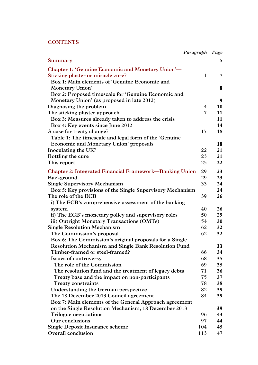# **CONTENTS**

| Paragraph                                                            | Page |
|----------------------------------------------------------------------|------|
| Summary                                                              | 5    |
| <b>Chapter 1: 'Genuine Economic and Monetary Union'—</b>             |      |
| Sticking plaster or miracle cure?<br>$\mathbf{1}$                    | 7    |
| Box 1: Main elements of 'Genuine Economic and                        |      |
| <b>Monetary Union'</b>                                               | 8    |
| Box 2: Proposed timescale for 'Genuine Economic and                  |      |
| Monetary Union' (as proposed in late 2012)                           | 9    |
| Diagnosing the problem<br>4                                          | 10   |
| 7<br>The sticking plaster approach                                   | 11   |
| Box 3: Measures already taken to address the crisis                  | 11   |
| Box 4: Key events since June 2012                                    | 14   |
| A case for treaty change?<br>17                                      | 18   |
| Table 1: The timescale and legal form of the 'Genuine                |      |
| <b>Economic and Monetary Union' proposals</b>                        | 18   |
| 22<br>Inoculating the UK?                                            | 21   |
| 23<br>Bottling the cure                                              | 21   |
| This report<br>25                                                    | 22   |
|                                                                      |      |
| 29<br><b>Chapter 2: Integrated Financial Framework—Banking Union</b> | 23   |
| 29<br>Background                                                     | 23   |
| 33<br><b>Single Supervisory Mechanism</b>                            | 24   |
| Box 5: Key provisions of the Single Supervisory Mechanism            | 24   |
| The role of the ECB<br>39                                            | 26   |
| i) The ECB's comprehensive assessment of the banking                 |      |
| 40<br>system                                                         | 26   |
| ii) The ECB's monetary policy and supervisory roles<br>50            | 29   |
| iii) Outright Monetary Transactions (OMTs)<br>54                     | 30   |
| 62<br><b>Single Resolution Mechanism</b>                             | 32   |
| The Commission's proposal<br>62                                      | 32   |
| Box 6: The Commission's original proposals for a Single              |      |
| <b>Resolution Mechanism and Single Bank Resolution Fund</b>          | 33   |
| Timber-framed or steel-framed?<br>66                                 | 34   |
| <b>Issues of controversy</b><br>68                                   | 35   |
| The role of the Commission<br>69                                     | 35   |
| The resolution fund and the treatment of legacy debts<br>71          | 36   |
| 75<br>Treaty base and the impact on non-participants                 | 37   |
| <b>Treaty constraints</b><br>78                                      | 38   |
| 82<br>Understanding the German perspective                           | 39   |
| The 18 December 2013 Council agreement<br>84                         | 39   |
| Box 7: Main elements of the General Approach agreement               |      |
| on the Single Resolution Mechanism, 18 December 2013                 | 39   |
| <b>Trilogue negotiations</b><br>96                                   | 43   |
| Our conclusions<br>97                                                | 44   |
| <b>Single Deposit Insurance scheme</b><br>104                        | 45   |
| Overall conclusion<br>113                                            | 47   |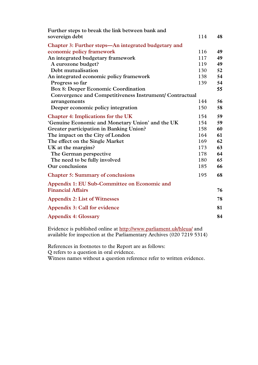| Further steps to break the link between bank and        |     |    |
|---------------------------------------------------------|-----|----|
| sovereign debt                                          | 114 | 48 |
| Chapter 3: Further steps-An integrated budgetary and    |     |    |
| economic policy framework                               | 116 | 49 |
| An integrated budgetary framework                       | 117 | 49 |
| A eurozone budget?                                      | 119 | 49 |
| Debt mutualisation                                      | 130 | 52 |
| An integrated economic policy framework                 | 138 | 54 |
| Progress so far                                         | 139 | 54 |
| <b>Box 8: Deeper Economic Coordination</b>              |     | 55 |
| Convergence and Competitiveness Instrument/ Contractual |     |    |
| arrangements                                            | 144 | 56 |
| Deeper economic policy integration                      | 150 | 58 |
| <b>Chapter 4: Implications for the UK</b>               | 154 | 59 |
| 'Genuine Economic and Monetary Union' and the UK        | 154 | 59 |
| Greater participation in Banking Union?                 | 158 | 60 |
| The impact on the City of London                        | 164 | 61 |
| The effect on the Single Market                         | 169 | 62 |
| UK at the margins?                                      | 173 | 63 |
| The German perspective                                  | 178 | 64 |
| The need to be fully involved                           | 180 | 65 |
| Our conclusions                                         | 185 | 66 |
| <b>Chapter 5: Summary of conclusions</b>                | 195 | 68 |
| Appendix 1: EU Sub-Committee on Economic and            |     |    |
| <b>Financial Affairs</b>                                |     | 76 |
| <b>Appendix 2: List of Witnesses</b>                    |     | 78 |
| Appendix 3: Call for evidence                           |     | 81 |
| <b>Appendix 4: Glossary</b>                             |     | 84 |

Evidence is published online at<http://www.parliament.uk/hleua/> and available for inspection at the Parliamentary Archives (020 7219 5314)

References in footnotes to the Report are as follows: Q refers to a question in oral evidence.

Witness names without a question reference refer to written evidence.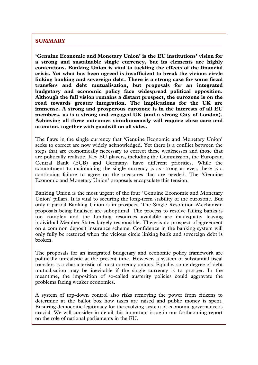# **SUMMARY**

**'Genuine Economic and Monetary Union' is the EU institutions' vision for a strong and sustainable single currency, but its elements are highly contentious. Banking Union is vital to tackling the effects of the financial crisis. Yet what has been agreed is insufficient to break the vicious circle linking banking and sovereign debt. There is a strong case for some fiscal transfers and debt mutualisation, but proposals for an integrated budgetary and economic policy face widespread political opposition. Although the full vision remains a distant prospect, the eurozone is on the road towards greater integration. The implications for the UK are immense. A strong and prosperous eurozone is in the interests of all EU members, as is a strong and engaged UK (and a strong City of London). Achieving all three outcomes simultaneously will require close care and attention, together with goodwill on all sides.**

The flaws in the single currency that 'Genuine Economic and Monetary Union' seeks to correct are now widely acknowledged. Yet there is a conflict between the steps that are economically necessary to correct these weaknesses and those that are politically realistic. Key EU players, including the Commission, the European Central Bank (ECB) and Germany, have different priorities. While the commitment to maintaining the single currency is as strong as ever, there is a continuing failure to agree on the measures that are needed. The 'Genuine Economic and Monetary Union' proposals encapsulate this tension.

Banking Union is the most urgent of the four 'Genuine Economic and Monetary Union' pillars. It is vital to securing the long-term stability of the eurozone. But only a partial Banking Union is in prospect. The Single Resolution Mechanism proposals being finalised are suboptimal. The process to resolve failing banks is too complex and the funding resources available are inadequate, leaving individual Member States largely responsible. There is no prospect of agreement on a common deposit insurance scheme. Confidence in the banking system will only fully be restored when the vicious circle linking bank and sovereign debt is broken.

The proposals for an integrated budgetary and economic policy framework are politically unrealistic at the present time. However, a system of substantial fiscal transfers is a characteristic of most currency unions. Equally, some degree of debt mutualisation may be inevitable if the single currency is to prosper. In the meantime, the imposition of so-called austerity policies could aggravate the problems facing weaker economies.

A system of top-down control also risks removing the power from citizens to determine at the ballot box how taxes are raised and public money is spent. Ensuring democratic legitimacy for the evolving system of economic governance is crucial. We will consider in detail this important issue in our forthcoming report on the role of national parliaments in the EU.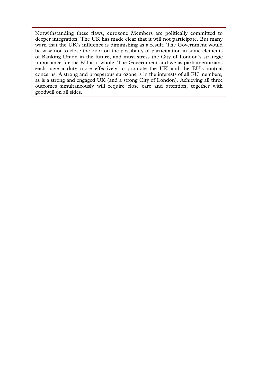Notwithstanding these flaws, eurozone Members are politically committed to deeper integration. The UK has made clear that it will not participate. But many warn that the UK's influence is diminishing as a result. The Government would be wise not to close the door on the possibility of participation in some elements of Banking Union in the future, and must stress the City of London's strategic importance for the EU as a whole. The Government and we as parliamentarians each have a duty more effectively to promote the UK and the EU's mutual concerns. A strong and prosperous eurozone is in the interests of all EU members, as is a strong and engaged UK (and a strong City of London). Achieving all three outcomes simultaneously will require close care and attention, together with goodwill on all sides.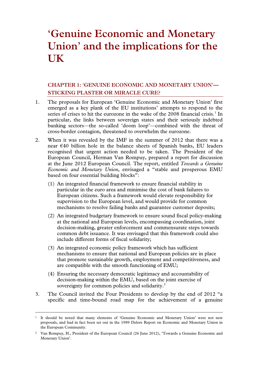# **'Genuine Economic and Monetary Union' and the implications for the UK**

# **CHAPTER 1: 'GENUINE ECONOMIC AND MONETARY UNION'— STICKING PLASTER OR MIRACLE CURE?**

- 1. The proposals for European 'Genuine Economic and Monetary Union' first emerged as a key plank of the EU institutions' attempts to respond to the series of crises to hit the eurozone in the wake of the 2008 financial crisis.<sup>[1](#page-6-0)</sup> In particular, the links between sovereign states and their seriously indebted banking sectors—the so-called 'doom loop'—combined with the threat of cross-border contagion, threatened to overwhelm the eurozone.
- 2. When it was revealed by the IMF in the summer of 2012 that there was a near €40 billion hole in the balance sheets of Spanish banks, EU leaders recognised that urgent action needed to be taken. The President of the European Council, Herman Van Rompuy, prepared a report for discussion at the June 2012 European Council. The report, entitled *Towards a Genuine Economic and Monetary Union*, envisaged a "stable and prosperous EMU based on four essential building blocks":
	- (1) An integrated financial framework to ensure financial stability in particular in the euro area and minimise the cost of bank failures to European citizens. Such a framework would elevate responsibility for supervision to the European level, and would provide for common mechanisms to resolve failing banks and guarantee customer deposits;
	- (2) An integrated budgetary framework to ensure sound fiscal policy-making at the national and European levels, encompassing coordination, joint decision-making, greater enforcement and commensurate steps towards common debt issuance. It was envisaged that this framework could also include different forms of fiscal solidarity;
	- (3) An integrated economic policy framework which has sufficient mechanisms to ensure that national and European policies are in place that promote sustainable growth, employment and competitiveness, and are compatible with the smooth functioning of EMU;
	- (4) Ensuring the necessary democratic legitimacy and accountability of decision-making within the EMU, based on the joint exercise of sovereignty for common policies and solidarity.<sup>[2](#page-6-1)</sup>
- 3. The Council invited the Four Presidents to develop by the end of 2012 "a specific and time-bound road map for the achievement of a genuine

<span id="page-6-0"></span> <sup>1</sup> It should be noted that many elements of 'Genuine Economic and Monetary Union' were not new proposals, and had in fact been set out in the 1989 Delors Report on Economic and Monetary Union in the European Community.

<span id="page-6-1"></span><sup>2</sup> Van Rompuy, H., President of the European Council (26 June 2012), 'Towards a Genuine Economic and Monetary Union'.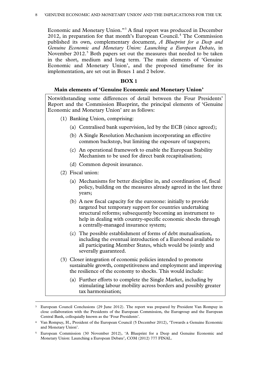Economic and Monetary Union."[3](#page-7-0) A final report was produced in December 2012, in preparation for that month's European Council.[4](#page-7-1) The Commission published its own, complementary document, *A Blueprint for a Deep and Genuine Economic and Monetary Union: Launching a European Debate*, in November 2012.<sup>[5](#page-7-2)</sup> Both papers set out the measures that needed to be taken in the short, medium and long term. The main elements of 'Genuine Economic and Monetary Union', and the proposed timeframe for its implementation, are set out in Boxes 1 and 2 below.

#### **BOX 1**

#### **Main elements of 'Genuine Economic and Monetary Union'**

Notwithstanding some differences of detail between the Four Presidents' Report and the Commission Blueprint, the principal elements of 'Genuine Economic and Monetary Union' are as follows:

- (1) Banking Union, comprising:
	- (a) Centralised bank supervision, led by the ECB (since agreed);
	- (b) A Single Resolution Mechanism incorporating an effective common backstop, but limiting the exposure of taxpayers;
	- (c) An operational framework to enable the European Stability Mechanism to be used for direct bank recapitalisation;
	- (d) Common deposit insurance.
- (2) Fiscal union:
	- (a) Mechanisms for better discipline in, and coordination of, fiscal policy, building on the measures already agreed in the last three years;
	- (b) A new fiscal capacity for the eurozone: initially to provide targeted but temporary support for countries undertaking structural reforms; subsequently becoming an instrument to help in dealing with country-specific economic shocks through a centrally-managed insurance system;
	- (c) The possible establishment of forms of debt mutualisation, including the eventual introduction of a Eurobond available to all participating Member States, which would be jointly and severally guaranteed.
- (3) Closer integration of economic policies intended to promote sustainable growth, competitiveness and employment and improving the resilience of the economy to shocks. This would include:
	- (a) Further efforts to complete the Single Market, including by stimulating labour mobility across borders and possibly greater tax harmonisation;

<span id="page-7-0"></span> <sup>3</sup> European Council Conclusions (29 June 2012). The report was prepared by President Van Rompuy in close collaboration with the Presidents of the European Commission, the Eurogroup and the European Central Bank, colloquially known as the 'Four Presidents'.

<span id="page-7-1"></span><sup>4</sup> Van Rompuy, H., President of the European Council (5 December 2012), 'Towards a Genuine Economic and Monetary Union'.

<span id="page-7-2"></span><sup>5</sup> European Commission (30 November 2012), 'A Blueprint for a Deep and Genuine Economic and Monetary Union: Launching a European Debate', COM (2012) 777 FINAL.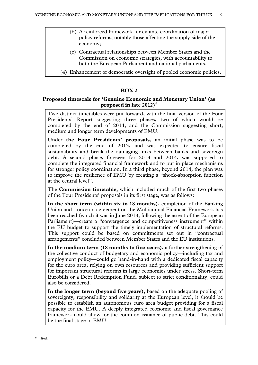- (b) A reinforced framework for ex-ante coordination of major policy reforms, notably those affecting the supply-side of the economy;
- (c) Contractual relationships between Member States and the Commission on economic strategies, with accountability to both the European Parliament and national parliaments.
- (4) Enhancement of democratic oversight of pooled economic policies.

# **BOX 2**

# **Proposed timescale for 'Genuine Economic and Monetary Union' (as proposed in late 2012)**[6](#page-8-0)

Two distinct timetables were put forward, with the final version of the Four Presidents' Report suggesting three phases, two of which would be completed by the end of 2014, and the Commission suggesting short, medium and longer term developments of EMU.

Under **the Four Presidents' proposals**, an initial phase was to be completed by the end of 2013, and was expected to ensure fiscal sustainability and break the damaging links between banks and sovereign debt. A second phase, foreseen for 2013 and 2014, was supposed to complete the integrated financial framework and to put in place mechanisms for stronger policy coordination. In a third phase, beyond 2014, the plan was to improve the resilience of EMU by creating a "shock-absorption function at the central level".

The **Commission timetable**, which included much of the first two phases of the Four Presidents' proposals in its first stage, was as follows:

**In the short term (within six to 18 months)**, completion of the Banking Union and—once an agreement on the Multiannual Financial Framework has been reached (which it was in June 2013, following the assent of the European Parliament)—create a "convergence and competitiveness instrument" within the EU budget to support the timely implementation of structural reforms. This support could be based on commitments set out in "contractual arrangements" concluded between Member States and the EU institutions.

**In the medium term (18 months to five years)**, a further strengthening of the collective conduct of budgetary and economic policy—including tax and employment policy—could go hand-in-hand with a dedicated fiscal capacity for the euro area, relying on own resources and providing sufficient support for important structural reforms in large economies under stress. Short-term Eurobills or a Debt Redemption Fund, subject to strict conditionality, could also be considered.

<span id="page-8-0"></span>**In the longer term (beyond five years)**, based on the adequate pooling of sovereignty, responsibility and solidarity at the European level, it should be possible to establish an autonomous euro area budget providing for a fiscal capacity for the EMU. A deeply integrated economic and fiscal governance framework could allow for the common issuance of public debt. This could be the final stage in EMU.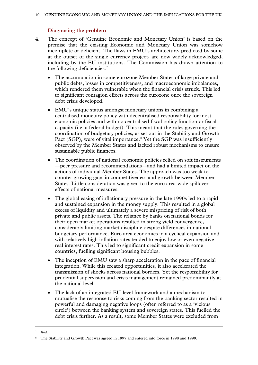# **Diagnosing the problem**

- 4. The concept of 'Genuine Economic and Monetary Union' is based on the premise that the existing Economic and Monetary Union was somehow incomplete or deficient. The flaws in EMU's architecture, predicted by some at the outset of the single currency project, are now widely acknowledged, including by the EU institutions. The Commission has drawn attention to the following deficiencies:<sup>[7](#page-9-0)</sup>
	- The accumulation in some eurozone Member States of large private and public debts, losses in competitiveness, and macroeconomic imbalances, which rendered them vulnerable when the financial crisis struck. This led to significant contagion effects across the eurozone once the sovereign debt crisis developed.
	- EMU's unique status amongst monetary unions in combining a centralised monetary policy with decentralised responsibility for most economic policies and with no centralised fiscal policy function or fiscal capacity (i.e. a federal budget). This meant that the rules governing the coordination of budgetary policies, as set out in the Stability and Growth Pact (SGP), were of vital importance.<sup>[8](#page-9-1)</sup> Yet the SGP was insufficiently observed by the Member States and lacked robust mechanisms to ensure sustainable public finances.
	- The coordination of national economic policies relied on soft instruments —peer pressure and recommendations—and had a limited impact on the actions of individual Member States. The approach was too weak to counter growing gaps in competitiveness and growth between Member States. Little consideration was given to the euro area-wide spillover effects of national measures.
	- The global easing of inflationary pressure in the late 1990s led to a rapid and sustained expansion in the money supply. This resulted in a global excess of liquidity and ultimately a severe mispricing of risk of both private and public assets. The reliance by banks on national bonds for their open market operations resulted in strong yield convergence, considerably limiting market discipline despite differences in national budgetary performance. Euro area economies in a cyclical expansion and with relatively high inflation rates tended to enjoy low or even negative real interest rates. This led to significant credit expansion in some countries, fuelling significant housing bubbles.
	- The inception of EMU saw a sharp acceleration in the pace of financial integration. While this created opportunities, it also accelerated the transmission of shocks across national borders. Yet the responsibility for prudential supervision and crisis management remained predominantly at the national level.
	- The lack of an integrated EU-level framework and a mechanism to mutualise the response to risks coming from the banking sector resulted in powerful and damaging negative loops (often referred to as a 'vicious circle') between the banking system and sovereign states. This fuelled the debt crisis further. As a result, some Member States were excluded from

<span id="page-9-0"></span> <sup>7</sup> *Ibid.*

<span id="page-9-1"></span><sup>8</sup> The Stability and Growth Pact was agreed in 1997 and entered into force in 1998 and 1999.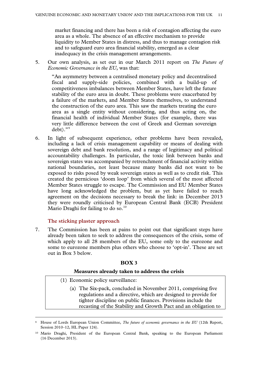market financing and there has been a risk of contagion affecting the euro area as a whole. The absence of an effective mechanism to provide liquidity to Member States in distress, and thus to manage contagion risk and to safeguard euro area financial stability, emerged as a clear inadequacy in the crisis management arrangements.

5. Our own analysis, as set out in our March 2011 report on *The Future of Economic Governance in the EU*, was that:

"An asymmetry between a centralised monetary policy and decentralised fiscal and supply-side policies, combined with a build-up of competitiveness imbalances between Member States, have left the future stability of the euro area in doubt. These problems were exacerbated by a failure of the markets, and Member States themselves, to understand the construction of the euro area. This saw the markets treating the euro area as a single entity without considering, and thus acting on, the financial health of individual Member States (for example, there was very little difference between the cost of Greek and German sovereign debt)."[9](#page-10-0)

6. In light of subsequent experience, other problems have been revealed, including a lack of crisis management capability or means of dealing with sovereign debt and bank resolution, and a range of legitimacy and political accountability challenges. In particular, the toxic link between banks and sovereign states was accompanied by retrenchment of financial activity within national boundaries, not least because many banks did not want to be exposed to risks posed by weak sovereign states as well as to credit risk. This created the pernicious 'doom loop' from which several of the most affected Member States struggle to escape. The Commission and EU Member States have long acknowledged the problem, but as yet have failed to reach agreement on the decisions necessary to break the link: in December 2013 they were roundly criticised by European Central Bank (ECB) President Mario Draghi for failing to do so.<sup>[10](#page-10-1)</sup>

# **The sticking plaster approach**

7. The Commission has been at pains to point out that significant steps have already been taken to seek to address the consequences of the crisis, some of which apply to all 28 members of the EU, some only to the eurozone and some to eurozone members plus others who choose to 'opt-in'. These are set out in Box 3 below.

# **BOX 3**

#### **Measures already taken to address the crisis**

- (1) Economic policy surveillance:
	- (a) The Six-pack, concluded in November 2011, comprising five regulations and a directive, which are designed to provide for tighter discipline on public finances. Provisions include the recasting of the Stability and Growth Pact and an obligation to

<span id="page-10-0"></span> <sup>9</sup> House of Lords European Union Committee, *The future of economic governance in the EU* (12th Report, Session 2010–12, HL Paper 124).

<span id="page-10-1"></span><sup>10</sup> Mario Draghi, President of the European Central Bank, speaking to the European Parliament (16 December 2013).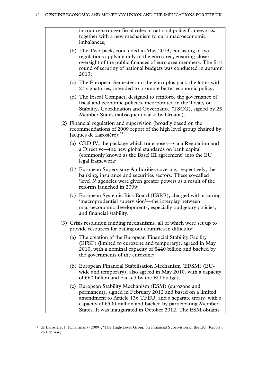introduce stronger fiscal rules in national policy frameworks, together with a new mechanism to curb macroeconomic imbalances; (b) The Two-pack, concluded in May 2013, consisting of two regulations applying only to the euro area, ensuring closer oversight of the public finances of euro area members. The first round of scrutiny of national budgets was conducted in autumn 2013; (c) The European Semester and the euro-plus pact, the latter with 23 signatories, intended to promote better economic policy; (d) The Fiscal Compact, designed to reinforce the governance of fiscal and economic policies, incorporated in the Treaty on Stability, Coordination and Governance (TSCG), signed by 25 Member States (subsequently also by Croatia). (2) Financial regulation and supervision (broadly based on the recommendations of 2009 report of the high level group chaired by Jacques de Larosière): $11$ (a) CRD IV, the package which transposes—via a Regulation and a Directive—the new global standards on bank capital (commonly known as the Basel III agreement) into the EU legal framework; (b) European Supervisory Authorities covering, respectively, the banking, insurance and securities sectors. These so-called 'level 3' agencies were given greater powers as a result of the reforms launched in 2009; (c) European Systemic Risk Board (ESRB), charged with assuring 'macroprudential supervision'—the interplay between macroeconomic developments, especially budgetary policies, and financial stability. (3) Crisis resolution funding mechanisms, all of which were set up to provide resources for bailing out countries in difficulty: (a) The creation of the European Financial Stability Facility (EFSF) (limited to eurozone and temporary), agreed in May 2010, with a nominal capacity of  $\epsilon$ 440 billion and backed by the governments of the eurozone; (b) European Financial Stabilisation Mechanism (EFSM) (EUwide and temporary), also agreed in May 2010, with a capacity of  $\epsilon$ 60 billion and backed by the EU budget; (c) European Stability Mechanism (ESM) (eurozone and permanent), signed in February 2012 and based on a limited amendment to Article 136 TFEU, and a separate treaty, with a capacity of  $\epsilon$ 500 million and backed by participating Member States. It was inaugurated in October 2012. The ESM obtains

<span id="page-11-0"></span> <sup>11</sup> de Larosière, J. (Chairman) (2009), 'The High-Level Group on Financial Supervision in the EU: Report', 25 February.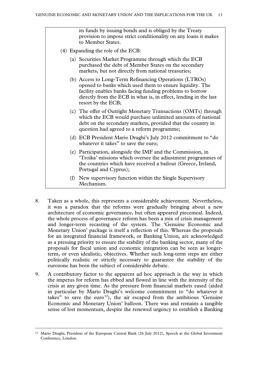its funds by issuing bonds and is obliged by the Treaty provision to impose strict conditionality on any loans it makes to Member States.

- (4) Expanding the role of the ECB:
	- (a) Securities Market Programme through which the ECB purchased the debt of Member States on the secondary markets, but not directly from national treasuries;
	- (b) Access to Long-Term Refinancing Operations (LTROs) opened to banks which used them to ensure liquidity. The facility enables banks facing funding problems to borrow directly from the ECB in what is, in effect, lending in the last resort by the ECB;
	- (c) The offer of Outright Monetary Transactions (OMTs) through which the ECB would purchase unlimited amounts of national debt on the secondary markets, provided that the country in question had agreed to a reform programme;
	- (d) ECB President Mario Draghi's July 2012 commitment to "do whatever it takes" to save the euro;
	- (e) Participation, alongside the IMF and the Commission, in 'Troika' missions which oversee the adjustment programmes of the countries which have received a bailout (Greece, Ireland, Portugal and Cyprus);
	- (f) New supervisory function within the Single Supervisory Mechanism.
- 8. Taken as a whole, this represents a considerable achievement. Nevertheless, it was a paradox that the reforms were gradually bringing about a new architecture of economic governance, but often appeared piecemeal. Indeed, the whole process of governance reform has been a mix of crisis management and longer-term recasting of the system. The 'Genuine Economic and Monetary Union' package is itself a reflection of this. Whereas the proposals for an integrated financial framework, or Banking Union, are acknowledged as a pressing priority to ensure the stability of the banking sector, many of the proposals for fiscal union and economic integration can be seen as longerterm, or even idealistic, objectives. Whether such long-term steps are either politically realistic or strictly necessary to guarantee the stability of the eurozone has been the subject of considerable debate.
- 9. A contributory factor to the apparent ad hoc approach is the way in which the impetus for reform has ebbed and flowed in line with the intensity of the crisis at any given time. As the pressure from financial markets eased (aided in particular by Mario Draghi's welcome commitment to "do whatever it takes" to save the euro<sup>12</sup>), the air escaped from the ambitious 'Genuine Economic and Monetary Union' balloon. There was and remains a tangible sense of lost momentum, despite the renewed urgency to establish a Banking

<span id="page-12-0"></span> <sup>12</sup> Mario Draghi, President of the European Central Bank (26 July 2012), Speech at the Global Investment Conference, London.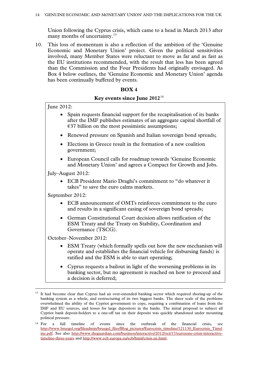Union following the Cyprus crisis, which came to a head in March 2013 after many months of uncertainty.<sup>[13](#page-13-0)</sup>

10. This loss of momentum is also a reflection of the ambition of the 'Genuine Economic and Monetary Union' project. Given the political sensitivities involved, many Member States were reluctant to move as far and as fast as the EU institutions recommended, with the result that less has been agreed than the Commission and the Four Presidents had originally envisaged. As Box 4 below outlines, the 'Genuine Economic and Monetary Union' agenda has been continually buffeted by events.

# **BOX 4**

# **Key events since June 2012**[14](#page-13-1)

June 2012:

- Spain requests financial support for the recapitalisation of its banks after the IMF publishes estimates of an aggregate capital shortfall of  $\epsilon$ 37 billion on the most pessimistic assumptions;
- Renewed pressure on Spanish and Italian sovereign bond spreads;
- Elections in Greece result in the formation of a new coalition government;
- European Council calls for roadmap towards 'Genuine Economic and Monetary Union' and agrees a Compact for Growth and Jobs.

July–August 2012:

• ECB President Mario Draghi's commitment to "do whatever it takes" to save the euro calms markets.

September 2012:

- ECB announcement of OMTs reinforces commitment to the euro and results in a significant easing of sovereign bond spreads;
- German Constitutional Court decision allows ratification of the ESM Treaty and the Treaty on Stability, Coordination and Governance (TSCG).

October–November 2012:

- ESM Treaty (which formally spells out how the new mechanism will operate and establishes the financial vehicle for disbursing funds) is ratified and the ESM is able to start operating;
- Cyprus requests a bailout in light of the worsening problems in its banking sector, but no agreement is reached on how to proceed and a decision is deferred;

<span id="page-13-0"></span><sup>&</sup>lt;sup>13</sup> It had become clear that Cyprus had an over-extended banking sector which required shoring-up of the banking system as a whole, and restructuring of its two biggest banks. The sheer scale of the problems overwhelmed the ability of the Cypriot government to cope, requiring a combination of loans from the IMF and EU sources, and losses for large depositors in the banks. The initial proposal to subject all Cypriot bank deposit-holders to a one-off tax on their deposits was quickly abandoned under mounting political pressure.

<span id="page-13-1"></span><sup>&</sup>lt;sup>14</sup> For a full timeline of events since the outbreak of the financial crisis, see [http://www.bruegel.org/fileadmin/bruegel\\_files/Blog\\_pictures/Eurocrisis\\_timeline/121130\\_Eurocrisis\\_Timel](http://www.bruegel.org/fileadmin/bruegel_files/Blog_pictures/Eurocrisis_timeline/121130_Eurocrisis_Timeline.pdf) [ine.pdf.](http://www.bruegel.org/fileadmin/bruegel_files/Blog_pictures/Eurocrisis_timeline/121130_Eurocrisis_Timeline.pdf) See also [http://www.theguardian.com/business/interactive/2012/oct/17/eurozone-crisis-interactive](http://www.theguardian.com/business/interactive/2012/oct/17/eurozone-crisis-interactive-timeline-three-years)[timeline-three-years](http://www.theguardian.com/business/interactive/2012/oct/17/eurozone-crisis-interactive-timeline-three-years) and [http://www.ecb.europa.eu/ecb/html/crisis.en.html.](http://www.ecb.europa.eu/ecb/html/crisis.en.html)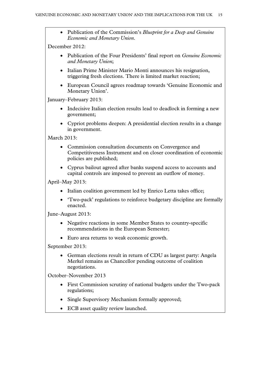• Publication of the Commission's *Blueprint for a Deep and Genuine Economic and Monetary Union*.

December 2012:

- Publication of the Four Presidents' final report on *Genuine Economic and Monetary Union*;
- Italian Prime Minister Mario Monti announces his resignation, triggering fresh elections. There is limited market reaction;
- European Council agrees roadmap towards 'Genuine Economic and Monetary Union'.

January–February 2013:

- Indecisive Italian election results lead to deadlock in forming a new government;
- Cypriot problems deepen: A presidential election results in a change in government.

March 2013<sup>.</sup>

- Commission consultation documents on Convergence and Competitiveness Instrument and on closer coordination of economic policies are published;
- Cyprus bailout agreed after banks suspend access to accounts and capital controls are imposed to prevent an outflow of money.

April–May 2013:

- Italian coalition government led by Enrico Letta takes office;
- 'Two-pack' regulations to reinforce budgetary discipline are formally enacted.

June–August 2013:

- Negative reactions in some Member States to country-specific recommendations in the European Semester;
- Euro area returns to weak economic growth.

September 2013:

• German elections result in return of CDU as largest party: Angela Merkel remains as Chancellor pending outcome of coalition negotiations.

October–November 2013

- First Commission scrutiny of national budgets under the Two-pack regulations;
- Single Supervisory Mechanism formally approved;
- ECB asset quality review launched.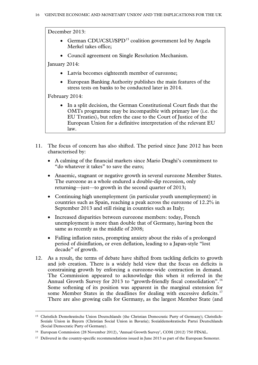December 2013:

- German CDU/CSU/SPD<sup>[15](#page-15-0)</sup> coalition government led by Angela Merkel takes office;
- Council agreement on Single Resolution Mechanism.

January 2014:

- Latvia becomes eighteenth member of eurozone;
- European Banking Authority publishes the main features of the stress tests on banks to be conducted later in 2014.

February 2014:

- In a split decision, the German Constitutional Court finds that the OMTs programme may be incompatible with primary law (i.e. the EU Treaties), but refers the case to the Court of Justice of the European Union for a definitive interpretation of the relevant EU law.
- 11. The focus of concern has also shifted. The period since June 2012 has been characterised by:
	- A calming of the financial markets since Mario Draghi's commitment to "do whatever it takes" to save the euro;
	- Anaemic, stagnant or negative growth in several eurozone Member States. The eurozone as a whole endured a double-dip recession, only returning—just—to growth in the second quarter of 2013;
	- Continuing high unemployment (in particular youth unemployment) in countries such as Spain, reaching a peak across the eurozone of 12.2% in September 2013 and still rising in countries such as Italy;
	- Increased disparities between eurozone members: today, French unemployment is more than double that of Germany, having been the same as recently as the middle of 2008;
	- Falling inflation rates, prompting anxiety about the risks of a prolonged period of disinflation, or even deflation, leading to a Japan-style "lost decade" of growth.
- 12. As a result, the terms of debate have shifted from tackling deficits to growth and job creation. There is a widely held view that the focus on deficits is constraining growth by enforcing a eurozone-wide contraction in demand. The Commission appeared to acknowledge this when it referred in the Annual Growth Survey for 2013 to "growth-friendly fiscal consolidation".<sup>[16](#page-15-1)</sup> Some softening of its position was apparent in the marginal extension for some Member States in the deadlines for dealing with excessive deficits.<sup>[17](#page-15-2)</sup> There are also growing calls for Germany, as the largest Member State (and

<span id="page-15-0"></span> <sup>15</sup> Christlich Demokratische Union Deutschlands (the Christian Democratic Party of Germany); Christlich-Soziale Union in Bayern (Christian Social Union in Bavaria); Sozialdemokratische Partei Deutschlands (Social Democratic Party of Germany).

<span id="page-15-1"></span><sup>16</sup> European Commission (28 November 2012), 'Annual Growth Survey', COM (2012) 750 FINAL.

<span id="page-15-2"></span><sup>&</sup>lt;sup>17</sup> Delivered in the country-specific recommendations issued in June 2013 as part of the European Semester.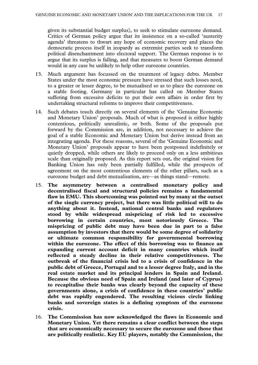given its substantial budget surplus), to seek to stimulate eurozone demand. Critics of German policy argue that its insistence on a so-called 'austerity agenda' threatens to thwart any hope of economic recovery and places the democratic process itself in jeopardy as extremist parties seek to transform political disenchantment into electoral support. The German response is to argue that its surplus is falling, and that measures to boost German demand would in any case be unlikely to help other eurozone countries.

- 13. Much argument has focussed on the treatment of legacy debts. Member States under the most economic pressure have stressed that such losses need, to a greater or lesser degree, to be mutualised so as to place the eurozone on a stable footing. Germany in particular has called on Member States suffering from excessive deficits to put their own affairs in order first by undertaking structural reforms to improve their competitiveness.
- 14. Such debates touch directly on several elements of the 'Genuine Economic and Monetary Union' proposals. Much of what is proposed is either highly contentious, politically unrealistic, or both. Some of the proposals put forward by the Commission are, in addition, not necessary to achieve the goal of a stable Economic and Monetary Union but derive instead from an integrating agenda. For these reasons, several of the 'Genuine Economic and Monetary Union' proposals appear to have been postponed indefinitely or quietly dropped, while others are likely to proceed only on a less ambitious scale than originally proposed. As this report sets out, the original vision for Banking Union has only been partially fulfilled, while the prospects of agreement on the most contentious elements of the other pillars, such as a eurozone budget and debt mutualisation, are—as things stand—remote.
- 15. **The asymmetry between a centralised monetary policy and decentralised fiscal and structural policies remains a fundamental flaw in EMU. This shortcoming was pointed out by many at the outset of the single currency project, but there was little political will to do anything about it. Instead, national central banks and regulators stood by while widespread mispricing of risk led to excessive borrowing in certain countries, most notoriously Greece. The mispricing of public debt may have been due in part to a false assumption by investors that there would be some degree of solidarity or ultimate common responsibility for governmental borrowing within the eurozone. The effect of this borrowing was to finance an expanding current account deficit in many countries which itself reflected a steady decline in their relative competitiveness. The outbreak of the financial crisis led to a crisis of confidence in the public debt of Greece, Portugal and to a lesser degree Italy, and in the real estate market and its principal lenders in Spain and Ireland. Because the obvious need of Spain and Ireland (and later of Cyprus) to recapitalise their banks was clearly beyond the capacity of these governments alone, a crisis of confidence in these countries' public debt was rapidly engendered. The resulting vicious circle linking banks and sovereign states is a defining symptom of the eurozone crisis.**
- 16. **The Commission has now acknowledged the flaws in Economic and Monetary Union. Yet there remains a clear conflict between the steps that are economically necessary to secure the eurozone and those that are politically realistic. Key EU players, notably the Commission, the**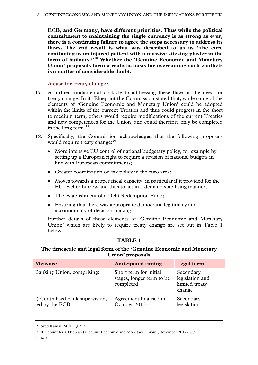**ECB, and Germany, have different priorities. Thus while the political commitment to maintaining the single currency is as strong as ever, there is a continuing failure to agree the steps necessary to address its flaws. The end result is what was described to us as "the euro continuing as an injured patient with a massive sticking plaster in the form of bailouts."**[18](#page-17-0) **Whether the 'Genuine Economic and Monetary Union' proposals form a realistic basis for overcoming such conflicts is a matter of considerable doubt.** 

# **A case for treaty change?**

- 17. A further fundamental obstacle to addressing these flaws is the need for treaty change. In its Blueprint the Commission stated that, while some of the elements of 'Genuine Economic and Monetary Union' could be adopted within the limits of the current Treaties and thus could progress in the short to medium term, others would require modifications of the current Treaties and new competences for the Union, and could therefore only be completed in the long term. $^{19}$  $^{19}$  $^{19}$
- 18. Specifically, the Commission acknowledged that the following proposals would require treaty change:<sup>[20](#page-17-2)</sup>
	- More intensive EU control of national budgetary policy, for example by setting up a European right to require a revision of national budgets in line with European commitments;
	- Greater coordination on tax policy in the euro area;
	- Moves towards a proper fiscal capacity, in particular if it provided for the EU level to borrow and thus to act in a demand stabilising manner;
	- The establishment of a Debt Redemption Fund;
	- Ensuring that there was appropriate democratic legitimacy and accountability of decision-making.

Further details of those elements of 'Genuine Economic and Monetary Union' which are likely to require treaty change are set out in Table 1 below.

# **TABLE 1**

# **The timescale and legal form of the 'Genuine Economic and Monetary Union' proposals**

| <b>Measure</b>                                     | <b>Anticipated timing</b>                                        | <b>Legal form</b>                                        |
|----------------------------------------------------|------------------------------------------------------------------|----------------------------------------------------------|
| Banking Union, comprising:                         | Short term for initial<br>stages, longer term to be<br>completed | Secondary<br>legislation and<br>limited treaty<br>change |
| i) Centralised bank supervision,<br>led by the ECB | Agreement finalised in<br>October 2013                           | Secondary<br>legislation                                 |

<span id="page-17-0"></span> <sup>18</sup> Syed Kamall MEP, Q 217.

<span id="page-17-2"></span><sup>20</sup> *Ibid.*

<span id="page-17-1"></span><sup>19</sup> 'Blueprint for a Deep and Genuine Economic and Monetary Union' (November 2012), *Op. Cit.*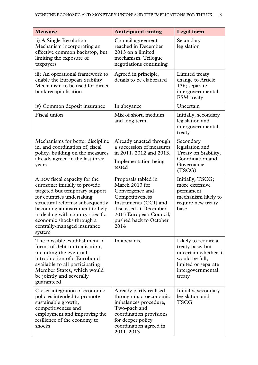| <b>Measure</b>                                                                                                                                                                                                                                                                                                 | <b>Anticipated timing</b>                                                                                                                                                                 | <b>Legal</b> form                                                                                                                       |
|----------------------------------------------------------------------------------------------------------------------------------------------------------------------------------------------------------------------------------------------------------------------------------------------------------------|-------------------------------------------------------------------------------------------------------------------------------------------------------------------------------------------|-----------------------------------------------------------------------------------------------------------------------------------------|
| ii) A Single Resolution<br>Mechanism incorporating an<br>effective common backstop, but<br>limiting the exposure of<br>taxpayers                                                                                                                                                                               | Council agreement<br>reached in December<br>2013 on a limited<br>mechanism. Trilogue<br>negotiations continuing                                                                           | Secondary<br>legislation                                                                                                                |
| iii) An operational framework to<br>enable the European Stability<br>Mechanism to be used for direct<br>bank recapitalisation                                                                                                                                                                                  | Agreed in principle,<br>details to be elaborated                                                                                                                                          | Limited treaty<br>change to Article<br>136; separate<br>intergovernmental<br><b>ESM</b> treaty                                          |
| iv) Common deposit insurance                                                                                                                                                                                                                                                                                   | In abeyance                                                                                                                                                                               | Uncertain                                                                                                                               |
| Fiscal union                                                                                                                                                                                                                                                                                                   | Mix of short, medium<br>and long term                                                                                                                                                     | Initially, secondary<br>legislation and<br>intergovernmental<br>treaty                                                                  |
| Mechanisms for better discipline<br>in, and coordination of, fiscal<br>policy, building on the measures<br>already agreed in the last three<br>years                                                                                                                                                           | Already enacted through<br>a succession of measures<br>in 2011, 2012 and 2013.<br>Implementation being<br>tested                                                                          | Secondary<br>legislation and<br>Treaty on Stability,<br>Coordination and<br>Governance<br>(TSCG)                                        |
| A new fiscal capacity for the<br>eurozone: initially to provide<br>targeted but temporary support<br>for countries undertaking<br>structural reforms; subsequently<br>becoming an instrument to help<br>in dealing with country-specific<br>economic shocks through a<br>centrally-managed insurance<br>system | Proposals tabled in<br>March 2013 for<br>Convergence and<br>Competitiveness<br>Instruments (CCI) and<br>discussed at December<br>2013 European Council;<br>pushed back to October<br>2014 | Initially, TSCG;<br>more extensive<br>permanent<br>mechanism likely to<br>require new treaty<br>base                                    |
| The possible establishment of<br>forms of debt mutualisation,<br>including the eventual<br>introduction of a Eurobond<br>available to all participating<br>Member States, which would<br>be jointly and severally<br>guaranteed.                                                                               | In abeyance                                                                                                                                                                               | Likely to require a<br>treaty base, but<br>uncertain whether it<br>would be full,<br>limited or separate<br>intergovernmental<br>treaty |
| Closer integration of economic<br>policies intended to promote<br>sustainable growth,<br>competitiveness and<br>employment and improving the<br>resilience of the economy to<br>shocks                                                                                                                         | Already partly realised<br>through macroeconomic<br>imbalances procedure,<br>Two-pack and<br>coordination provisions<br>for deeper policy<br>coordination agreed in<br>2011-2013          | Initially, secondary<br>legislation and<br><b>TSCG</b>                                                                                  |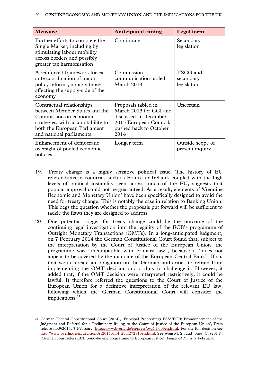| <b>Measure</b>                                                                                                                                                                         | <b>Anticipated timing</b>                                                                                                          | <b>Legal form</b>                    |
|----------------------------------------------------------------------------------------------------------------------------------------------------------------------------------------|------------------------------------------------------------------------------------------------------------------------------------|--------------------------------------|
| Further efforts to complete the<br>Single Market, including by<br>stimulating labour mobility<br>across borders and possibly<br>greater tax harmonisation                              | Continuing                                                                                                                         | Secondary<br>legislation             |
| A reinforced framework for ex-<br>ante coordination of major<br>policy reforms, notably those<br>affecting the supply-side of the<br>economy                                           | Commission<br>communication tabled<br>March 2013                                                                                   | TSCG and<br>secondary<br>legislation |
| Contractual relationships<br>between Member States and the<br>Commission on economic<br>strategies, with accountability to<br>both the European Parliament<br>and national parliaments | Proposals tabled in<br>March 2013 for CCI and<br>discussed at December<br>2013 European Council;<br>pushed back to October<br>2014 | Uncertain                            |
| Enhancement of democratic<br>oversight of pooled economic<br>policies                                                                                                                  | Longer term                                                                                                                        | Outside scope of<br>present inquiry  |

- 19. Treaty change is a highly sensitive political issue. The history of EU referendums in countries such as France or Ireland, coupled with the high levels of political instability seen across much of the EU, suggests that popular approval could not be guaranteed. As a result, elements of 'Genuine Economic and Monetary Union' have been specifically designed to avoid the need for treaty change. This is notably the case in relation to Banking Union. This begs the question whether the proposals put forward will be sufficient to tackle the flaws they are designed to address.
- 20. One potential trigger for treaty change could be the outcome of the continuing legal investigation into the legality of the ECB's programme of Outright Monetary Transactions (OMTs). In a long-anticipated judgment, on 7 February 2014 the German Constitutional Court found that, subject to the interpretation by the Court of Justice of the European Union, the programme was "incompatible with primary law", because it "does not appear to be covered by the mandate of the European Central Bank". If so, that would create an obligation on the German authorities to refrain from implementing the OMT decision and a duty to challenge it. However, it added that, if the OMT decision were interpreted restrictively, it could be lawful. It therefore referred the questions to the Court of Justice of the European Union for a definitive interpretation of the relevant EU law, following which the German Constitutional Court will consider the implications. $21$

<span id="page-19-0"></span> <sup>21</sup> German Federal Constitutional Court (2014), 'Principal Proceedings ESM/ECB: Pronouncement of the Judgment and Referral for a Preliminary Ruling to the Court of Justice of the European Union', Press release no.9/2014, 7 February, [http://www.bverfg.de/en/press/bvg14-009en.html.](http://www.bverfg.de/en/press/bvg14-009en.html) For the full decision see [http://www.bverfg.de/en/decisions/rs20140114\\_2bvr272813en.html.](http://www.bverfg.de/en/decisions/rs20140114_2bvr272813en.html) See Wagstyl, S., and Jones, C. (2014), 'German court refers ECB bond-buying programme to European justice', *Financial Times*, 7 February.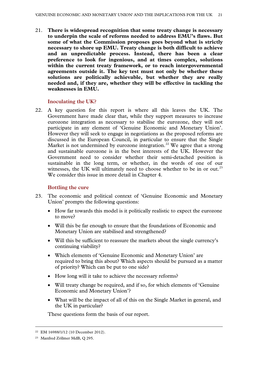21. **There is widespread recognition that some treaty change is necessary to underpin the scale of reforms needed to address EMU's flaws. But some of what the Commission proposes goes beyond what is strictly necessary to shore up EMU. Treaty change is both difficult to achieve and an unpredictable process. Instead, there has been a clear preference to look for ingenious, and at times complex, solutions within the current treaty framework, or to reach intergovernmental agreements outside it. The key test must not only be whether these solutions are politically achievable, but whether they are really needed and, if they are, whether they will be effective in tackling the weaknesses in EMU.** 

# **Inoculating the UK?**

22. A key question for this report is where all this leaves the UK. The Government have made clear that, while they support measures to increase eurozone integration as necessary to stabilise the eurozone, they will not participate in any element of 'Genuine Economic and Monetary Union'. However they will seek to engage in negotiations as the proposed reforms are discussed in the European Council, in particular to ensure that the Single Market is not undermined by eurozone integration.<sup>[22](#page-20-0)</sup> We agree that a strong and sustainable eurozone is in the best interests of the UK. However the Government need to consider whether their semi-detached position is sustainable in the long term, or whether, in the words of one of our witnesses, the UK will ultimately need to choose whether to be in or out.<sup>[23](#page-20-1)</sup> We consider this issue in more detail in Chapter 4.

# **Bottling the cure**

- 23. The economic and political context of 'Genuine Economic and Monetary Union' prompts the following questions:
	- How far towards this model is it politically realistic to expect the eurozone to move?
	- Will this be far enough to ensure that the foundations of Economic and Monetary Union are stabilised and strengthened?
	- Will this be sufficient to reassure the markets about the single currency's continuing viability?
	- Which elements of 'Genuine Economic and Monetary Union' are required to bring this about? Which aspects should be pursued as a matter of priority? Which can be put to one side?
	- How long will it take to achieve the necessary reforms?
	- Will treaty change be required, and if so, for which elements of 'Genuine Economic and Monetary Union'?
	- What will be the impact of all of this on the Single Market in general, and the UK in particular?

These questions form the basis of our report.

<span id="page-20-0"></span> <sup>22</sup> EM 16988/1/12 (10 December 2012).

<span id="page-20-1"></span><sup>23</sup> Manfred Zöllmer MdB, Q 295.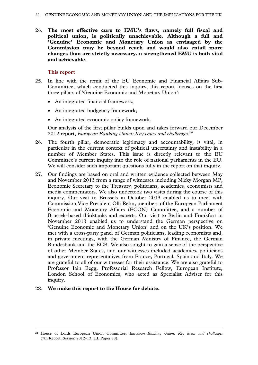24. **The most effective cure to EMU's flaws, namely full fiscal and political union, is politically unachievable. Although a full and 'Genuine' Economic and Monetary Union as envisaged by the Commission may be beyond reach and would also entail more changes than are strictly necessary, a strengthened EMU is both vital and achievable.** 

#### **This report**

- 25. In line with the remit of the EU Economic and Financial Affairs Sub-Committee, which conducted this inquiry, this report focuses on the first three pillars of 'Genuine Economic and Monetary Union':
	- An integrated financial framework;
	- An integrated budgetary framework;
	- An integrated economic policy framework.

Our analysis of the first pillar builds upon and takes forward our December 2012 report, *European Banking Union: Key issues and challenges*. [24](#page-21-0)

- 26. The fourth pillar, democratic legitimacy and accountability, is vital, in particular in the current context of political uncertainty and instability in a number of Member States. This issue is directly relevant to the EU Committee's current inquiry into the role of national parliaments in the EU. We will consider such important questions fully in the report on that inquiry.
- 27. Our findings are based on oral and written evidence collected between May and November 2013 from a range of witnesses including Nicky Morgan MP, Economic Secretary to the Treasury, politicians, academics, economists and media commentators. We also undertook two visits during the course of this inquiry. Our visit to Brussels in October 2013 enabled us to meet with Commission Vice-President Olli Rehn, members of the European Parliament Economic and Monetary Affairs (ECON) Committee, and a number of Brussels-based thinktanks and experts. Our visit to Berlin and Frankfurt in November 2013 enabled us to understand the German perspective on 'Genuine Economic and Monetary Union' and on the UK's position. We met with a cross-party panel of German politicians, leading economists and, in private meetings, with the German Ministry of Finance, the German Bundesbank and the ECB. We also sought to gain a sense of the perspective of other Member States, and our witnesses included academics, politicians and government representatives from France, Portugal, Spain and Italy. We are grateful to all of our witnesses for their assistance. We are also grateful to Professor Iain Begg, Professorial Research Fellow, European Institute, London School of Economics, who acted as Specialist Adviser for this inquiry.

#### 28. **We make this report to the House for debate.**

<span id="page-21-0"></span> <sup>24</sup> House of Lords European Union Committee, *European Banking Union: Key issues and challenges* (7th Report, Session 2012–13, HL Paper 88).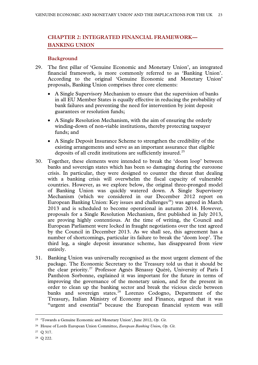# **CHAPTER 2: INTEGRATED FINANCIAL FRAMEWORK— BANKING UNION**

# **Background**

- 29. The first pillar of 'Genuine Economic and Monetary Union', an integrated financial framework, is more commonly referred to as 'Banking Union'. According to the original 'Genuine Economic and Monetary Union' proposals, Banking Union comprises three core elements:
	- A Single Supervisory Mechanism to ensure that the supervision of banks in all EU Member States is equally effective in reducing the probability of bank failures and preventing the need for intervention by joint deposit guarantees or resolution funds;
	- A Single Resolution Mechanism, with the aim of ensuring the orderly winding-down of non-viable institutions, thereby protecting taxpayer funds; and
	- A Single Deposit Insurance Scheme to strengthen the credibility of the existing arrangements and serve as an important assurance that eligible deposits of all credit institutions are sufficiently insured.<sup>[25](#page-22-0)</sup>
- 30. Together, these elements were intended to break the 'doom loop' between banks and sovereign states which has been so damaging during the eurozone crisis. In particular, they were designed to counter the threat that dealing with a banking crisis will overwhelm the fiscal capacity of vulnerable countries. However, as we explore below, the original three-pronged model of Banking Union was quickly watered down. A Single Supervisory Mechanism (which we considered in our December 2012 report on European Banking Union: Key issues and challenges<sup>26</sup>) was agreed in March 2013 and is scheduled to become operational in autumn 2014. However, proposals for a Single Resolution Mechanism, first published in July 2013, are proving highly contentious. At the time of writing, the Council and European Parliament were locked in fraught negotiations over the text agreed by the Council in December 2013. As we shall see, this agreement has a number of shortcomings, particular its failure to break the 'doom loop'. The third leg, a single deposit insurance scheme, has disappeared from view entirely.
- 31. Banking Union was universally recognised as the most urgent element of the package. The Economic Secretary to the Treasury told us that it should be the clear priority.[27](#page-22-2) Professor Agnès Bénassy Quéré, University of Paris I Panthéon Sorbonne, explained it was important for the future in terms of improving the governance of the monetary union, and for the present in order to clean up the banking sector and break the vicious circle between banks and sovereign states.<sup>[28](#page-22-3)</sup> Lorenzo Codogno, Department of the Treasury, Italian Ministry of Economy and Finance, argued that it was "urgent and essential" because the European financial system was still

<span id="page-22-0"></span> <sup>25</sup> 'Towards a Genuine Economic and Monetary Union', June 2012, *Op. Cit.*

<span id="page-22-1"></span><sup>26</sup> House of Lords European Union Committee, *European Banking Union*, *Op. Cit.*

<span id="page-22-2"></span><sup>27</sup> Q 317.

<span id="page-22-3"></span><sup>28</sup> Q 222.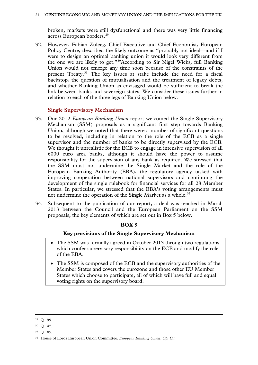broken, markets were still dysfunctional and there was very little financing across European borders.<sup>[29](#page-23-0)</sup>

32. However, Fabian Zuleeg, Chief Executive and Chief Economist, European Policy Centre, described the likely outcome as "probably not ideal—and if I were to design an optimal banking union it would look very different from the one we are likely to get."[30](#page-23-1)According to Sir Nigel Wicks, full Banking Union would not emerge any time soon because of the constraints of the present Treaty.<sup>[31](#page-23-2)</sup> The key issues at stake include the need for a fiscal backstop, the question of mutualisation and the treatment of legacy debts, and whether Banking Union as envisaged would be sufficient to break the link between banks and sovereign states. We consider these issues further in relation to each of the three legs of Banking Union below.

# **Single Supervisory Mechanism**

- 33. Our 2012 *European Banking Union* report welcomed the Single Supervisory Mechanism (SSM) proposals as a significant first step towards Banking Union, although we noted that there were a number of significant questions to be resolved, including in relation to the role of the ECB as a single supervisor and the number of banks to be directly supervised by the ECB. We thought it unrealistic for the ECB to engage in intensive supervision of all 6000 euro area banks, although it should have the power to assume responsibility for the supervision of any bank as required. We stressed that the SSM must not undermine the Single Market and the role of the European Banking Authority (EBA), the regulatory agency tasked with improving cooperation between national supervisors and continuing the development of the single rulebook for financial services for all 28 Member States. In particular, we stressed that the EBA's voting arrangements must not undermine the operation of the Single Market as a whole.<sup>[32](#page-23-3)</sup>
- 34. Subsequent to the publication of our report, a deal was reached in March 2013 between the Council and the European Parliament on the SSM proposals, the key elements of which are set out in Box 5 below.

# **BOX 5**

# **Key provisions of the Single Supervisory Mechanism**

- The SSM was formally agreed in October 2013 through two regulations which confer supervisory responsibility on the ECB and modify the role of the EBA.
- The SSM is composed of the ECB and the supervisory authorities of the Member States and covers the eurozone and those other EU Member States which choose to participate, all of which will have full and equal voting rights on the supervisory board.

<span id="page-23-0"></span> <sup>29</sup> Q 199.

<span id="page-23-1"></span><sup>30</sup> Q 142.

<span id="page-23-2"></span><sup>31</sup> Q 185.

<span id="page-23-3"></span><sup>32</sup> House of Lords European Union Committee, *European Banking Union*, *Op. Cit.*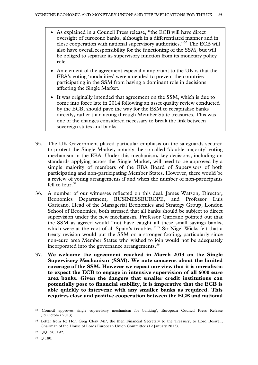- As explained in a Council Press release, "the ECB will have direct oversight of eurozone banks, although in a differentiated manner and in close cooperation with national supervisory authorities."[33](#page-24-0) The ECB will also have overall responsibility for the functioning of the SSM, but will be obliged to separate its supervisory function from its monetary policy role.
- An element of the agreement especially important to the UK is that the EBA's voting 'modalities' were amended to prevent the countries participating in the SSM from having a dominant role in decisions affecting the Single Market.
- It was originally intended that agreement on the SSM, which is due to come into force late in 2014 following an asset quality review conducted by the ECB, should pave the way for the ESM to recapitalise banks directly, rather than acting through Member State treasuries. This was one of the changes considered necessary to break the link between sovereign states and banks.
- 35. The UK Government placed particular emphasis on the safeguards secured to protect the Single Market, notably the so-called 'double majority' voting mechanism in the EBA. Under this mechanism, key decisions, including on standards applying across the Single Market, will need to be approved by a simple majority of members of the EBA Board of Supervisors of both participating and non-participating Member States. However, there would be a review of voting arrangements if and when the number of non-participants fell to four.  $34$
- 36. A number of our witnesses reflected on this deal. James Watson, Director, Economics Department, BUSINESSEUROPE, and Professor Luis Garicano, Head of the Managerial Economics and Strategy Group, London School of Economics, both stressed that all banks should be subject to direct supervision under the new mechanism. Professor Garicano pointed out that the SSM as agreed would "not have caught all these small savings banks, which were at the root of all Spain's troubles."<sup>[35](#page-24-2)</sup> Sir Nigel Wicks felt that a treaty revision would put the SSM on a stronger footing, particularly since non-euro area Member States who wished to join would not be adequately incorporated into the governance arrangements.<sup>[36](#page-24-3)</sup>
- 37. **We welcome the agreement reached in March 2013 on the Single Supervisory Mechanism (SSM). We note concerns about the limited coverage of the SSM. However we repeat our view that it is unrealistic to expect the ECB to engage in intensive supervision of all 6000 euro area banks. Given the dangers that smaller credit institutions can potentially pose to financial stability, it is imperative that the ECB is able quickly to intervene with any smaller banks as required. This requires close and positive cooperation between the ECB and national**

<span id="page-24-0"></span> <sup>33</sup> 'Council approves single supervisory mechanism for banking', European Council Press Release (15 October 2013).

<span id="page-24-1"></span><sup>&</sup>lt;sup>34</sup> Letter from Rt Hon Greg Clerk MP, the then Financial Secretary to the Treasury, to Lord Boswell, Chairman of the House of Lords European Union Committee (12 January 2013).

<span id="page-24-2"></span><sup>35</sup> QQ 150, 192.

<span id="page-24-3"></span><sup>36</sup> Q 180.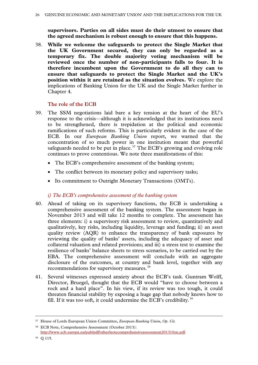**supervisors. Parties on all sides must do their utmost to ensure that the agreed mechanism is robust enough to ensure that this happens.**

38. **While we welcome the safeguards to protect the Single Market that the UK Government secured, they can only be regarded as a temporary fix. The double majority voting mechanism will be reviewed once the number of non-participants falls to four. It is therefore incumbent upon the Government to do all they can to ensure that safeguards to protect the Single Market and the UK's position within it are retained as the situation evolves.** We explore the implications of Banking Union for the UK and the Single Market further in Chapter 4.

# **The role of the ECB**

- 39. The SSM negotiations laid bare a key tension at the heart of the EU's response to the crisis—although it is acknowledged that its institutions need to be strengthened, there is trepidation at the political and economic ramifications of such reforms. This is particularly evident in the case of the ECB. In our *European Banking Union* report, we warned that the concentration of so much power in one institution meant that powerful safeguards needed to be put in place.<sup>[37](#page-25-0)</sup> The ECB's growing and evolving role continues to prove contentious. We note three manifestations of this:
	- The ECB's comprehensive assessment of the banking system;
	- The conflict between its monetary policy and supervisory tasks;
	- Its commitment to Outright Monetary Transactions (OMTs).

# *i) The ECB's comprehensive assessment of the banking system*

- 40. Ahead of taking on its supervisory functions, the ECB is undertaking a comprehensive assessment of the banking system. The assessment began in November 2013 and will take 12 months to complete. The assessment has three elements: i) a supervisory risk assessment to review, quantitatively and qualitatively, key risks, including liquidity, leverage and funding; ii) an asset quality review (AQR) to enhance the transparency of bank exposures by reviewing the quality of banks' assets, including the adequacy of asset and collateral valuation and related provisions; and iii) a stress test to examine the resilience of banks' balance sheets to stress scenarios, to be carried out by the EBA. The comprehensive assessment will conclude with an aggregate disclosure of the outcomes, at country and bank level, together with any recommendations for supervisory measures.<sup>[38](#page-25-1)</sup>
- 41. Several witnesses expressed anxiety about the ECB's task. Guntram Wolff, Director, Bruegel, thought that the ECB would "have to choose between a rock and a hard place". In his view, if its review was too tough, it could threaten financial stability by exposing a huge gap that nobody knows how to fill. If it was too soft, it could undermine the ECB's credibility.<sup>[39](#page-25-2)</sup>

<span id="page-25-0"></span> <sup>37</sup> House of Lords European Union Committee, *European Banking Union*, *Op. Cit.*

<span id="page-25-1"></span><sup>38</sup> ECB Note, Comprehensive Assessment (October 2013): [http://www.ecb.europa.eu/pub/pdf/other/notecomprehensiveassessment201310en.pdf.](http://www.ecb.europa.eu/pub/pdf/other/notecomprehensiveassessment201310en.pdf) 

<span id="page-25-2"></span><sup>39</sup> Q 115.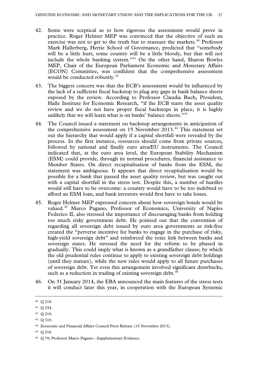- 42. Some were sceptical as to how rigorous the assessment would prove in practice. Roger Helmer MEP was convinced that the objective of such an exercise was not to get to the truth but to reassure the markets.<sup>[40](#page-26-0)</sup> Professor Mark Hallerberg, Hertie School of Governance, predicted that "somebody will be a little hurt, some country will be a little bloody, but that will not include the whole banking system."[41](#page-26-1) On the other hand, Sharon Bowles MEP, Chair of the European Parliament Economic and Monetary Affairs (ECON) Committee, was confident that the comprehensive assessment would be conducted robustly.<sup>[42](#page-26-2)</sup>
- 43. The biggest concern was that the ECB's assessment would be influenced by the lack of a sufficient fiscal backstop to plug any gaps in bank balance sheets exposed by the review. According to Professor Claudia Buch, President, Halle Institute for Economic Research, "if the ECB starts the asset quality review and we do not have proper fiscal backstops in place, it is highly unlikely that we will learn what is on banks' balance sheets."<sup>[43](#page-26-3)</sup>
- 44. The Council issued a statement on backstop arrangements in anticipation of the comprehensive assessment on 15 November 2013.<sup>[44](#page-26-4)</sup> This statement set out the hierarchy that would apply if a capital shortfall were revealed by the process. In the first instance, resources should come from private sources, followed by national and finally euro area/EU instruments. The Council indicated that, at the euro area level, the European Stability Mechanism (ESM) could provide, through its normal procedures, financial assistance to Member States. On direct recapitalisation of banks from the ESM, the statement was ambiguous. It appears that direct recapitalisation would be possible for a bank that passed the asset quality review, but was caught out with a capital shortfall in the stress test. Despite this, a number of hurdles would still have to be overcome: a country would have to be too indebted to afford an ESM loan, and bank investors would first have to take losses.
- 45. Roger Helmer MEP expressed concern about how sovereign bonds would be valued.[45](#page-26-5) Marco Pagano, Professor of Economics, University of Naples Federico II, also stressed the importance of discouraging banks from holding too much risky government debt. He pointed out that the convention of regarding all sovereign debt issued by euro area governments as risk-free created the "perverse incentive for banks to engage in the purchase of risky, high-yield sovereign debt" and reinforced the toxic link between banks and sovereign states. He stressed the need for the reform to be phased in gradually. This could imply what is known as a grandfather clause; by which the old prudential rules continue to apply to existing sovereign debt holdings (until they mature), while the new rules would apply to all future purchases of sovereign debt. Yet even this arrangement involved significant drawbacks, such as a reduction in trading of existing sovereign debt.<sup>[46](#page-26-6)</sup>
- 46. On 31 January 2014, the EBA announced the main features of the stress tests it will conduct later this year, in cooperation with the European Systemic

<span id="page-26-3"></span><sup>43</sup> Q 310.

<span id="page-26-5"></span><sup>45</sup> Q 218.

<span id="page-26-0"></span> <sup>40</sup> Q 218.

<span id="page-26-1"></span><sup>41</sup> Q 254.

<span id="page-26-2"></span><sup>42</sup> Q 218.

<span id="page-26-4"></span><sup>44</sup> Economic and Financial Affairs Council Press Release (15 November 2013).

<span id="page-26-6"></span><sup>46</sup> Q 79; Professor Marco Pagano—Supplementary Evidence.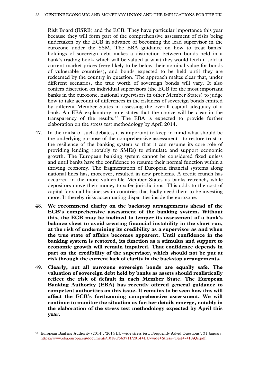Risk Board (ESRB) and the ECB. They have particular importance this year because they will form part of the comprehensive assessment of risks being undertaken by the ECB in advance of becoming the lead supervisor in the eurozone under the SSM. The EBA guidance on how to treat banks' holdings of sovereign debt makes a distinction between bonds held in a bank's trading book, which will be valued at what they would fetch if sold at current market prices (very likely to be below their nominal value for bonds of vulnerable countries), and bonds expected to be held until they are redeemed by the country in question. The approach makes clear that, under different scenarios, the true worth of sovereign bonds will vary. It also confers discretion on individual supervisors (the ECB for the most important banks in the eurozone, national supervisors in other Member States) to judge how to take account of differences in the riskiness of sovereign bonds emitted by different Member States in assessing the overall capital adequacy of a bank. An EBA explanatory note states that the choice will be clear in the transparency of the results. $47$  The EBA is expected to provide further elaboration on the stress test methodology by April 2014.

- 47. In the midst of such debates, it is important to keep in mind what should be the underlying purpose of the comprehensive assessment—to restore trust in the resilience of the banking system so that it can resume its core role of providing lending (notably to SMEs) to stimulate and support economic growth. The European banking system cannot be considered fixed unless and until banks have the confidence to resume their normal function within a thriving economy. The fragmentation of European financial systems along national lines has, moreover, resulted in new problems. A credit crunch has occurred in the more vulnerable Member States as banks retrench, while depositors move their money to safer jurisdictions. This adds to the cost of capital for small businesses in countries that badly need them to be investing more. It thereby risks accentuating disparities inside the eurozone.
- 48. **We recommend clarity on the backstop arrangements ahead of the ECB's comprehensive assessment of the banking system. Without this, the ECB may be inclined to temper its assessment of a bank's balance sheet to avoid creating financial instability in the short run, at the risk of undermining its credibility as a supervisor as and when the true state of affairs becomes apparent. Until confidence in the banking system is restored, its function as a stimulus and support to economic growth will remain impaired. That confidence depends in part on the credibility of the supervisor, which should not be put at risk through the current lack of clarity in the backstop arrangements.**
- 49. **Clearly, not all eurozone sovereign bonds are equally safe. The valuation of sovereign debt held by banks as assets should realistically reflect the risk of default in each Member State. The European Banking Authority (EBA) has recently offered general guidance to competent authorities on this issue. It remains to be seen how this will affect the ECB's forthcoming comprehensive assessment. We will continue to monitor the situation as further details emerge, notably in the elaboration of the stress test methodology expected by April this year.**

<span id="page-27-0"></span> <sup>47</sup> European Banking Authority (2014), '2014 EU-wide stress test: Frequently Asked Questions', 31 January: [https://www.eba.europa.eu/documents/10180/563711/2014+EU-wide+Stress+Test+-+FAQs.pdf.](https://www.eba.europa.eu/documents/10180/563711/2014+EU-wide+Stress+Test+-+FAQs.pdf)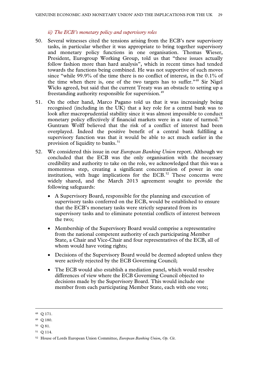# *ii) The ECB's monetary policy and supervisory roles*

- 50. Several witnesses cited the tensions arising from the ECB's new supervisory tasks, in particular whether it was appropriate to bring together supervisory and monetary policy functions in one organisation. Thomas Wieser, President, Eurogroup Working Group, told us that "these issues actually follow fashion more than hard analysis", which in recent times had tended towards the functions being combined. He was not supportive of such moves since "while 99.9% of the time there is no conflict of interest, in the 0.1% of the time when there is, one of the two targets has to suffer."<sup>[48](#page-28-0)</sup> Sir Nigel Wicks agreed, but said that the current Treaty was an obstacle to setting up a freestanding authority responsible for supervision.<sup>[49](#page-28-1)</sup>
- 51. On the other hand, Marco Pagano told us that it was increasingly being recognised (including in the UK) that a key role for a central bank was to look after macroprudential stability since it was almost impossible to conduct monetary policy effectively if financial markets were in a state of turmoil.<sup>[50](#page-28-2)</sup> Guntram Wolff believed that the risk of a conflict of interest had been overplayed. Indeed the positive benefit of a central bank fulfilling a supervisory function was that it would be able to act much earlier in the provision of liquidity to banks.<sup>[51](#page-28-3)</sup>
- 52. We considered this issue in our *European Banking Union* report*.* Although we concluded that the ECB was the only organisation with the necessary credibility and authority to take on the role, we acknowledged that this was a momentous step, creating a significant concentration of power in one institution, with huge implications for the ECB. $52$  These concerns were widely shared, and the March 2013 agreement sought to provide the following safeguards:
	- A Supervisory Board, responsible for the planning and execution of supervisory tasks conferred on the ECB, would be established to ensure that the ECB's monetary tasks were strictly separated from its supervisory tasks and to eliminate potential conflicts of interest between the two;
	- Membership of the Supervisory Board would comprise a representative from the national competent authority of each participating Member State, a Chair and Vice-Chair and four representatives of the ECB, all of whom would have voting rights;
	- Decisions of the Supervisory Board would be deemed adopted unless they were actively rejected by the ECB Governing Council;
	- The ECB would also establish a mediation panel, which would resolve differences of view where the ECB Governing Council objected to decisions made by the Supervisory Board. This would include one member from each participating Member State, each with one vote;

<span id="page-28-0"></span> <sup>48</sup> Q 171.

<span id="page-28-1"></span><sup>49</sup> Q 180.

<span id="page-28-2"></span><sup>50</sup> Q 81.

<span id="page-28-3"></span><sup>51</sup> Q 114.

<span id="page-28-4"></span><sup>52</sup> House of Lords European Union Committee, *European Banking Union*, *Op. Cit*.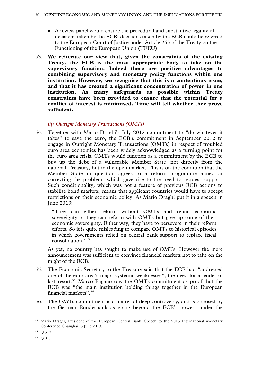- A review panel would ensure the procedural and substantive legality of decisions taken by the ECB: decisions taken by the ECB could be referred to the European Court of Justice under Article 263 of the Treaty on the Functioning of the European Union (TFEU).
- 53. **We reiterate our view that, given the constraints of the existing Treaty, the ECB is the most appropriate body to take on the supervisory function. Indeed there are positive advantages to combining supervisory and monetary policy functions within one institution. However, we recognise that this is a contentious issue, and that it has created a significant concentration of power in one institution. As many safeguards as possible within Treaty constraints have been provided to ensure that the potential for a conflict of interest is minimised. Time will tell whether they prove sufficient.**

# *iii) Outright Monetary Transactions (OMTs)*

54. Together with Mario Draghi's July 2012 commitment to "do whatever it takes" to save the euro, the ECB's commitment in September 2012 to engage in Outright Monetary Transactions (OMTs) in respect of troubled euro area economies has been widely acknowledged as a turning point for the euro area crisis. OMTs would function as a commitment by the ECB to buy up the debt of a vulnerable Member State, not directly from the national Treasury, but in the open market. This is on the condition that the Member State in question agrees to a reform programme aimed at correcting the problems which gave rise to the need to request support. Such conditionality, which was not a feature of previous ECB actions to stabilise bond markets, means that applicant countries would have to accept restrictions on their economic policy. As Mario Draghi put it in a speech in June 2013:

"They can either reform without OMTs and retain economic sovereignty or they can reform with OMTs but give up some of their economic sovereignty. Either way, they have to persevere in their reform efforts. So it is quite misleading to compare OMTs to historical episodes in which governments relied on central bank support to replace fiscal consolidation."[53](#page-29-0)

As yet, no country has sought to make use of OMTs. However the mere announcement was sufficient to convince financial markets not to take on the might of the ECB.

- 55. The Economic Secretary to the Treasury said that the ECB had "addressed one of the euro area's major systemic weaknesses", the need for a lender of last resort.<sup>[54](#page-29-1)</sup> Marco Pagano saw the OMTs commitment as proof that the ECB was "the main institution holding things together in the European financial markets". [55](#page-29-2)
- 56. The OMTs commitment is a matter of deep controversy, and is opposed by the German Bundesbank as going beyond the ECB's powers under the

<span id="page-29-0"></span> <sup>53</sup> Mario Draghi, President of the European Central Bank, Speech to the 2013 International Monetary Conference, Shanghai (3 June 2013).

<span id="page-29-1"></span><sup>54</sup> Q 317.

<span id="page-29-2"></span><sup>55</sup> Q 81.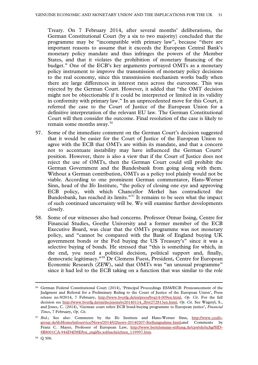Treaty. On 7 February 2014, after several months' deliberations, the German Constitutional Court (by a six to two majority) concluded that the programme may be "incompatible with primary law", because "there are important reasons to assume that it exceeds the European Central Bank's monetary policy mandate and thus infringes the powers of the Member States, and that it violates the prohibition of monetary financing of the budget." One of the ECB's key arguments portrayed OMTs as a monetary policy instrument to improve the transmission of monetary policy decisions to the real economy, since this transmission mechanism works badly when there are large differences in interest rates across the eurozone. This was rejected by the German Court. However, it added that "the OMT decision might not be objectionable if it could be interpreted or limited in its validity in conformity with primary law." In an unprecedented move for this Court, it referred the case to the Court of Justice of the European Union for a definitive interpretation of the relevant EU law. The German Constitutional Court will then consider the outcome. Final resolution of the case is likely to remain some months away.<sup>[56](#page-30-0)</sup>

- 57. Some of the immediate comment on the German Court's decision suggested that it would be easier for the Court of Justice of the European Union to agree with the ECB that OMTs are within its mandate, and that a concern not to accentuate instability may have influenced the German Courts' position. However, there is also a view that if the Court of Justice does not reject the use of OMTs, then the German Court could still prohibit the German Government and the Bundesbank from going along with them. Without a German contribution, OMTs as a policy tool plainly would not be viable. According to one prominent German commentator, Hans-Werner Sinn, head of the Ifo Institute, "the policy of closing one eye and approving ECB policy, with which Chancellor Merkel has contradicted the Bundesbank, has reached its limits."[57](#page-30-1) It remains to be seen what the impact of such continued uncertainty will be. We will examine further developments closely.
- 58. Some of our witnesses also had concerns. Professor Otmar Issing, Centre for Financial Studies, Goethe University and a former member of the ECB Executive Board, was clear that the OMTs programme was not monetary policy, and "cannot be compared with the Bank of England buying UK government bonds or the Fed buying the US Treasury's" since it was a selective buying of bonds. He stressed that "this is something for which, in the end, you need a political decision, political support and, finally, democratic legitimacy."[58](#page-30-2) Dr Clemens Fuest, President, Centre for European Economic Research (ZEW), said that OMTs was "an unusual programme" since it had led to the ECB taking on a function that was similar to the role

<span id="page-30-0"></span> <sup>56</sup> German Federal Constitutional Court (2014), 'Principal Proceedings ESM/ECB: Pronouncement of the Judgment and Referral for a Preliminary Ruling to the Court of Justice of the European Union', Press release no.9/2014, 7 February, <http://www.bverfg.de/en/press/bvg14-009en.html>*, Op. Cit*. For the full decision see [http://www.bverfg.de/en/decisions/rs20140114\\_2bvr272813en.html,](http://www.bverfg.de/en/decisions/rs20140114_2bvr272813en.html) *Op. Cit*. See Wagstyl, S., and Jones, C. (2014), 'German court refers ECB bond-buying programme to European justice', *Financial Times*, 7 February, *Op. Cit*.

<span id="page-30-1"></span><sup>57</sup> *Ibid*.; See also: Comments by the Ifo Institute and Hans-Werner Sinn, [http://www.cesifo](http://www.cesifo-group.de/ifoHome/infoservice/News/2014/02/news-20140207-Stellungnahme.html)[group.de/ifoHome/infoservice/News/2014/02/news-20140207-Stellungnahme.html;a](http://www.cesifo-group.de/ifoHome/infoservice/News/2014/02/news-20140207-Stellungnahme.html)nd Comments by Franz C. Mayer, Professor of European Law, [http://www.bertelsmann-stiftung.de/cps/rde/xchg/SID-](http://www.bertelsmann-stiftung.de/cps/rde/xchg/SID-8B8001CA-944D4D8E/bst_engl/hs.xsl/nachrichten_119997.htm)[8B8001CA-944D4D8E/bst\\_engl/hs.xsl/nachrichten\\_119997.htm.](http://www.bertelsmann-stiftung.de/cps/rde/xchg/SID-8B8001CA-944D4D8E/bst_engl/hs.xsl/nachrichten_119997.htm)

<span id="page-30-2"></span><sup>58</sup> Q 306.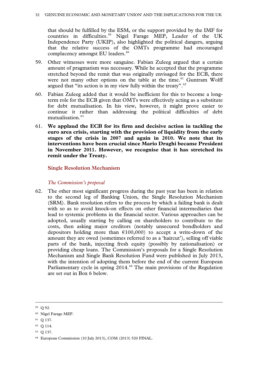that should be fulfilled by the ESM, or the support provided by the IMF for countries in difficulties.[59](#page-31-0) Nigel Farage MEP, Leader of the UK Independence Party (UKIP), also highlighted the political dangers, arguing that the relative success of the OMTs programme had encouraged complacency amongst EU leaders.<sup>[60](#page-31-1)</sup>

- 59. Other witnesses were more sanguine. Fabian Zuleeg argued that a certain amount of pragmatism was necessary. While he accepted that the programme stretched beyond the remit that was originally envisaged for the ECB, there were not many other options on the table at the time.<sup>[61](#page-31-2)</sup> Guntram Wolff argued that "its action is in my view fully within the treaty". $62$
- 60. Fabian Zuleeg added that it would be inefficient for this to become a longterm role for the ECB given that OMTs were effectively acting as a substitute for debt mutualisation. In his view, however, it might prove easier to continue it rather than addressing the political difficulties of debt mutualisation. [63](#page-31-4)
- 61. **We applaud the ECB for its firm and decisive action in tackling the euro area crisis, starting with the provision of liquidity from the early stages of the crisis in 2007 and again in 2010. We note that its interventions have been crucial since Mario Draghi became President in November 2011. However, we recognise that it has stretched its remit under the Treaty.**

# **Single Resolution Mechanism**

# *The Commission's proposal*

62. The other most significant progress during the past year has been in relation to the second leg of Banking Union, the Single Resolution Mechanism (SRM). Bank resolution refers to the process by which a failing bank is dealt with so as to avoid knock-on effects on other financial intermediaries that lead to systemic problems in the financial sector. Various approaches can be adopted, usually starting by calling on shareholders to contribute to the costs, then asking major creditors (notably unsecured bondholders and depositors holding more than  $\epsilon$ 100,000) to accept a write-down of the amount they are owed (sometimes referred to as a 'haircut'), selling off viable parts of the bank, injecting fresh equity (possibly by nationalisation) or providing cheap loans. The Commission's proposals for a Single Resolution Mechanism and Single Bank Resolution Fund were published in July 2013, with the intention of adopting them before the end of the current European Parliamentary cycle in spring 2014.<sup>[64](#page-31-5)</sup> The main provisions of the Regulation are set out in Box 6 below.

- <span id="page-31-3"></span><sup>62</sup> Q 114.
- <span id="page-31-4"></span><sup>63</sup> Q 137.

<span id="page-31-0"></span> <sup>59</sup> Q 92.

<span id="page-31-1"></span><sup>60</sup> Nigel Farage MEP.

<span id="page-31-2"></span><sup>61</sup> Q 137.

<span id="page-31-5"></span><sup>64</sup> European Commission (10 July 2013), COM (2013) 520 FINAL.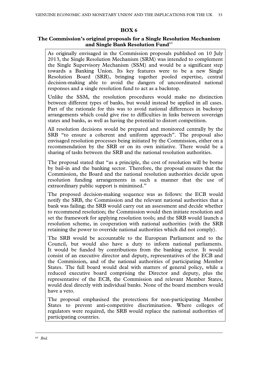# **BOX 6**

#### **The Commission's original proposals for a Single Resolution Mechanism and Single Bank Resolution Fund**[65](#page-32-0)

As originally envisaged in the Commission proposals published on 10 July 2013, the Single Resolution Mechanism (SRM) was intended to complement the Single Supervisory Mechanism (SSM) and would be a significant step towards a Banking Union. Its key features were to be a new Single Resolution Board (SRB), bringing together pooled expertise, central decision-making able to avoid the dangers of uncoordinated national responses and a single resolution fund to act as a backstop.

Unlike the SSM, the resolution procedures would make no distinction between different types of banks, but would instead be applied in all cases. Part of the rationale for this was to avoid national differences in backstop arrangements which could give rise to difficulties in links between sovereign states and banks, as well as having the potential to distort competition.

All resolution decisions would be prepared and monitored centrally by the SRB "to ensure a coherent and uniform approach". The proposal also envisaged resolution processes being initiated by the Commission, either on a recommendation by the SRB or on its own initiative. There would be a sharing of tasks between the SRB and the national resolution authorities.

The proposal stated that "as a principle, the cost of resolution will be borne by bail-in and the banking sector. Therefore, the proposal ensures that the Commission, the Board and the national resolution authorities decide upon resolution funding arrangements in such a manner that the use of extraordinary public support is minimised."

The proposed decision-making sequence was as follows: the ECB would notify the SRB, the Commission and the relevant national authorities that a bank was failing; the SRB would carry out an assessment and decide whether to recommend resolution; the Commission would then initiate resolution and set the framework for applying resolution tools; and the SRB would launch a resolution scheme, in cooperation with national authorities (with the SRB retaining the power to override national authorities which did not comply).

The SRB would be accountable to the European Parliament and to the Council, but would also have a duty to inform national parliaments. It would be funded by contributions from the banking sector. It would consist of an executive director and deputy, representatives of the ECB and the Commission, and of the national authorities of participating Member States. The full board would deal with matters of general policy, while a reduced executive board comprising the Director and deputy, plus the representative of the ECB, the Commission and relevant Member States, would deal directly with individual banks. None of the board members would have a veto.

<span id="page-32-0"></span>The proposal emphasised the protections for non-participating Member States to prevent anti-competitive discrimination. Where colleges of regulators were required, the SRB would replace the national authorities of participating countries.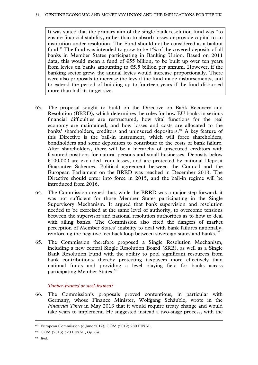It was stated that the primary aim of the single bank resolution fund was "to ensure financial stability, rather than to absorb losses or provide capital to an institution under resolution. The Fund should not be considered as a bailout fund." The fund was intended to grow to be 1% of the covered deposits of all banks in Member States participating in Banking Union. Based on 2011 data, this would mean a fund of  $\epsilon$ 55 billion, to be built up over ten years from levies on banks amounting to  $65.5$  billion per annum. However, if the banking sector grew, the annual levies would increase proportionally. There were also proposals to increase the levy if the fund made disbursements, and to extend the period of building-up to fourteen years if the fund disbursed more than half its target size.

- 63. The proposal sought to build on the Directive on Bank Recovery and Resolution (BRRD), which determines the rules for how EU banks in serious financial difficulties are restructured, how vital functions for the real economy are maintained, and how losses and costs are allocated to the banks' shareholders, creditors and uninsured depositors.<sup>[66](#page-33-0)</sup> A key feature of this Directive is the bail-in instrument, which will force shareholders, bondholders and some depositors to contribute to the costs of bank failure. After shareholders, there will be a hierarchy of unsecured creditors with favoured positions for natural persons and small businesses. Deposits below  $€100,000$  are excluded from losses, and are protected by national Deposit Guarantee Schemes. Political agreement between the Council and the European Parliament on the BRRD was reached in December 2013. The Directive should enter into force in 2015, and the bail-in regime will be introduced from 2016.
- 64. The Commission argued that, while the BRRD was a major step forward, it was not sufficient for those Member States participating in the Single Supervisory Mechanism. It argued that bank supervision and resolution needed to be exercised at the same level of authority, to overcome tensions between the supervisor and national resolution authorities as to how to deal with ailing banks. The Commission also cited the dangers of market perception of Member States' inability to deal with bank failures nationally, reinforcing the negative feedback loop between sovereign states and banks.<sup>[67](#page-33-1)</sup>
- 65. The Commission therefore proposed a Single Resolution Mechanism, including a new central Single Resolution Board (SRB), as well as a Single Bank Resolution Fund with the ability to pool significant resources from bank contributions, thereby protecting taxpayers more effectively than national funds and providing a level playing field for banks across participating Member States.<sup>[68](#page-33-2)</sup>

# *Timber-framed or steel-framed?*

66. The Commission's proposals proved contentious, in particular with Germany, whose Finance Minister, Wolfgang Schäuble, wrote in the *Financial Times* in May 2013 that it would require treaty change and would take years to implement. He suggested instead a two-stage process, with the

<span id="page-33-0"></span> <sup>66</sup> European Commission (6 June 2012), COM (2012) 280 FINAL.

<span id="page-33-2"></span><span id="page-33-1"></span><sup>67</sup> COM (2013) 520 FINAL, *Op. Cit*.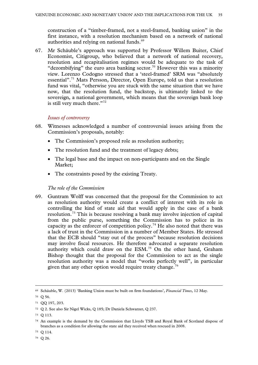construction of a "timber-framed, not a steel-framed, banking union" in the first instance, with a resolution mechanism based on a network of national authorities and relying on national funds.<sup>[69](#page-34-0)</sup>

67. Mr Schäuble's approach was supported by Professor Willem Buiter, Chief Economist, Citigroup, who believed that a network of national recovery, resolution and recapitalisation regimes would be adequate to the task of "dezombifying" the euro area banking sector.<sup>[70](#page-34-1)</sup> However this was a minority view. Lorenzo Codogno stressed that a 'steel-framed' SRM was "absolutely essential". [71](#page-34-2) Mats Persson, Director, Open Europe, told us that a resolution fund was vital, "otherwise you are stuck with the same situation that we have now, that the resolution fund, the backstop, is ultimately linked to the sovereign, a national government, which means that the sovereign bank loop is still very much there."<sup>[72](#page-34-3)</sup>

# *Issues of controversy*

- 68. Witnesses acknowledged a number of controversial issues arising from the Commission's proposals, notably:
	- The Commission's proposed role as resolution authority;
	- The resolution fund and the treatment of legacy debts;
	- The legal base and the impact on non-participants and on the Single Market;
	- The constraints posed by the existing Treaty.

# *The role of the Commission*

69. Guntram Wolff was concerned that the proposal for the Commission to act as resolution authority would create a conflict of interest with its role in controlling the kind of state aid that would apply in the case of a bank resolution.[73](#page-34-4) This is because resolving a bank may involve injection of capital from the public purse, something the Commission has to police in its capacity as the enforcer of competition policy.<sup>[74](#page-34-5)</sup> He also noted that there was a lack of trust in the Commission in a number of Member States. He stressed that the ECB should "stay out of the process" because resolution decisions may involve fiscal resources. He therefore advocated a separate resolution authority which could draw on the ESM.[75](#page-34-6) On the other hand, Graham Bishop thought that the proposal for the Commission to act as the single resolution authority was a model that "works perfectly well", in particular given that any other option would require treaty change.<sup>[76](#page-34-7)</sup>

<span id="page-34-0"></span> <sup>69</sup> Schäuble, W. (2013) 'Banking Union must be built on firm foundations', *Financial Times*, 12 May.

<span id="page-34-1"></span> $70 \Omega$  0 56.

<span id="page-34-2"></span><sup>71</sup> QQ 197, 203.

<span id="page-34-3"></span><sup>72</sup> Q 2. See also Sir Nigel Wicks, Q 185; Dr Daniela Schwarzer, Q 237.

<span id="page-34-4"></span><sup>73</sup> Q 113.

<span id="page-34-5"></span><sup>74</sup> An example is the demand by the Commission that Lloyds TSB and Royal Bank of Scotland dispose of branches as a condition for allowing the state aid they received when rescued in 2008.

<span id="page-34-6"></span><sup>75</sup> Q 114.

<span id="page-34-7"></span><sup>76</sup> Q 26.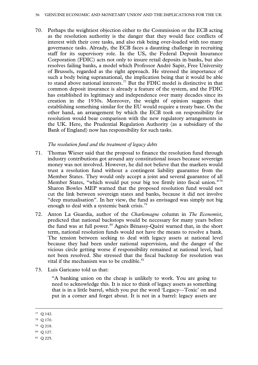70. Perhaps the weightiest objection either to the Commission or the ECB acting as the resolution authority is the danger that they would face conflicts of interest with their core tasks, and also risk being over-loaded with too many governance tasks. Already, the ECB faces a daunting challenge in recruiting staff for its supervisory role. In the US, the Federal Deposit Insurance Corporation (FDIC) acts not only to insure retail deposits in banks, but also resolves failing banks, a model which Professor André Sapir, Free University of Brussels, regarded as the right approach. He stressed the importance of such a body being supranational, the implication being that it would be able to stand above national interests.<sup>[77](#page-35-0)</sup> But the FDIC model is distinctive in that common deposit insurance is already a feature of the system, and the FDIC has established its legitimacy and independence over many decades since its creation in the 1930s. Moreover, the weight of opinion suggests that establishing something similar for the EU would require a treaty base. On the other hand, an arrangement by which the ECB took on responsibility for resolution would bear comparison with the new regulatory arrangements in the UK. Here, the Prudential Regulation Authority (as a subsidiary of the Bank of England) now has responsibility for such tasks.

# *The resolution fund and the treatment of legacy debts*

- 71. Thomas Wieser said that the proposal to finance the resolution fund through industry contributions got around any constitutional issues because sovereign money was not involved. However, he did not believe that the markets would trust a resolution fund without a contingent liability guarantee from the Member States. They would only accept a joint and several guarantee of all Member States, "which would put your big toe firmly into fiscal union."[78](#page-35-1) Sharon Bowles MEP warned that the proposed resolution fund would not cut the link between sovereign states and banks, because it did not involve "deep mutualisation". In her view, the fund as envisaged was simply not big enough to deal with a systemic bank crisis.<sup>[79](#page-35-2)</sup>
- 72. Anton La Guardia, author of the *Charlemagne* column in *The Economist*, predicted that national backstops would be necessary for many years before the fund was at full power. [80](#page-35-3) Agnès Bénassy-Quéré warned that, in the short term, national resolution funds would not have the means to resolve a bank. The tension between seeking to deal with legacy assets at national level because they had been under national supervision, and the danger of the vicious circle getting worse if responsibility remained at national level, had not been resolved. She stressed that the fiscal backstop for resolution was vital if the mechanism was to be credible. $81$
- 73. Luis Garicano told us that:

"A banking union on the cheap is unlikely to work. You are going to need to acknowledge this. It is nice to think of legacy assets as something that is in a little barrel, which you put the word 'Legacy—Toxic' on and put in a corner and forget about. It is not in a barrel: legacy assets are

- <span id="page-35-2"></span><sup>79</sup> Q 218.
- <span id="page-35-3"></span><sup>80</sup> Q 127.
- <span id="page-35-4"></span><sup>81</sup> Q 225.

<span id="page-35-0"></span> <sup>77</sup> <sup>Q</sup> 142.

<span id="page-35-1"></span><sup>78</sup> Q 170.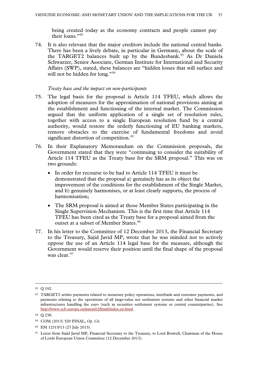being created today as the economy contracts and people cannot pay their loans."[82](#page-36-0)

74. It is also relevant that the major creditors include the national central banks. There has been a lively debate, in particular in Germany, about the scale of the TARGET2 balances built up by the Bundesbank.<sup>[83](#page-36-1)</sup> As Dr Daniela Schwarzer, Senior Associate, German Institute for International and Security Affairs (SWP), stated, these balances are "hidden losses that will surface and will not be hidden for long."<sup>[84](#page-36-2)</sup>

#### *Treaty base and the impact on non-participants*

- 75. The legal basis for the proposal is Article 114 TFEU, which allows the adoption of measures for the approximation of national provisions aiming at the establishment and functioning of the internal market. The Commission argued that the uniform application of a single set of resolution rules, together with access to a single European resolution fund by a central authority, would restore the orderly functioning of EU banking markets, remove obstacles to the exercise of fundamental freedoms and avoid significant distortion of competition.<sup>[85](#page-36-3)</sup>
- 76. In their Explanatory Memorandum on the Commission proposals, the Government stated that they were "continuing to consider the suitability of Article 114 TFEU as the Treaty base for the SRM proposal." This was on two grounds:
	- In order for recourse to be had to Article 114 TFEU it must be demonstrated that the proposal a) genuinely has as its object the improvement of the conditions for the establishment of the Single Market, and b) genuinely harmonises, or at least clearly supports, the process of harmonisation;
	- The SRM proposal is aimed at those Member States participating in the Single Supervision Mechanism. This is the first time that Article 114 TFEU has been cited as the Treaty base for a proposal aimed from the outset at a subset of Member States.<sup>[86](#page-36-4)</sup>
- 77. In his letter to the Committee of 12 December 2013, the Financial Secretary to the Treasury, Sajid Javid MP, wrote that he was minded not to actively oppose the use of an Article 114 legal base for the measure, although the Government would reserve their position until the final shape of the proposal was clear.<sup>[87](#page-36-5)</sup>

<span id="page-36-0"></span> <sup>82</sup> Q 192.

<span id="page-36-1"></span><sup>83</sup> TARGET2 settles payments related to monetary policy operations, interbank and customer payments, and payments relating to the operations of all large-value net settlement systems and other financial market infrastructures handling the euro (such as securities settlement systems or central counterparties). See [http://www.ecb.europa.eu/paym/t2/html/index.en.html.](http://www.ecb.europa.eu/paym/t2/html/index.en.html)

<span id="page-36-2"></span><sup>84</sup> Q 238.

<span id="page-36-3"></span><sup>85</sup> COM (2013) 520 FINAL, *Op. Cit*.

<span id="page-36-4"></span><sup>86</sup> EM 12315/13 (27 July 2013).

<span id="page-36-5"></span><sup>87</sup> Letter from Sajid Javid MP, Financial Secretary to the Treasury, to Lord Boswell, Chairman of the House of Lords European Union Committee (12 December 2013).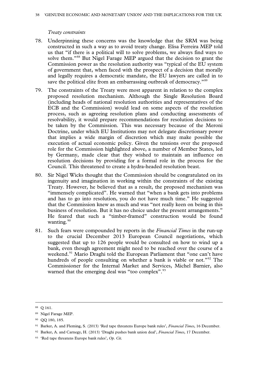# *Treaty constraints*

- 78. Underpinning these concerns was the knowledge that the SRM was being constructed in such a way as to avoid treaty change. Elisa Ferreira MEP told us that "if there is a political will to solve problems, we always find ways to solve them."[88](#page-37-0) But Nigel Farage MEP argued that the decision to grant the Commission power as the resolution authority was "typical of the EU system of government that, when faced with the prospect of a decision that morally and legally requires a democratic mandate, the EU lawyers are called in to save the political elite from an embarrassing outbreak of democracy."<sup>[89](#page-37-1)</sup>
- 79. The constraints of the Treaty were most apparent in relation to the complex proposed resolution mechanism. Although the Single Resolution Board (including heads of national resolution authorities and representatives of the ECB and the Commission) would lead on some aspects of the resolution process, such as agreeing resolution plans and conducting assessments of resolvability, it would prepare recommendations for resolution decisions to be taken by the Commission. This was necessary because of the Meroni Doctrine, under which EU Institutions may not delegate discretionary power that implies a wide margin of discretion which may make possible the execution of actual economic policy. Given the tensions over the proposed role for the Commission highlighted above, a number of Member States, led by Germany, made clear that they wished to maintain an influence on resolution decisions by providing for a formal role in the process for the Council. This threatened to create a hydra-headed resolution beast.
- 80. Sir Nigel Wicks thought that the Commission should be congratulated on its ingenuity and imagination in working within the constraints of the existing Treaty. However, he believed that as a result, the proposed mechanism was "immensely complicated". He warned that "when a bank gets into problems and has to go into resolution, you do not have much time." He suggested that the Commission knew as much and was "not really keen on being in this business of resolution. But it has no choice under the present arrangements." He feared that such a "timber-framed" construction would be found wanting. $90$
- 81. Such fears were compounded by reports in the *Financial Times* in the run-up to the crucial December 2013 European Council negotiations, which suggested that up to 126 people would be consulted on how to wind up a bank, even though agreement might need to be reached over the course of a weekend.<sup>[91](#page-37-3)</sup> Mario Draghi told the European Parliament that "one can't have hundreds of people consulting on whether a bank is viable or not."<sup>[92](#page-37-4)</sup> The Commissioner for the Internal Market and Services, Michel Barnier, also warned that the emerging deal was "too complex".<sup>[93](#page-37-5)</sup>

<span id="page-37-0"></span> <sup>88</sup> <sup>Q</sup> 161.

<span id="page-37-1"></span><sup>89</sup> Nigel Farage MEP.

<span id="page-37-2"></span><sup>90</sup> QQ 180, 185.

<span id="page-37-3"></span><sup>91</sup> Barker, A. and Fleming, S. (2013) 'Red tape threatens Europe bank rules', *Financial Times*, 16 December.

<span id="page-37-4"></span><sup>92</sup> Barker, A. and Carnegy, H. (2013) 'Draghi pushes bank union deal', *Financial Times*, 17 December.

<span id="page-37-5"></span><sup>93</sup> 'Red tape threatens Europe bank rules', *Op. Cit.*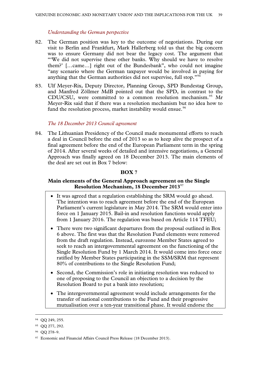### *Understanding the German perspective*

- 82. The German position was key to the outcome of negotiations. During our visit to Berlin and Frankfurt, Mark Hallerberg told us that the big concern was to ensure Germany did not bear the legacy cost. The argument that "'We did not supervise these other banks. Why should we have to resolve them?' […came…] right out of the Bundesbank", who could not imagine "any scenario where the German taxpayer would be involved in paying for anything that the German authorities did not supervise, full stop."<sup>[94](#page-38-0)</sup>
- 83. Ulf Meyer-Rix, Deputy Director, Planning Group, SPD Bundestag Group, and Manfred Zöllmer MdB pointed out that the SPD, in contrast to the CDU/CSU, were committed to a common resolution mechanism.<sup>[95](#page-38-1)</sup> Mr Meyer-Rix said that if there was a resolution mechanism but no idea how to fund the resolution process, market instability would ensue.<sup>[96](#page-38-2)</sup>

### *The 18 December 2013 Council agreement*

84. The Lithuanian Presidency of the Council made monumental efforts to reach a deal in Council before the end of 2013 so as to keep alive the prospect of a final agreement before the end of the European Parliament term in the spring of 2014. After several weeks of detailed and intensive negotiations, a General Approach was finally agreed on 18 December 2013. The main elements of the deal are set out in Box 7 below:

# **BOX 7**

# **Main elements of the General Approach agreement on the Single Resolution Mechanism, 18 December 2013**[97](#page-38-3)

- It was agreed that a regulation establishing the SRM would go ahead. The intention was to reach agreement before the end of the European Parliament's current legislature in May 2014. The SRM would enter into force on 1 January 2015. Bail-in and resolution functions would apply from 1 January 2016. The regulation was based on Article 114 TFEU;
- There were two significant departures from the proposal outlined in Box 6 above. The first was that the Resolution Fund elements were removed from the draft regulation. Instead, eurozone Member States agreed to seek to reach an intergovernmental agreement on the functioning of the Single Resolution Fund by 1 March 2014. It would come into force once ratified by Member States participating in the SSM/SRM that represent 80% of contributions to the Single Resolution Fund;
- Second, the Commission's role in initiating resolution was reduced to one of proposing to the Council an objection to a decision by the Resolution Board to put a bank into resolution;
- The intergovernmental agreement would include arrangements for the transfer of national contributions to the Fund and their progressive mutualisation over a ten-year transitional phase. It would endorse the

<span id="page-38-0"></span> <sup>94</sup> QQ 249, 255.

<span id="page-38-1"></span><sup>95</sup> QQ 277, 292.

<span id="page-38-2"></span><sup>96</sup> QQ 278–9.

<span id="page-38-3"></span><sup>&</sup>lt;sup>97</sup> Economic and Financial Affairs Council Press Release (18 December 2013).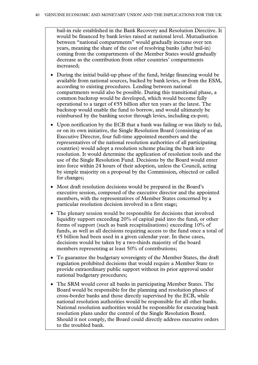bail-in rule established in the Bank Recovery and Resolution Directive. It would be financed by bank levies raised at national level. Mutualisation between "national compartments" would gradually increase over ten years, meaning the share of the cost of resolving banks (after bail-in) coming from the compartments of the Member States would gradually decrease as the contribution from other countries' compartments increased;

- During the initial build-up phase of the fund, bridge financing would be available from national sources, backed by bank levies, or from the ESM, according to existing procedures. Lending between national compartments would also be possible. During this transitional phase, a common backstop would be developed, which would become fully operational to a target of  $\epsilon$ 55 billion after ten years at the latest. The backstop would enable the fund to borrow, and would ultimately be reimbursed by the banking sector through levies, including ex-post;
- Upon notification by the ECB that a bank was failing or was likely to fail, or on its own initiative, the Single Resolution Board (consisting of an Executive Director, four full-time appointed members and the representatives of the national resolution authorities of all participating countries) would adopt a resolution scheme placing the bank into resolution. It would determine the application of resolution tools and the use of the Single Resolution Fund. Decisions by the Board would enter into force within 24 hours of their adoption, unless the Council, acting by simple majority on a proposal by the Commission, objected or called for changes;
- Most draft resolution decisions would be prepared in the Board's executive session, composed of the executive director and the appointed members, with the representatives of Member States concerned by a particular resolution decision involved in a first stage;
- The plenary session would be responsible for decisions that involved liquidity support exceeding 20% of capital paid into the fund, or other forms of support (such as bank recapitalisations) exceeding 10% of funds, as well as all decisions requiring access to the fund once a total of  $\epsilon$ 5 billion had been used in a given calendar year. In these cases, decisions would be taken by a two-thirds majority of the board members representing at least 50% of contributions;
- To guarantee the budgetary sovereignty of the Member States, the draft regulation prohibited decisions that would require a Member State to provide extraordinary public support without its prior approval under national budgetary procedures;
- The SRM would cover all banks in participating Member States. The Board would be responsible for the planning and resolution phases of cross-border banks and those directly supervised by the ECB, while national resolution authorities would be responsible for all other banks. National resolution authorities would be responsible for executing bank resolution plans under the control of the Single Resolution Board. Should it not comply, the Board could directly address executive orders to the troubled bank.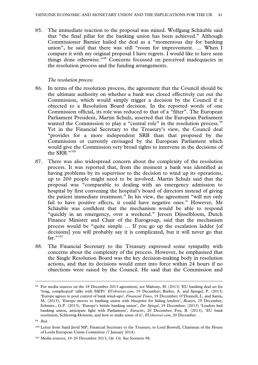85. The immediate reaction to the proposal was mixed. Wolfgang Schäuble said that "the final pillar for the banking union has been achieved." Although Commissioner Barnier hailed the deal as a "momentous day for banking union", he said that there was still "room for improvement. … When I compare it with my original proposal I have regrets. I would like to have seen things done otherwise."[98](#page-40-0) Concerns focussed on perceived inadequacies in the resolution process and the funding arrangements.

### *The resolution process*

- 86. In terms of the resolution process, the agreement that the Council should be the ultimate authority on whether a bank was closed effectively cut out the Commission, which would simply trigger a decision by the Council if it objected to a Resolution Board decision. In the reported words of one Commission official, its role was reduced to that of a "filter". The European Parliament President, Martin Schulz, asserted that the European Parliament wanted the Commission to play a "central role" in the resolution process.<sup>[99](#page-40-1)</sup> Yet in the Financial Secretary to the Treasury's view, the Council deal "provides for a more independent SRB than that proposed by the Commission or currently envisaged by the European Parliament which would give the Commission very broad rights to intervene in the decisions of the SRB."[100](#page-40-2)
- 87. There was also widespread concern about the complexity of the resolution process. It was reported that, from the moment a bank was identified as having problems by its supervisor to the decision to wind up its operations, up to 200 people might need to be involved. Martin Schulz said that the proposal was "comparable to dealing with an emergency admission to hospital by first convening the hospital's board of directors instead of giving the patient immediate treatment." In his view, the agreement "will not only fail to have positive effects, it could have negative ones." However, Mr Schäuble was confident that the mechanism would be able to respond "quickly in an emergency, over a weekend." Jeroen Dijsselbloem, Dutch Finance Minister and Chair of the Eurogroup, said that the mechanism process would be "quite simple … If you go up the escalation ladder [of decisions] you will probably say it is complicated, but it will never go that far $"$ <sup>[101](#page-40-3)</sup>
- 88. The Financial Secretary to the Treasury expressed some sympathy with concerns about the complexity of the process. However, he emphasised that the Single Resolution Board was the key decision-making body in resolution actions, and that its decisions would enter into force within 24 hours if no objections were raised by the Council. He said that the Commission and

<span id="page-40-0"></span> <sup>98</sup> For media sources on the 18 December 2013 agreement, see Mahony, H. (2013) 'EU banking deal set for 'long, complicated' talks with MEPs' *EUobserver.com*, 19 December; Barker, A. and Spiegel, P. (2013) 'Europe agrees to pool control of bank wind-ups', *Financial Times*, 19 December; O'Donnell, J., and Santa, M. (2013), 'Europe moves to banking union with blueprint for failing lenders', *Reuters*, 19 December; Schmitz., G.P. (2013), 'Europe's brittle banking union', *Der Spiegel*, 19 December; (2013) 'Leaders hail banking union, anticipate fight with Parliament', *Euractiv*, 20 December; Fox, B. (2013), 'EU bank resolution, Schleswig-Holstein, and how to make sense of it', *EUobserver.com*, 20 December.

<span id="page-40-1"></span><sup>99</sup> *Ibid.*

<span id="page-40-2"></span><sup>100</sup> Letter from Sajid Javid MP, Financial Secretary to the Treasury, to Lord Boswell, Chairman of the House of Lords European Union Committee (7 January 2014).

<span id="page-40-3"></span><sup>101</sup> Media sources, 19–20 December 2013, *Op. Cit.* See footnote 98.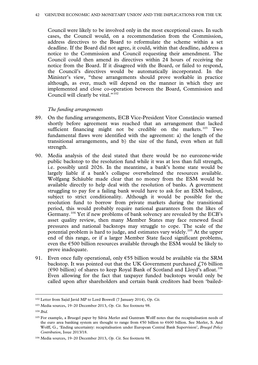Council were likely to be involved only in the most exceptional cases. In such cases, the Council would, on a recommendation from the Commission, address directives to the Board to reformulate the scheme within a set deadline. If the Board did not agree, it could, within that deadline, address a notice to the Commission and Council requesting their amendment. The Council could then amend its directives within 24 hours of receiving the notice from the Board. If it disagreed with the Board, or failed to respond, the Council's directives would be automatically incorporated. In the Minister's view, "these arrangements should prove workable in practice although, as ever, much will depend on the manner in which they are implemented and close co-operation between the Board, Commission and Council will clearly be vital." $102$ 

#### *The funding arrangements*

- 89. On the funding arrangements, ECB Vice-President Vitor Constâncio warned shortly before agreement was reached that an arrangement that lacked sufficient financing might not be credible on the markets.<sup>[103](#page-41-1)</sup> Two fundamental flaws were identified with the agreement: a) the length of the transitional arrangements, and b) the size of the fund, even when at full strength.
- 90. Media analysis of the deal stated that there would be no eurozone-wide public backstop to the resolution fund while it was at less than full strength, i.e. possibly until 2026. In the meantime, a bank's home state would be largely liable if a bank's collapse overwhelmed the resources available. Wolfgang Schäuble made clear that no money from the ESM would be available directly to help deal with the resolution of banks. A government struggling to pay for a failing bank would have to ask for an ESM bailout, subject to strict conditionality. Although it would be possible for the resolution fund to borrow from private markets during the transitional period, this would probably require national guarantees from the likes of Germany.<sup>[104](#page-41-2)</sup> Yet if new problems of bank solvency are revealed by the ECB's asset quality review, then many Member States may face renewed fiscal pressures and national backstops may struggle to cope. The scale of the potential problem is hard to judge, and estimates vary widely.[105](#page-41-3) At the upper end of this range, or if a larger Member State faced significant problems, even the  $\epsilon$ 500 billion resources available through the ESM would be likely to prove inadequate.
- 91. Even once fully operational, only  $655$  billion would be available via the SRM backstop. It was pointed out that the UK Government purchased  $f$ . 76 billion ( $€90$  billion) of shares to keep Royal Bank of Scotland and Lloyd's afloat.<sup>[106](#page-41-4)</sup> Even allowing for the fact that taxpayer funded backstops would only be called upon after shareholders and certain bank creditors had been 'bailed-

<span id="page-41-0"></span> <sup>102</sup> Letter from Sajid Javid MP to Lord Boswell (7 January 2014), *Op. Cit.*

<span id="page-41-1"></span><sup>103</sup> Media sources, 19–20 December 2013, *Op. Cit.* See footnote 98.

<span id="page-41-2"></span><sup>104</sup> *Ibid.*

<span id="page-41-3"></span><sup>105</sup> For example, a Bruegel paper by Silvia Merler and Guntram Wolff notes that the recapitalisation needs of the euro area banking system are thought to range from €50 billion to €600 billion. See Merler, S. And Wolff, G., 'Ending uncertainty: recapitalisation under European Central Bank Supervision', *Bruegel Policy Contribution,* Issue 2013/18.

<span id="page-41-4"></span><sup>106</sup> Media sources, 19–20 December 2013, *Op. Cit*. See footnote 98.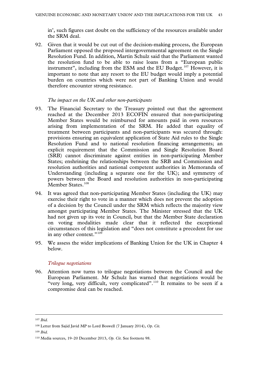in', such figures cast doubt on the sufficiency of the resources available under the SRM deal.

92. Given that it would be cut out of the decision-making process, the European Parliament opposed the proposed intergovernmental agreement on the Single Resolution Fund. In addition, Martin Schulz said that the Parliament wanted the resolution fund to be able to raise loans from a "European public instrument", including from the ESM and the EU Budget. $107$  However, it is important to note that any resort to the EU budget would imply a potential burden on countries which were not part of Banking Union and would therefore encounter strong resistance.

### *The impact on the UK and other non-participants*

- 93. The Financial Secretary to the Treasury pointed out that the agreement reached at the December 2013 ECOFIN ensured that non-participating Member States would be reimbursed for amounts paid in own resources arising from implementation of the SRM. He added that equality of treatment between participants and non-participants was secured through: provisions ensuring an equivalent application of State Aid rules to the Single Resolution Fund and to national resolution financing arrangements; an explicit requirement that the Commission and Single Resolution Board (SRB) cannot discriminate against entities in non-participating Member States; enshrining the relationships between the SRB and Commission and resolution authorities and national competent authorities in Memoranda of Understanding (including a separate one for the UK); and symmetry of powers between the Board and resolution authorities in non-participating Member States.<sup>[108](#page-42-1)</sup>
- 94. It was agreed that non-participating Member States (including the UK) may exercise their right to vote in a manner which does not prevent the adoption of a decision by the Council under the SRM which reflects the majority view amongst participating Member States. The Minister stressed that the UK had not given up its vote in Council, but that the Member State declaration on voting modalities made clear that it reflected the exceptional circumstances of this legislation and "does not constitute a precedent for use in any other context." $109$
- 95. We assess the wider implications of Banking Union for the UK in Chapter 4 below.

### *Trilogue negotiations*

96. Attention now turns to trilogue negotiations between the Council and the European Parliament. Mr Schulz has warned that negotiations would be "very long, very difficult, very complicated".<sup>[110](#page-42-3)</sup> It remains to be seen if a compromise deal can be reached.

<span id="page-42-0"></span> <sup>107</sup> *Ibid.*

<span id="page-42-1"></span><sup>108</sup> Letter from Sajid Javid MP to Lord Boswell (7 January 2014), *Op. Cit.*

<span id="page-42-2"></span><sup>109</sup> *Ibid.*

<span id="page-42-3"></span><sup>110</sup> Media sources, 19–20 December 2013, *Op. Cit*. See footnote 98.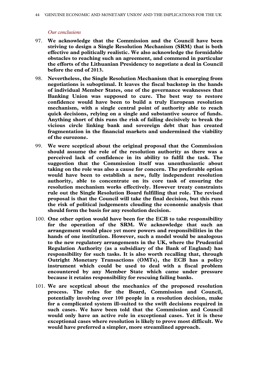#### *Our conclusions*

- 97. **We acknowledge that the Commission and the Council have been striving to design a Single Resolution Mechanism (SRM) that is both effective and politically realistic. We also acknowledge the formidable obstacles to reaching such an agreement, and commend in particular the efforts of the Lithuanian Presidency to negotiate a deal in Council before the end of 2013.**
- 98. **Nevertheless, the Single Resolution Mechanism that is emerging from negotiations is suboptimal. It leaves the fiscal backstop in the hands of individual Member States, one of the governance weaknesses that Banking Union was supposed to cure. The best way to restore confidence would have been to build a truly European resolution mechanism, with a single central point of authority able to reach quick decisions, relying on a single and substantive source of funds. Anything short of this runs the risk of failing decisively to break the vicious circle linking bank and sovereign debt that has created fragmentation in the financial markets and undermined the viability of the eurozone.**
- 99. **We were sceptical about the original proposal that the Commission should assume the role of the resolution authority as there was a perceived lack of confidence in its ability to fulfil the task. The suggestion that the Commission itself was unenthusiastic about taking on the role was also a cause for concern. The preferable option would have been to establish a new, fully independent resolution authority, able to concentrate on its core task of ensuring the resolution mechanism works effectively. However treaty constraints rule out the Single Resolution Board fulfilling that role. The revised proposal is that the Council will take the final decision, but this runs the risk of political judgements clouding the economic analysis that should form the basis for any resolution decision.**
- 100. **One other option would have been for the ECB to take responsibility for the operation of the SRM. We acknowledge that such an arrangement would place yet more powers and responsibilities in the hands of one institution. However, such a model would be analogous to the new regulatory arrangements in the UK, where the Prudential Regulation Authority (as a subsidiary of the Bank of England) has responsibility for such tasks. It is also worth recalling that, through Outright Monetary Transactions (OMTs), the ECB has a policy instrument which could be used to deal with a fiscal problem encountered by any Member State which came under pressure because it retains responsibility for rescuing failing banks.**
- 101. **We are sceptical about the mechanics of the proposed resolution process. The roles for the Board, Commission and Council, potentially involving over 100 people in a resolution decision, make for a complicated system ill-suited to the swift decisions required in such cases. We have been told that the Commission and Council would only have an active role in exceptional cases. Yet it is these exceptional cases where resolution is likely to prove most difficult. We would have preferred a simpler, more streamlined approach.**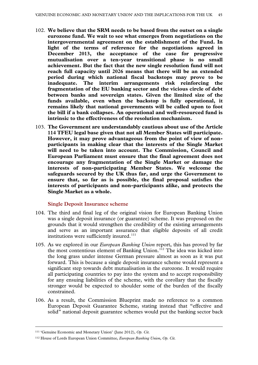- 102. **We believe that the SRM needs to be based from the outset on a single eurozone fund. We wait to see what emerges from negotiations on the intergovernmental agreement on the establishment of the Fund. In light of the terms of reference for the negotiations agreed in December 2013, the acceptance of the case for progressive mutualisation over a ten-year transitional phase is no small achievement. But the fact that the new single resolution fund will not reach full capacity until 2026 means that there will be an extended period during which national fiscal backstops may prove to be inadequate. The interim arrangements risk reinforcing the fragmentation of the EU banking sector and the vicious circle of debt between banks and sovereign states. Given the limited size of the funds available, even when the backstop is fully operational, it remains likely that national governments will be called upon to foot the bill if a bank collapses. An operational and well-resourced fund is intrinsic to the effectiveness of the resolution mechanism.**
- 103. **The Government are understandably cautious about use of the Article 114 TFEU legal base given that not all Member States will participate. However, it may prove advantageous from the point of view of nonparticipants in making clear that the interests of the Single Market will need to be taken into account. The Commission, Council and European Parliament must ensure that the final agreement does not encourage any fragmentation of the Single Market or damage the interests of non-participating Member States. We welcome the safeguards secured by the UK thus far, and urge the Government to ensure that, so far as is possible, the final proposal satisfies the interests of participants and non-participants alike, and protects the Single Market as a whole.**

# **Single Deposit Insurance scheme**

- 104. The third and final leg of the original vision for European Banking Union was a single deposit insurance (or guarantee) scheme. It was proposed on the grounds that it would strengthen the credibility of the existing arrangements and serve as an important assurance that eligible deposits of all credit institutions were sufficiently insured.<sup>[111](#page-44-0)</sup>
- 105. As we explored in our *European Banking Union* report, this has proved by far the most contentious element of Banking Union.<sup>[112](#page-44-1)</sup> The idea was kicked into the long grass under intense German pressure almost as soon as it was put forward. This is because a single deposit insurance scheme would represent a significant step towards debt mutualisation in the eurozone. It would require all participating countries to pay into the system and to accept responsibility for any ensuing liabilities of the scheme, with the corollary that the fiscally stronger would be expected to shoulder some of the burden of the fiscally constrained.
- 106. As a result, the Commission Blueprint made no reference to a common European Deposit Guarantee Scheme, stating instead that "effective and solid" national deposit guarantee schemes would put the banking sector back

<span id="page-44-0"></span> <sup>111</sup> 'Genuine Economic and Monetary Union' (June 2012), *Op. Cit.*

<span id="page-44-1"></span><sup>112</sup> House of Lords European Union Committee, *European Banking Union*, *Op. Cit.*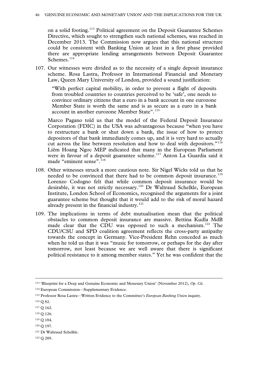on a solid footing.<sup>[113](#page-45-0)</sup> Political agreement on the Deposit Guarantee Schemes Directive, which sought to strengthen such national schemes, was reached in December 2013. The Commission now argues that this national structure could be consistent with Banking Union at least in a first phase provided there are appropriate lending arrangements between Deposit Guarantee Schemes.<sup>[114](#page-45-1)</sup>

107. Our witnesses were divided as to the necessity of a single deposit insurance scheme. Rosa Lastra, Professor in International Financial and Monetary Law, Queen Mary University of London, provided a sound justification:

"With perfect capital mobility, in order to prevent a flight of deposits from troubled countries to countries perceived to be 'safe', one needs to convince ordinary citizens that a euro in a bank account in one eurozone Member State is worth the same and is as secure as a euro in a bank account in another eurozone Member State".<sup>[115](#page-45-2)</sup>

Marco Pagano told us that the model of the Federal Deposit Insurance Corporation (FDIC) in the USA was advantageous because "when you have to restructure a bank or shut down a bank, the issue of how to protect depositors of that bank immediately comes up, and it is very hard to actually cut across the line between resolution and how to deal with depositors."<sup>[116](#page-45-3)</sup> Liêm Hoang Ngoc MEP indicated that many in the European Parliament were in favour of a deposit guarantee scheme.<sup>[117](#page-45-4)</sup> Anton La Guardia said it made "eminent sense".<sup>[118](#page-45-5)</sup>

- 108. Other witnesses struck a more cautious note. Sir Nigel Wicks told us that he needed to be convinced that there had to be common deposit insurance.<sup>[119](#page-45-6)</sup> Lorenzo Codogno felt that while common deposit insurance would be desirable, it was not strictly necessary.<sup>[120](#page-45-7)</sup> Dr Waltraud Schelkle, European Institute, London School of Economics, recognised the arguments for a joint guarantee scheme but thought that it would add to the risk of moral hazard already present in the financial industry.<sup>[121](#page-45-8)</sup>
- 109. The implications in terms of debt mutualisation mean that the political obstacles to common deposit insurance are massive. Bettina Kudla MdB made clear that the CDU was opposed to such a mechanism.<sup>[122](#page-45-9)</sup> The CDU/CSU and SPD coalition agreement reflects the cross-party antipathy towards the concept in Germany. Vice-President Rehn conceded as much when he told us that it was "music for tomorrow, or perhaps for the day after tomorrow, not least because we are well aware that there is significant political resistance to it among member states." Yet he was confident that the

<span id="page-45-0"></span> <sup>113</sup> 'Blueprint for a Deep and Genuine Economic and Monetary Union' (November 2012), *Op. Cit.*

<span id="page-45-1"></span><sup>114</sup> European Commission—Supplementary Evidence.

<span id="page-45-2"></span><sup>115</sup> Professor Rosa Lastra—Written Evidence to the Committee's *European Banking Union* inquiry.

<span id="page-45-3"></span><sup>116</sup> Q 82.

<span id="page-45-4"></span><sup>117</sup> Q 162.

<span id="page-45-5"></span><sup>118</sup> Q 126.

<span id="page-45-6"></span><sup>119</sup> Q 184.

<span id="page-45-7"></span><sup>120</sup> Q 197.

<span id="page-45-8"></span><sup>121</sup> Dr Waltraud Schelkle.

<span id="page-45-9"></span><sup>122</sup> Q 289.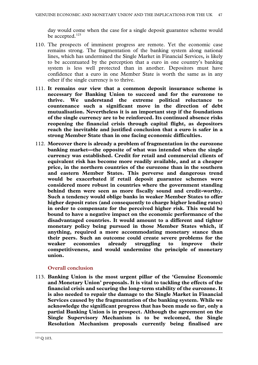day would come when the case for a single deposit guarantee scheme would be accepted.<sup>[123](#page-46-0)</sup>

- 110. The prospects of imminent progress are remote. Yet the economic case remains strong. The fragmentation of the banking system along national lines, which has undermined the Single Market in Financial Services, is likely to be accentuated by the perception that a euro in one country's banking system is less well protected than in another. Depositors must have confidence that a euro in one Member State is worth the same as in any other if the single currency is to thrive.
- 111. **It remains our view that a common deposit insurance scheme is necessary for Banking Union to succeed and for the eurozone to thrive. We understand the extreme political reluctance to countenance such a significant move in the direction of debt mutualisation. Nevertheless it is an important step if the foundations of the single currency are to be reinforced. Its continued absence risks reopening the financial crisis through capital flight, as depositors reach the inevitable and justified conclusion that a euro is safer in a strong Member State than in one facing economic difficulties.**
- 112. **Moreover there is already a problem of fragmentation in the eurozone banking market—the opposite of what was intended when the single currency was established. Credit for retail and commercial clients of equivalent risk has become more readily available, and at a cheaper price, in the northern countries of the eurozone than in the southern and eastern Member States. This perverse and dangerous trend would be exacerbated if retail deposit guarantee schemes were considered more robust in countries where the government standing behind them were seen as more fiscally sound and credit-worthy. Such a tendency would oblige banks in weaker Member States to offer higher deposit rates (and consequently to charge higher lending rates) in order to compensate for the perceived higher risk. This would be bound to have a negative impact on the economic performance of the disadvantaged countries. It would amount to a different and tighter monetary policy being pursued in those Member States which, if anything, required a more accommodating monetary stance than their peers. Such an outcome could create severe problems for the weaker economies already struggling to improve their competitiveness, and would undermine the principle of monetary union.**

# **Overall conclusion**

<span id="page-46-0"></span>113. **Banking Union is the most urgent pillar of the 'Genuine Economic and Monetary Union' proposals. It is vital to tackling the effects of the financial crisis and securing the long-term stability of the eurozone. It is also needed to repair the damage to the Single Market in Financial Services caused by the fragmentation of the banking system. While we acknowledge the significant progress that has been made so far, only a partial Banking Union is in prospect. Although the agreement on the Single Supervisory Mechanism is to be welcomed, the Single Resolution Mechanism proposals currently being finalised are**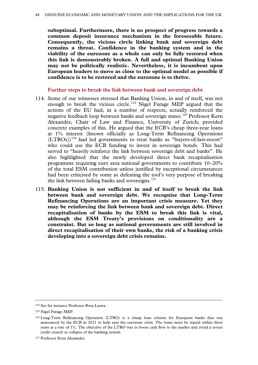**suboptimal. Furthermore, there is no prospect of progress towards a common deposit insurance mechanism in the foreseeable future. Consequently, the vicious circle linking bank and sovereign debt remains a threat. Confidence in the banking system and in the viability of the eurozone as a whole can only be fully restored when this link is demonstrably broken. A full and optimal Banking Union may not be politically realistic. Nevertheless, it is incumbent upon European leaders to move as close to the optimal model as possible if confidence is to be restored and the eurozone is to thrive.**

**Further steps to break the link between bank and sovereign debt**

- 114. Some of our witnesses stressed that Banking Union, in and of itself, was not enough to break the vicious circle.<sup>[124](#page-47-0)</sup> Nigel Farage MEP argued that the actions of the EU had, in a number of respects, actually reinforced the negative feedback loop between banks and sovereign states.[125](#page-47-1) Professor Kern Alexander, Chair of Law and Finance, University of Zurich, provided concrete examples of this. He argued that the ECB's cheap three-year loans at 1% interest (known officially as Long-Term Refinancing Operations (LTROs))<sup>[126](#page-47-2)</sup> had led governments to treat banks as "buyers-of-last-resort" who could use the ECB funding to invest in sovereign bonds. This had served to "heavily reinforce the link between sovereign debt and banks". He also highlighted that the newly developed direct bank recapitalisation programme requiring euro area national governments to contribute 10–20% of the total ESM contribution unless justified by exceptional circumstances had been criticised by some as defeating the tool's very purpose of breaking the link between failing banks and sovereigns. $127$
- 115. **Banking Union is not sufficient in and of itself to break the link between bank and sovereign debt. We recognise that Long-Term Refinancing Operations are an important crisis measure. Yet they may be reinforcing the link between bank and sovereign debt. Direct recapitalisation of banks by the ESM to break this link is vital, although the ESM Treaty's provisions on conditionality are a constraint. But so long as national governments are still involved in direct recapitalisation of their own banks, the risk of a banking crisis developing into a sovereign debt crisis remains.**

<span id="page-47-0"></span> <sup>124</sup> See for instance Professor Rosa Lastra.

<span id="page-47-1"></span><sup>125</sup> Nigel Farage MEP.

<span id="page-47-2"></span><sup>126</sup> Long-Term Refinancing Operation (LTRO) is a cheap loan scheme for European banks that was announced by the ECB in 2011 to help ease the eurozone crisis. The loans must be repaid within three years at a rate of 1%. The objective of the LTRO was to boost cash flow to the market and avoid a severe credit crunch or collapse of the banking system.

<span id="page-47-3"></span><sup>127</sup> Professor Kern Alexander.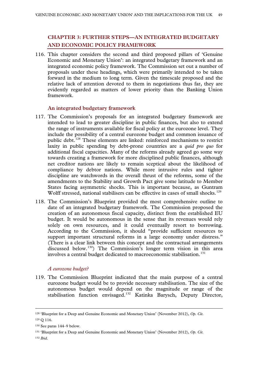# **CHAPTER 3: FURTHER STEPS—AN INTEGRATED BUDGETARY AND ECONOMIC POLICY FRAMEWORK**

116. This chapter considers the second and third proposed pillars of 'Genuine Economic and Monetary Union': an integrated budgetary framework and an integrated economic policy framework. The Commission set out a number of proposals under these headings, which were primarily intended to be taken forward in the medium to long term. Given the timescale proposed and the relative lack of attention devoted to them in negotiations thus far, they are evidently regarded as matters of lower priority than the Banking Union framework.

# **An integrated budgetary framework**

- 117. The Commission's proposals for an integrated budgetary framework are intended to lead to greater discipline in public finances, but also to extend the range of instruments available for fiscal policy at the eurozone level. They include the possibility of a central eurozone budget and common issuance of public debt.<sup>[128](#page-48-0)</sup> These elements are linked: reinforced mechanisms to restrict laxity in public spending by debt-prone countries are a *quid pro quo* for additional fiscal capacities. Many of the reforms already agreed go some way towards creating a framework for more disciplined public finances, although net creditor nations are likely to remain sceptical about the likelihood of compliance by debtor nations. While more intrusive rules and tighter discipline are watchwords in the overall thrust of the reforms, some of the amendments to the Stability and Growth Pact give some latitude to Member States facing asymmetric shocks. This is important because, as Guntram Wolff stressed, national stabilisers can be effective in cases of small shocks.<sup>[129](#page-48-1)</sup>
- 118. The Commission's Blueprint provided the most comprehensive outline to date of an integrated budgetary framework. The Commission proposed the creation of an autonomous fiscal capacity, distinct from the established EU budget. It would be autonomous in the sense that its revenues would rely solely on own resources, and it could eventually resort to borrowing. According to the Commission, it should "provide sufficient resources to support important structural reforms in a large economy under distress." (There is a clear link between this concept and the contractual arrangements discussed below. [130\)](#page-48-2) The Commission's longer term vision in this area involves a central budget dedicated to macroeconomic stabilisation.<sup>[131](#page-48-3)</sup>

# *A eurozone budget?*

119. The Commission Blueprint indicated that the main purpose of a central eurozone budget would be to provide necessary stabilisation. The size of the autonomous budget would depend on the magnitude or range of the stabilisation function envisaged.<sup>[132](#page-48-4)</sup> Katinka Barysch, Deputy Director,

<span id="page-48-0"></span> <sup>128</sup> 'Blueprint for a Deep and Genuine Economic and Monetary Union' (November 2012), *Op. Cit.*

<span id="page-48-1"></span><sup>129</sup> Q 116.

<span id="page-48-2"></span><sup>130</sup> See paras 144–9 below.

<span id="page-48-4"></span><span id="page-48-3"></span><sup>131</sup> 'Blueprint for a Deep and Genuine Economic and Monetary Union' (November 2012), *Op. Cit.* <sup>132</sup> *Ibid*.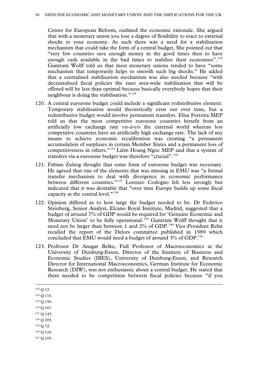Centre for European Reform, outlined the economic rationale. She argued that with a monetary union you lose a degree of flexibility to react to external shocks to your economy. As such there was a need for a stabilisation mechanism that could take the form of a central budget. She pointed out that "very few countries save enough money in the good times then to have enough cash available in the bad times to stabilise their economies".<sup>[133](#page-49-0)</sup> Guntram Wolff told us that most monetary unions tended to have "some mechanism that temporarily helps to smooth such big shocks." He added that a centralised stabilisation mechanism was also needed because "with decentralised fiscal policies the euro area-wide stabilisation that will be offered will be less than optimal because basically everybody hopes that their neighbour is doing the stabilisation."[134](#page-49-1)

- 120. A central eurozone budget could include a significant redistributive element. Temporary stabilisation would theoretically even out over time, but a redistributive budget would involve permanent transfers. Elisa Ferreira MEP told us that the most competitive eurozone countries benefit from an artificially low exchange rate *vis-à-vis* the external world whereas less competitive countries have an artificially high exchange rate. The lack of any means to achieve economic recalibration was creating "a permanent accumulation of surpluses in certain Member States and a permanent loss of competitiveness in others."[135](#page-49-2) Liêm Hoang Ngoc MEP said that a system of transfers via a eurozone budget was therefore "crucial". [136](#page-49-3)
- 121. Fabian Zuleeg thought that some form of eurozone budget was necessary. He agreed that one of the elements that was missing in EMU was "a formal transfer mechanism to deal with divergence in economic performance between different countries."[137](#page-49-4) Lorenzo Codogno felt less strongly but indicated that it was desirable that "over time Europe builds up some fiscal capacity at the central level."<sup>[138](#page-49-5)</sup>
- 122. Opinion differed as to how large the budget needed to be. Dr Federico Steinberg, Senior Analyst, Elcano Royal Institute, Madrid, suggested that a budget of around 7% of GDP would be required for 'Genuine Economic and Monetary Union' to be fully operational.<sup>[139](#page-49-6)</sup> Guntram Wolff thought that it need not be larger than between 1 and 2% of GDP.<sup>[140](#page-49-7)</sup> Vice-President Rehn recalled the report of the Delors committee published in 1989 which concluded that EMU would need a budget of around 3% of GDP.<sup>[141](#page-49-8)</sup>
- 123. Professor Dr Ansgar Belke, Full Professor of Macroeconomics at the University of Duisburg-Essen, Director of the Institute of Business and Economic Studies (IBES), University of Duisburg-Essen, and Research Director for International Macroeconomics, German Institute for Economic Research (DIW), was not enthusiastic about a central budget. He stated that there needed to be competition between fiscal policies because "if you

- <span id="page-49-1"></span><sup>134</sup> Q 116.
- <span id="page-49-2"></span><sup>135</sup> Q 159.
- <span id="page-49-3"></span><sup>136</sup> Q 167.
- <span id="page-49-4"></span><sup>137</sup> Q 143.
- <span id="page-49-5"></span><sup>138</sup> Q 205.
- <span id="page-49-6"></span><sup>139</sup> Q 72.
- <span id="page-49-7"></span><sup>140</sup> Q 116.
- <span id="page-49-8"></span><sup>141</sup> Q 105.

<span id="page-49-0"></span> <sup>133</sup> Q 12.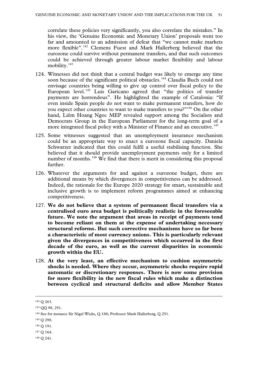correlate these policies very significantly, you also correlate the mistakes." In his view, the 'Genuine Economic and Monetary Union' proposals went too far and amounted to an admission of defeat that "we cannot make markets more flexible". [142](#page-50-0) Clemens Fuest and Mark Hallerberg believed that the eurozone could survive without permanent transfers, and that such outcomes could be achieved through greater labour market flexibility and labour mobility.<sup>[143](#page-50-1)</sup>

- 124. Witnesses did not think that a central budget was likely to emerge any time soon because of the significant political obstacles.<sup>[144](#page-50-2)</sup> Claudia Buch could not envisage countries being willing to give up control over fiscal policy to the European level.<sup>[145](#page-50-3)</sup> Luis Garicano agreed that "the politics of transfer payments are horrendous". He highlighted the example of Catalonia: "If even inside Spain people do not want to make permanent transfers, how do you expect other countries to want to make transfers to you?"<sup>[146](#page-50-4)</sup> On the other hand, Liêm Hoang Ngoc MEP revealed support among the Socialists and Democrats Group in the European Parliament for the long-term goal of a more integrated fiscal policy with a Minister of Finance and an executive.<sup>[147](#page-50-5)</sup>
- 125. Some witnesses suggested that an unemployment insurance mechanism could be an appropriate way to enact a eurozone fiscal capacity. Daniela Schwarzer indicated that this could fulfil a useful stabilising function. She believed that it should provide unemployment payments only for a limited number of months.<sup>[148](#page-50-6)</sup> We find that there is merit in considering this proposal further.
- 126. Whatever the arguments for and against a eurozone budget, there are additional means by which divergences in competitiveness can be addressed. Indeed, the rationale for the Europe 2020 strategy for smart, sustainable and inclusive growth is to implement reform programmes aimed at enhancing competitiveness.
- 127. **We do not believe that a system of permanent fiscal transfers via a centralised euro area budget is politically realistic in the foreseeable future. We note the argument that areas in receipt of payments tend to become reliant on them at the expense of undertaking necessary structural reforms. But such corrective mechanisms have so far been a characteristic of most currency unions. This is particularly relevant given the divergences in competitiveness which occurred in the first decade of the euro, as well as the current disparities in economic growth within the EU.**
- 128. **At the very least, an effective mechanism to cushion asymmetric shocks is needed. Where they occur, asymmetric shocks require rapid automatic or discretionary responses. There is now some provision for more flexibility in the new fiscal rules which make a distinction between cyclical and structural deficits and allow Member States**

<span id="page-50-3"></span><sup>145</sup> Q 298.

<span id="page-50-0"></span> <sup>142</sup> Q 263.

<span id="page-50-1"></span><sup>143</sup> QQ 98, 251.

<span id="page-50-2"></span><sup>144</sup> See for instance Sir Nigel Wicks, Q 188; Professor Mark Hallerberg, Q 251.

<span id="page-50-4"></span><sup>146</sup> Q 191.

<span id="page-50-5"></span><sup>147</sup> Q 164.

<span id="page-50-6"></span><sup>148</sup> Q 241.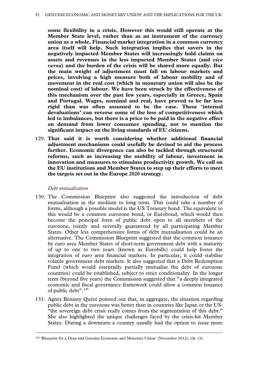**some flexibility in a crisis. However this would still operate at the Member State level, rather than as an instrument of the currency union as a whole. Financial market integration in a common currency area itself will help. Such integration implies that savers in the negatively impacted Member States will increasingly hold claims on assets and revenues in the less impacted Member States (and** *vice versa***) and the burden of the crisis will be shared more equally. But the main weight of adjustment must fall on labour markets and prices, involving a high measure both of labour mobility and of movement in the real cost (which in monetary union will also be the nominal cost) of labour. We have been struck by the effectiveness of this mechanism over the past few years, especially in Greece, Spain and Portugal. Wages, nominal and real, have proved to be far less rigid than was often assumed to be the case. These 'internal devaluations' can reverse some of the loss of competitiveness which led to imbalances, but there is a price to be paid in the negative effect on demand from lower consumer spending, not to mention the significant impact on the living standards of EU citizens.** 

129. **That said it is worth considering whether additional financial adjustment mechanisms could usefully be devised to aid the process further. Economic divergence can also be tackled through structural reforms, such as increasing the mobility of labour, investment in innovation and measures to stimulate productivity growth. We call on the EU institutions and Member States to step up their efforts to meet the targets set out in the Europe 2020 strategy.** 

### *Debt mutualisation*

- 130. The Commission Blueprint also suggested the introduction of debt mutualisation in the medium to long term. This could take a number of forms, although a possible model is the US Treasury bond. The equivalent to this would be a common eurozone bond, or Eurobond, which would then become the principal form of public debt open to all members of the eurozone, jointly and severally guaranteed by all participating Member States. Other less comprehensive forms of debt mutualisation could be an alternative. The Commission Blueprint suggested that the common issuance by euro area Member States of short-term government debt with a maturity of up to one to two years (known as Eurobills) could help foster the integration of euro area financial markets. In particular, it could stabilise volatile government debt markets. It also suggested that a Debt Redemption Fund (which would essentially partially mutualise the debt of eurozone countries) could be established, subject to strict conditionality. In the longer term (beyond five years) the Commission suggested that "a deeply integrated economic and fiscal governance framework could allow a common issuance of public debt". [149](#page-51-0)
- 131. Agnès Bénassy Quéré pointed out that, in aggregate, the situation regarding public debt in the eurozone was better than in countries like Japan or the US: "the sovereign debt crisis really comes from the segmentation of this debt." She also highlighted the unique challenges faced by the crisis-hit Member States. During a downturn a country usually had the option to issue more

<span id="page-51-0"></span> <sup>149</sup> 'Blueprint for a Deep and Genuine Economic and Monetary Union' (November 2012), *Op. Cit.*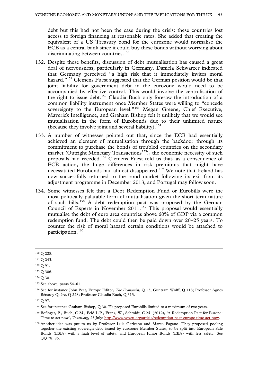debt but this had not been the case during the crisis: these countries lost access to foreign financing at reasonable rates. She added that creating the equivalent of a US Treasury bond for the eurozone would normalise the ECB as a central bank since it could buy these bonds without worrying about discriminating between countries.<sup>[150](#page-52-0)</sup>

- 132. Despite these benefits, discussion of debt mutualisation has caused a great deal of nervousness, particularly in Germany. Daniela Schwarzer indicated that Germany perceived "a high risk that it immediately invites moral hazard."<sup>[151](#page-52-1)</sup> Clemens Fuest suggested that the German position would be that joint liability for government debt in the eurozone would need to be accompanied by effective control. This would involve the centralisation of the right to issue debt.<sup>[152](#page-52-2)</sup> Claudia Buch only foresaw the introduction of a common liability instrument once Member States were willing to "concede sovereignty to the European level."<sup>[153](#page-52-3)</sup> Megan Greene, Chief Executive, Maverick Intelligence, and Graham Bishop felt it unlikely that we would see mutualisation in the form of Eurobonds due to their unlimited nature (because they involve joint and several liability).<sup>[154](#page-52-4)</sup>
- 133. A number of witnesses pointed out that, since the ECB had essentially achieved an element of mutualisation through the backdoor through its commitment to purchase the bonds of troubled countries on the secondary market (Outright Monetary Transactions<sup>[155](#page-52-5)</sup>), the economic necessity of such proposals had receded.[156](#page-52-6) Clemens Fuest told us that, as a consequence of ECB action, the huge differences in risk premiums that might have necessitated Eurobonds had almost disappeared.[157](#page-52-7) We note that Ireland has now successfully returned to the bond market following its exit from its adjustment programme in December 2013, and Portugal may follow soon.
- 134. Some witnesses felt that a Debt Redemption Fund or Eurobills were the most politically palatable form of mutualisation given the short term nature of such bills.<sup>[158](#page-52-8)</sup> A debt redemption pact was proposed by the German Council of Experts in November  $2011$ .<sup>[159](#page-52-9)</sup> This proposal would essentially mutualise the debt of euro area countries above 60% of GDP via a common redemption fund. The debt could then be paid down over 20–25 years. To counter the risk of moral hazard certain conditions would be attached to participation. [160](#page-52-10)

<span id="page-52-0"></span> <sup>150</sup> Q 228.

<span id="page-52-1"></span><sup>151</sup> Q 243.

<span id="page-52-2"></span><sup>152</sup> Q 91.

<span id="page-52-3"></span><sup>153</sup> Q 306.

<span id="page-52-4"></span><sup>154</sup> Q 30.

<span id="page-52-5"></span><sup>155</sup> See above, paras 54–61.

<span id="page-52-6"></span><sup>156</sup> See for instance John Peet, Europe Editor, *The Economist*, Q 13; Guntram Wolff, Q 118; Professor Agnès Bénassy Quére, Q 228; Professor Claudia Buch, Q 313.

<span id="page-52-7"></span><sup>157</sup> Q 97.

<span id="page-52-8"></span><sup>158</sup> See for instance Graham Bishop, Q 30. He proposed Eurobills limited to a maximum of two years.

<span id="page-52-9"></span><sup>159</sup> Bofinger, P., Buch, C.M., Feld L.P., Franz, W., Schmidt, C.M. (2012), 'A Redemption Pact for Europe: Time to act now', *Voxeu.org*, 25 July: [http://www.voxeu.org/article/redemption-pact-europe-time-act-now.](http://www.voxeu.org/article/redemption-pact-europe-time-act-now) 

<span id="page-52-10"></span><sup>160</sup> Another idea was put to us by Professor Luis Garicano and Marco Pagano. They proposed pooling together the existing sovereign debt issued by eurozone Member States, to be split into European Safe Bonds (ESBs) with a high level of safety, and European Junior Bonds (EJBs) with less safety. See QQ 78, 86.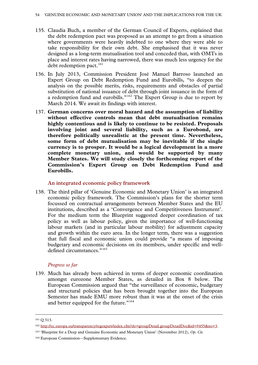- 135. Claudia Buch, a member of the German Council of Experts, explained that the debt redemption pact was proposed as an attempt to get from a situation where governments were heavily indebted to one where they were able to take responsibility for their own debt. She emphasised that it was never designed as a long-term mutualisation tool and conceded that, with OMTs in place and interest rates having narrowed, there was much less urgency for the debt redemption pact. $161$
- 136. In July 2013, Commission President José Manuel Barroso launched an Expert Group on Debt Redemption Fund and Eurobills, "to deepen the analysis on the possible merits, risks, requirements and obstacles of partial substitution of national issuance of debt through joint issuance in the form of a redemption fund and eurobills."<sup>[162](#page-53-1)</sup> The Expert Group is due to report by March 2014. We await its findings with interest.
- 137. **German concerns over moral hazard and the assumption of liability without effective controls mean that debt mutualisation remains highly contentious and is likely to continue to be resisted. Proposals involving joint and several liability, such as a Eurobond, are therefore politically unrealistic at the present time. Nevertheless, some form of debt mutualisation may be inevitable if the single currency is to prosper. It would be a logical development in a more complete monetary union, and would be supported by many Member States. We will study closely the forthcoming report of the Commission's Expert Group on Debt Redemption Fund and Eurobills.**

**An integrated economic policy framework**

138. The third pillar of 'Genuine Economic and Monetary Union' is an integrated economic policy framework. The Commission's plans for the shorter term focussed on contractual arrangements between Member States and the EU institutions, described as a 'Convergence and Competitiveness Instrument'. For the medium term the Blueprint suggested deeper coordination of tax policy as well as labour policy, given the importance of well-functioning labour markets (and in particular labour mobility) for adjustment capacity and growth within the euro area. In the longer term, there was a suggestion that full fiscal and economic union could provide "a means of imposing budgetary and economic decisions on its members, under specific and well-defined circumstances."<sup>[163](#page-53-2)</sup>

# *Progress so far*

139. Much has already been achieved in terms of deeper economic coordination amongst eurozone Member States, as detailed in Box 8 below. The European Commission argued that "the surveillance of economic, budgetary and structural policies that has been brought together into the European Semester has made EMU more robust than it was at the onset of the crisis and better equipped for the future."<sup>[164](#page-53-3)</sup>

<span id="page-53-0"></span> <sup>161</sup> <sup>Q</sup> 313.

<span id="page-53-1"></span><sup>162</sup> [http://ec.europa.eu/transparency/regexpert/index.cfm?do=groupDetail.groupDetailDoc&id=9455&no=3.](http://ec.europa.eu/transparency/regexpert/index.cfm?do=groupDetail.groupDetailDoc&id=9455&no=3)

<span id="page-53-3"></span><span id="page-53-2"></span><sup>163</sup> 'Blueprint for a Deep and Genuine Economic and Monetary Union' (November 2012), *Op. Cit.* <sup>164</sup> European Commission—Supplementary Evidence.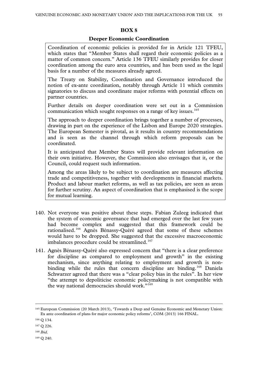### **BOX 8**

### **Deeper Economic Coordination**

Coordination of economic policies is provided for in Article 121 TFEU, which states that "Member States shall regard their economic policies as a matter of common concern." Article 136 TFEU similarly provides for closer coordination among the euro area countries, and has been used as the legal basis for a number of the measures already agreed.

The Treaty on Stability, Coordination and Governance introduced the notion of ex-ante coordination, notably through Article 11 which commits signatories to discuss and coordinate major reforms with potential effects on partner countries.

Further details on deeper coordination were set out in a Commission communication which sought responses on a range of key issues.<sup>[165](#page-54-0)</sup>

The approach to deeper coordination brings together a number of processes, drawing in part on the experience of the Lisbon and Europe 2020 strategies. The European Semester is pivotal, as it results in country recommendations and is seen as the channel through which reform proposals can be coordinated.

It is anticipated that Member States will provide relevant information on their own initiative. However, the Commission also envisages that it, or the Council, could request such information.

Among the areas likely to be subject to coordination are measures affecting trade and competitiveness, together with developments in financial markets. Product and labour market reforms, as well as tax policies, are seen as areas for further scrutiny. An aspect of coordination that is emphasised is the scope for mutual learning.

- 140. Not everyone was positive about these steps. Fabian Zuleeg indicated that the system of economic governance that had emerged over the last few years had become complex and suggested that this framework could be rationalised.[166](#page-54-1) Agnès Bénassy-Quéré agreed that some of these schemes would have to be dropped. She suggested that the excessive macroeconomic imbalances procedure could be streamlined.<sup>[167](#page-54-2)</sup>
- 141. Agnès Bénassy-Quéré also expressed concern that "there is a clear preference for discipline as compared to employment and growth" in the existing mechanism, since anything relating to employment and growth is non-binding while the rules that concern discipline are binding.<sup>[168](#page-54-3)</sup> Daniela Schwarzer agreed that there was a "clear policy bias in the rules". In her view "the attempt to depoliticise economic policymaking is not compatible with the way national democracies should work."<sup>[169](#page-54-4)</sup>

<span id="page-54-0"></span> <sup>165</sup> European Commission (20 March 2013), 'Towards a Deep and Genuine Economic and Monetary Union: Ex ante coordination of plans for major economic policy reforms', COM (2013) 166 FINAL.

<span id="page-54-1"></span><sup>166</sup> Q 134.

<span id="page-54-2"></span><sup>167</sup> Q 226.

<span id="page-54-3"></span><sup>168</sup> *Ibid*.

<span id="page-54-4"></span><sup>169</sup> Q 240.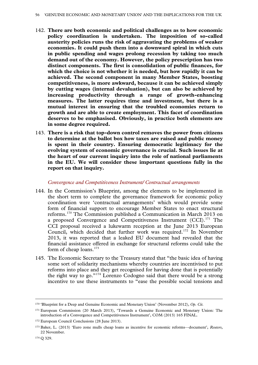- 142. **There are both economic and political challenges as to how economic policy coordination is undertaken. The imposition of so-called austerity policies runs the risk of aggravating the problems of weaker economies. It could push them into a downward spiral in which cuts in public spending and wages prolong recession by taking too much demand out of the economy. However, the policy prescription has two distinct components. The first is consolidation of public finances, for which the choice is not whether it is needed, but how rapidly it can be achieved. The second component in many Member States, boosting competitiveness, is more awkward, because it can be achieved simply by cutting wages (internal devaluation), but can also be achieved by increasing productivity through a range of growth-enhancing measures. The latter requires time and investment, but there is a mutual interest in ensuring that the troubled economies return to growth and are able to create employment. This facet of coordination deserves to be emphasised. Obviously, in practice both elements are in some degree required.**
- 143. **There is a risk that top-down control removes the power from citizens to determine at the ballot box how taxes are raised and public money is spent in their country. Ensuring democratic legitimacy for the evolving system of economic governance is crucial. Such issues lie at the heart of our current inquiry into the role of national parliaments in the EU. We will consider these important questions fully in the report on that inquiry.**

### *Convergence and Competitiveness Instrument/ Contractual arrangements*

- 144. In the Commission's Blueprint, among the elements to be implemented in the short term to complete the governance framework for economic policy coordination were 'contractual arrangements' which would provide some form of financial support to encourage Member States to enact structural reforms.[170](#page-55-0) The Commission published a Communication in March 2013 on a proposed Convergence and Competitiveness Instrument (CCI).[171](#page-55-1) The CCI proposal received a lukewarm reception at the June 2013 European Council, which decided that further work was required.<sup>[172](#page-55-2)</sup> In November 2013, it was reported that a leaked EU document had revealed that the financial assistance offered in exchange for structural reforms could take the form of cheap loans.<sup>[173](#page-55-3)</sup>
- 145. The Economic Secretary to the Treasury stated that "the basic idea of having some sort of solidarity mechanisms whereby countries are incentivised to put reforms into place and they get recognised for having done that is potentially the right way to go."[174](#page-55-4) Lorenzo Codogno said that there would be a strong incentive to use these instruments to "ease the possible social tensions and

<span id="page-55-0"></span> <sup>170</sup> 'Blueprint for a Deep and Genuine Economic and Monetary Union' (November 2012), *Op. Cit.*

<span id="page-55-1"></span><sup>171</sup> European Commission (20 March 2013), 'Towards a Genuine Economic and Monetary Union: The introduction of a Convergence and Competitiveness Instrument', COM (2013) 165 FINAL.

<span id="page-55-2"></span><sup>172</sup> European Council Conclusions (28 June 2013).

<span id="page-55-3"></span><sup>173</sup> Baker, L. (2013) 'Euro zone mulls cheap loans as incentive for economic reforms—document', *Reuters*, 22 November.

<span id="page-55-4"></span><sup>174</sup> Q 329.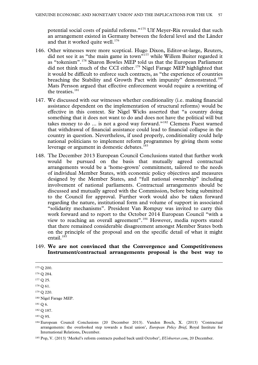potential social costs of painful reforms."[175](#page-56-0) Ulf Meyer-Rix revealed that such an arrangement existed in Germany between the federal level and the Länder and that it worked quite well. $176$ 

- 146. Other witnesses were more sceptical. Hugo Dixon, Editor-at-large, Reuters, did not see it as "the main game in town"[177](#page-56-2) while Willem Buiter regarded it as "tokenism". [178](#page-56-3) Sharon Bowles MEP told us that the European Parliament did not think much of the CCI either.<sup>[179](#page-56-4)</sup> Nigel Farage MEP highlighted that it would be difficult to enforce such contracts, as "the experience of countries breaching the Stability and Growth Pact with impunity" demonstrated.<sup>[180](#page-56-5)</sup> Mats Persson argued that effective enforcement would require a rewriting of the treaties.<sup>[181](#page-56-6)</sup>
- 147. We discussed with our witnesses whether conditionality (i.e. making financial assistance dependent on the implementation of structural reforms) would be effective in this context. Sir Nigel Wicks asserted that "a country doing something that it does not want to do and does not have the political will but takes money to do ... is not a good way forward."[182](#page-56-7) Clemens Fuest warned that withdrawal of financial assistance could lead to financial collapse in the country in question. Nevertheless, if used properly, conditionality could help national politicians to implement reform programmes by giving them some leverage or argument in domestic debates.<sup>[183](#page-56-8)</sup>
- 148. The December 2013 European Council Conclusions stated that further work would be pursued on the basis that mutually agreed contractual arrangements would be a 'home-grown' commitment, tailored to the needs of individual Member States, with economic policy objectives and measures designed by the Member States, and "full national ownership" including involvement of national parliaments. Contractual arrangements should be discussed and mutually agreed with the Commission, before being submitted to the Council for approval. Further work would also be taken forward regarding the nature, institutional form and volume of support in associated "solidarity mechanisms". President Van Rompuy was invited to carry this work forward and to report to the October 2014 European Council "with a view to reaching an overall agreement". [184](#page-56-9) However, media reports stated that there remained considerable disagreement amongst Member States both on the principle of the proposal and on the specific detail of what it might entail. $185$
- 149. **We are not convinced that the Convergence and Competitiveness Instrument/contractual arrangements proposal is the best way to**
- <span id="page-56-0"></span>175 Q 200.

<span id="page-56-1"></span><sup>176</sup> Q 284.

<span id="page-56-2"></span><sup>177</sup> Q 25.

<span id="page-56-3"></span><sup>178</sup> Q 61.

<span id="page-56-4"></span><sup>179</sup> Q 220.

<span id="page-56-5"></span><sup>180</sup> Nigel Farage MEP.

<span id="page-56-6"></span><sup>181</sup> Q 6.

<span id="page-56-7"></span><sup>182</sup> Q 187.

<span id="page-56-8"></span> $183 \Omega 95$ .

<span id="page-56-9"></span><sup>184</sup> European Council Conclusions (20 December 2013). Vanden Bosch, X. (2013) 'Contractual arrangements: the overlooked step towards a fiscal union', *European Policy Brief*, Royal Institute for International Relations, December.

<span id="page-56-10"></span><sup>185</sup> Pop, V. (2013) 'Merkel's reform contracts pushed back until October', *EUobserver.com*, 20 December.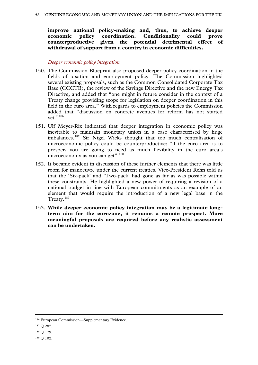**improve national policy-making and, thus, to achieve deeper economic policy coordination. Conditionality could prove**  counterproductive given the potential detrimental **withdrawal of support from a country in economic difficulties.** 

# *Deeper economic policy integration*

- 150. The Commission Blueprint also proposed deeper policy coordination in the fields of taxation and employment policy. The Commission highlighted several existing proposals, such as the Common Consolidated Corporate Tax Base (CCCTB), the review of the Savings Directive and the new Energy Tax Directive, and added that "one might in future consider in the context of a Treaty change providing scope for legislation on deeper coordination in this field in the euro area." With regards to employment policies the Commission added that "discussion on concrete avenues for reform has not started yet."<sup>[186](#page-57-0)</sup>
- 151. Ulf Meyer-Rix indicated that deeper integration in economic policy was inevitable to maintain monetary union in a case characterised by huge imbalances.<sup>[187](#page-57-1)</sup> Sir Nigel Wicks thought that too much centralisation of microeconomic policy could be counterproductive: "if the euro area is to prosper, you are going to need as much flexibility in the euro area's microeconomy as you can get".<sup>[188](#page-57-2)</sup>
- 152. It became evident in discussion of these further elements that there was little room for manoeuvre under the current treaties. Vice-President Rehn told us that the 'Six-pack' and 'Two-pack' had gone as far as was possible within these constraints. He highlighted a new power of requiring a revision of a national budget in line with European commitments as an example of an element that would require the introduction of a new legal base in the Treaty.<sup>[189](#page-57-3)</sup>
- 153. **While deeper economic policy integration may be a legitimate longterm aim for the eurozone, it remains a remote prospect. More meaningful proposals are required before any realistic assessment can be undertaken.**

- <span id="page-57-1"></span><sup>187</sup> Q 282.
- <span id="page-57-2"></span><sup>188</sup> Q 179.

<span id="page-57-0"></span> <sup>186</sup> European Commission—Supplementary Evidence.

<span id="page-57-3"></span><sup>189</sup> Q 102.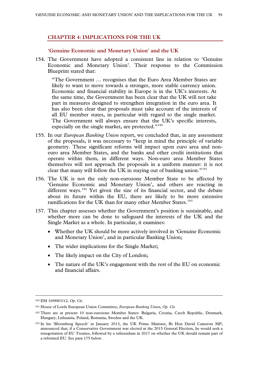# **CHAPTER 4: IMPLICATIONS FOR THE UK**

### **'Genuine Economic and Monetary Union' and the UK**

154. The Government have adopted a consistent line in relation to 'Genuine Economic and Monetary Union'. Their response to the Commission Blueprint stated that:

"The Government … recognises that the Euro Area Member States are likely to want to move towards a stronger, more stable currency union. Economic and financial stability in Europe is in the UK's interests. At the same time, the Government has been clear that the UK will not take part in measures designed to strengthen integration in the euro area. It has also been clear that proposals must take account of the interests of all EU member states, in particular with regard to the single market. The Government will always ensure that the UK's specific interests, especially on the single market, are protected."<sup>[190](#page-58-0)</sup>

- 155. In our *European Banking Union* report, we concluded that, in any assessment of the proposals, it was necessary to "keep in mind the principle of variable geometry. These significant reforms will impact upon euro area and noneuro area Member States, and the banks and other credit institutions that operate within them, in different ways. Non-euro area Member States themselves will not approach the proposals in a uniform manner: it is not clear that many will follow the UK in staying out of banking union."<sup>[191](#page-58-1)</sup>
- 156. The UK is not the only non-eurozone Member State to be affected by 'Genuine Economic and Monetary Union', and others are reacting in different ways.<sup>[192](#page-58-2)</sup> Yet given the size of its financial sector, and the debate about its future within the EU, there are likely to be more extensive ramifications for the UK than for many other Member States.<sup>[193](#page-58-3)</sup>
- 157. This chapter assesses whether the Government's position is sustainable, and whether more can be done to safeguard the interests of the UK and the Single Market as a whole. In particular, it examines:
	- Whether the UK should be more actively involved in 'Genuine Economic and Monetary Union', and in particular Banking Union;
	- The wider implications for the Single Market;
	- The likely impact on the City of London;
	- The nature of the UK's engagement with the rest of the EU on economic and financial affairs.

<span id="page-58-0"></span> <sup>190</sup> EM 16988/1/12, *Op. Cit*.

<span id="page-58-1"></span><sup>191</sup> House of Lords European Union Committee, *European Banking Union*, *Op. Cit.*

<span id="page-58-2"></span><sup>192</sup> There are at present 10 non-eurozone Member States: Bulgaria, Croatia, Czech Republic, Denmark, Hungary, Lithuania, Poland, Romania, Sweden and the UK.

<span id="page-58-3"></span><sup>193</sup> In his 'Bloomberg Speech' in January 2013, the UK Prime Minister, Rt Hon David Cameron MP, announced that, if a Conservative Government was elected at the 2015 General Election, he would seek a renegotiation of EU Treaties, followed by a referendum in 2017 on whether the UK should remain part of a reformed EU. See para 175 below.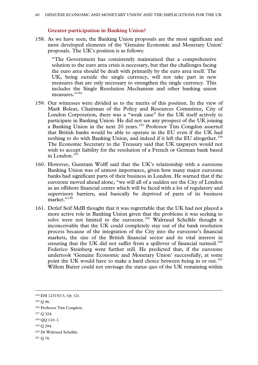### **Greater participation in Banking Union?**

158. As we have seen, the Banking Union proposals are the most significant and most developed elements of the 'Genuine Economic and Monetary Union' proposals. The UK's position is as follows:

"The Government has consistently maintained that a comprehensive solution to the euro area crisis is necessary, but that the challenges facing the euro area should be dealt with primarily by the euro area itself. The UK, being outside the single currency, will not take part in new measures that are only necessary to strengthen the single currency. This includes the Single Resolution Mechanism and other banking union measures."<sup>[194](#page-59-0)</sup>

- 159. Our witnesses were divided as to the merits of this position. In the view of Mark Boleat, Chairman of the Policy and Resources Committee, City of London Corporation, there was a "weak case" for the UK itself actively to participate in Banking Union. He did not see any prospect of the UK joining a Banking Union in the next 20 years.<sup>[195](#page-59-1)</sup> Professor Tim Congdon asserted that British banks would be able to operate in the EU even if the UK had nothing to do with Banking Union, and indeed if it left the EU altogether.<sup>[196](#page-59-2)</sup> The Economic Secretary to the Treasury said that UK taxpayers would not wish to accept liability for the resolution of a French or German bank based in London. $197$
- 160. However, Guntram Wolff said that the UK's relationship with a eurozone Banking Union was of utmost importance, given how many major eurozone banks had significant parts of their business in London. He warned that if the eurozone moved ahead alone, "we will all of a sudden see the City of London as an offshore financial centre which will be faced with a lot of regulatory and supervisory barriers, and basically be deprived of parts of its business market."<sup>[198](#page-59-4)</sup>
- 161. Detlef Seif MdB thought that it was regrettable that the UK had not played a more active role in Banking Union given that the problems it was seeking to solve were not limited to the eurozone.<sup>[199](#page-59-5)</sup> Waltraud Schelkle thought it inconceivable that the UK could completely stay out of the bank resolution process because of the integration of the City into the eurozone's financial markets, the size of the British financial sector and its vital interest in ensuring that the UK did not suffer from a spillover of financial turmoil.<sup>[200](#page-59-6)</sup> Federico Steinberg went further still. He predicted that, if the eurozone undertook 'Genuine Economic and Monetary Union' successfully, at some point the UK would have to make a hard choice between being in or out.<sup>[201](#page-59-7)</sup> Willem Buiter could not envisage the status quo of the UK remaining within

<span id="page-59-0"></span> <sup>194</sup> EM 12315/13, *Op. Cit*.

<span id="page-59-1"></span><sup>195</sup> Q 46.

<span id="page-59-2"></span><sup>196</sup> Professor Tim Congdon.

<span id="page-59-3"></span><sup>197</sup> Q 324.

<span id="page-59-4"></span><sup>198</sup> QQ 110–1.

<span id="page-59-5"></span><sup>199</sup> Q 294.

<span id="page-59-6"></span><sup>200</sup> Dr Waltraud Schelkle.

<span id="page-59-7"></span><sup>201</sup> Q 76.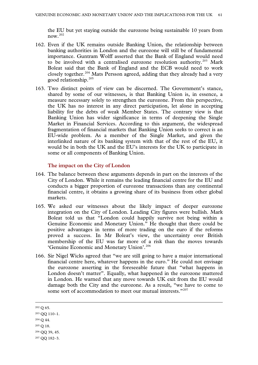the EU but yet staying outside the eurozone being sustainable 10 years from now.[202](#page-60-0)

- 162. Even if the UK remains outside Banking Union, the relationship between banking authorities in London and the eurozone will still be of fundamental importance. Guntram Wolff asserted that the Bank of England would need to be involved with a centralised eurozone resolution authority.<sup>[203](#page-60-1)</sup> Mark Boleat said that the Bank of England and the ECB would need to work closely together.<sup>[204](#page-60-2)</sup> Mats Persson agreed, adding that they already had a very good relationship. $205$
- 163. Two distinct points of view can be discerned. The Government's stance, shared by some of our witnesses, is that Banking Union is, in essence, a measure necessary solely to strengthen the eurozone. From this perspective, the UK has no interest in any direct participation, let alone in accepting liability for the debts of weak Member States. The contrary view is that Banking Union has wider significance in terms of deepening the Single Market in Financial Services. According to this argument, the widespread fragmentation of financial markets that Banking Union seeks to correct is an EU-wide problem. As a member of the Single Market, and given the interlinked nature of its banking system with that of the rest of the EU, it would be in both the UK and the EU's interests for the UK to participate in some or all components of Banking Union.

### **The impact on the City of London**

- 164. The balance between these arguments depends in part on the interests of the City of London. While it remains the leading financial centre for the EU and conducts a bigger proportion of eurozone transactions than any continental financial centre, it obtains a growing share of its business from other global markets.
- 165. We asked our witnesses about the likely impact of deeper eurozone integration on the City of London. Leading City figures were bullish. Mark Boleat told us that "London could happily survive not being within a Genuine Economic and Monetary Union." He thought that there could be positive advantages in terms of more trading on the euro if the reforms proved a success. In Mr Boleat's view, the uncertainty over British membership of the EU was far more of a risk than the moves towards 'Genuine Economic and Monetary Union'. [206](#page-60-4)
- 166. Sir Nigel Wicks agreed that "we are still going to have a major international financial centre here, whatever happens in the euro." He could not envisage the eurozone asserting in the foreseeable future that "what happens in London doesn't matter". Equally, what happened in the eurozone mattered in London. He warned that any move towards UK exit from the EU would damage both the City and the eurozone. As a result, "we have to come to some sort of accommodation to meet our mutual interests."[207](#page-60-5)

- <span id="page-60-2"></span><sup>204</sup> Q 44.
- <span id="page-60-3"></span><sup>205</sup> Q 18.

<span id="page-60-0"></span> <sup>202</sup> <sup>Q</sup> 65.

<span id="page-60-1"></span><sup>203</sup> QQ 110–1.

<span id="page-60-4"></span><sup>206</sup> QQ 39, 45.

<span id="page-60-5"></span><sup>207</sup> QQ 182–3.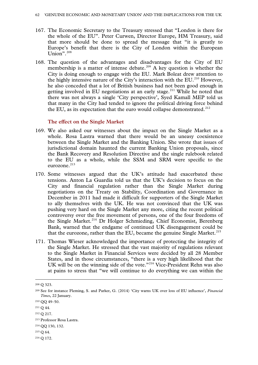- 167. The Economic Secretary to the Treasury stressed that "London is there for the whole of the EU". Peter Curwen, Director Europe, HM Treasury, said that more should be done to spread the message that "it is greatly to Europe's benefit that there is the City of London within the European Union". [208](#page-61-0)
- 168. The question of the advantages and disadvantages for the City of EU membership is a matter of intense debate.<sup>[209](#page-61-1)</sup> A key question is whether the City is doing enough to engage with the EU. Mark Boleat drew attention to the highly intensive nature of the City's interaction with the EU.<sup>[210](#page-61-2)</sup> However, he also conceded that a lot of British business had not been good enough in getting involved in EU negotiations at an early stage.<sup>[211](#page-61-3)</sup> While he noted that there was not always a single 'City perspective', Syed Kamall MEP told us that many in the City had tended to ignore the political driving force behind the EU, as its expectation that the euro would collapse demonstrated.<sup>[212](#page-61-4)</sup>

### **The effect on the Single Market**

- 169. We also asked our witnesses about the impact on the Single Market as a whole. Rosa Lastra warned that there would be an uneasy coexistence between the Single Market and the Banking Union. She wrote that issues of jurisdictional domain haunted the current Banking Union proposals, since the Bank Recovery and Resolution Directive and the single rulebook related to the EU as a whole, while the SSM and SRM were specific to the eurozone.<sup>[213](#page-61-5)</sup>
- 170. Some witnesses argued that the UK's attitude had exacerbated these tensions. Anton La Guardia told us that the UK's decision to focus on the City and financial regulation rather than the Single Market during negotiations on the Treaty on Stability, Coordination and Governance in December in 2011 had made it difficult for supporters of the Single Market to ally themselves with the UK. He was not convinced that the UK was pushing very hard on the Single Market any more, citing the recent political controversy over the free movement of persons, one of the four freedoms of the Single Market.<sup>[214](#page-61-6)</sup> Dr Holger Schmieding, Chief Economist, Berenberg Bank, warned that the endgame of continued UK disengagement could be that the eurozone, rather than the EU, became the genuine Single Market.<sup>[215](#page-61-7)</sup>
- 171. Thomas Wieser acknowledged the importance of protecting the integrity of the Single Market. He stressed that the vast majority of regulations relevant to the Single Market in Financial Services were decided by all 28 Member States, and in those circumstances, "there is a very high likelihood that the UK will be on the winning side of the vote."<sup>[216](#page-61-8)</sup> Vice-President Rehn was also at pains to stress that "we will continue to do everything we can within the

<span id="page-61-8"></span><sup>216</sup> Q 172.

<span id="page-61-0"></span> <sup>208</sup> <sup>Q</sup> 323.

<span id="page-61-1"></span><sup>209</sup> See for instance Fleming, S. and Parker, G. (2014) 'City warns UK over loss of EU influence', *Financial Times*, 22 January.

<span id="page-61-2"></span><sup>210</sup> QQ 49–50.

<span id="page-61-3"></span><sup>211</sup> Q 44.

<span id="page-61-4"></span><sup>212</sup> Q 217.

<span id="page-61-5"></span><sup>213</sup> Professor Rosa Lastra.

<span id="page-61-6"></span><sup>214</sup> QQ 130, 132.

<span id="page-61-7"></span><sup>215</sup> Q 64.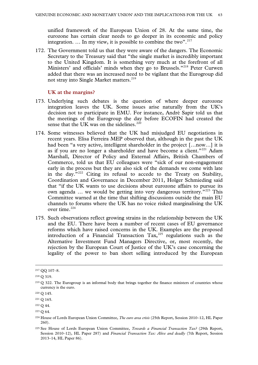unified framework of the European Union of 28. At the same time, the eurozone has certain clear needs to go deeper in its economic and policy integration. ... In my view, it is possible to combine the two".  $217$ 

172. The Government told us that they were aware of the dangers. The Economic Secretary to the Treasury said that "the single market is incredibly important to the United Kingdom. It is something very much at the forefront of all Ministers' and officials' minds when they go to Brussels."<sup>[218](#page-62-1)</sup> Peter Curwen added that there was an increased need to be vigilant that the Eurogroup did not stray into Single Market matters.<sup>[219](#page-62-2)</sup>

### **UK at the margins?**

- 173. Underlying such debates is the question of where deeper eurozone integration leaves the UK. Some issues arise naturally from the UK's decision not to participate in EMU. For instance, André Sapir told us that the meetings of the Eurogroup the day before ECOFIN had created the sense that the UK was on the sidelines. $220$
- 174. Some witnesses believed that the UK had misjudged EU negotiations in recent years. Elisa Ferreira MEP observed that, although in the past the UK had been "a very active, intelligent shareholder in the project […now…] it is as if you are no longer a shareholder and have become a client."<sup>[221](#page-62-4)</sup> Adam Marshall, Director of Policy and External Affairs, British Chambers of Commerce, told us that EU colleagues were "sick of our non-engagement early in the process but they are also sick of the demands we come with late in the day."[222](#page-62-5) Citing its refusal to accede to the Treaty on Stability, Coordination and Governance in December 2011, Holger Schmieding said that "if the UK wants to use decisions about eurozone affairs to pursue its own agenda ... we would be getting into very dangerous territory."<sup>[223](#page-62-6)</sup> This Committee warned at the time that shifting discussions outside the main EU channels to forums where the UK has no voice risked marginalising the UK over time.<sup>[224](#page-62-7)</sup>
- 175. Such observations reflect growing strains in the relationship between the UK and the EU. There have been a number of recent cases of EU governance reforms which have raised concerns in the UK. Examples are the proposed introduction of a Financial Transaction  $\text{Tax}_2^{225}$  $\text{Tax}_2^{225}$  $\text{Tax}_2^{225}$  regulations such as the Alternative Investment Fund Managers Directive, or, most recently, the rejection by the European Court of Justice of the UK's case concerning the legality of the power to ban short selling introduced by the European

<span id="page-62-0"></span> <sup>217</sup> QQ 107–8.

<span id="page-62-1"></span><sup>218</sup> Q 319.

<span id="page-62-2"></span><sup>219</sup> Q 322. The Eurogroup is an informal body that brings together the finance ministers of countries whose currency is the euro.

<span id="page-62-3"></span><sup>220</sup> Q 145.

<span id="page-62-4"></span><sup>221</sup> Q 165.

<span id="page-62-5"></span><sup>222</sup> Q 44.

<span id="page-62-6"></span> $223 \Omega \, 64.$ 

<span id="page-62-7"></span><sup>224</sup> House of Lords European Union Committee, *The euro area crisis* (25th Report, Session 2010–12, HL Paper 260).

<span id="page-62-8"></span><sup>225</sup> See House of Lords European Union Committee, *Towards a Financial Transaction Tax?* (29th Report, Session 2010–12), HL Paper 287) and *Financial Transaction Tax: Alive and deadly* (7th Report, Session 2013–14, HL Paper 86).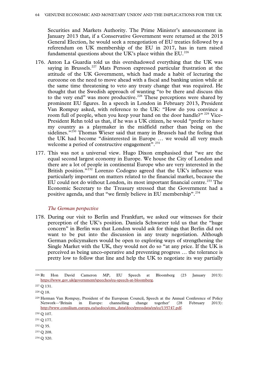Securities and Markets Authority. The Prime Minister's announcement in January 2013 that, if a Conservative Government were returned at the 2015 General Election, he would seek a renegotiation of EU treaties followed by a referendum on UK membership of the EU in 2017, has in turn raised fundamental questions about the UK's place within the  $EU^{226}$  $EU^{226}$  $EU^{226}$ 

- 176. Anton La Guardia told us this overshadowed everything that the UK was saying in Brussels.<sup>[227](#page-63-1)</sup> Mats Persson expressed particular frustration at the attitude of the UK Government, which had made a habit of lecturing the eurozone on the need to move ahead with a fiscal and banking union while at the same time threatening to veto any treaty change that was required. He thought that the Swedish approach of wanting "to be there and discuss this to the very end" was more productive.<sup>[228](#page-63-2)</sup> These perceptions were shared by prominent EU figures. In a speech in London in February 2013, President Van Rompuy asked, with reference to the UK: "How do you convince a room full of people, when you keep your hand on the door handle?" <sup>[229](#page-63-3)</sup> Vice-President Rehn told us that, if he was a UK citizen, he would "prefer to have my country as a playmaker in the midfield rather than being on the sidelines."<sup>[230](#page-63-4)</sup> Thomas Wieser said that many in Brussels had the feeling that the UK had become "disinterested in Europe … we would all very much welcome a period of constructive engagement".<sup>[231](#page-63-5)</sup>
- 177. This was not a universal view. Hugo Dixon emphasised that "we are the equal second largest economy in Europe. We house the City of London and there are a lot of people in continental Europe who are very interested in the British position."<sup>[232](#page-63-6)</sup> Lorenzo Codogno agreed that the UK's influence was particularly important on matters related to the financial market, because the EU could not do without London, its most important financial centre.<sup>[233](#page-63-7)</sup> The Economic Secretary to the Treasury stressed that the Government had a positive agenda, and that "we firmly believe in EU membership".<sup>[234](#page-63-8)</sup>

### *The German perspective*

178. During our visit to Berlin and Frankfurt, we asked our witnesses for their perception of the UK's position. Daniela Schwarzer told us that the "huge concern" in Berlin was that London would ask for things that Berlin did not want to be put into the discussion in any treaty negotiation. Although German policymakers would be open to exploring ways of strengthening the Single Market with the UK, they would not do so "at any price. If the UK is perceived as being unco-operative and preventing progress … the tolerance is pretty low to follow that line and help the UK to negotiate its way partially

- <span id="page-63-6"></span><sup>232</sup> Q 35.
- <span id="page-63-7"></span><sup>233</sup> Q 208.

<span id="page-63-0"></span> <sup>226</sup> Rt Hon David Cameron MP, EU Speech at Bloomberg (23 January 2013): [https://www.gov.uk/government/speeches/eu-speech-at-bloomberg.](https://www.gov.uk/government/speeches/eu-speech-at-bloomberg)

<span id="page-63-1"></span><sup>227</sup> Q 131.

<span id="page-63-2"></span><sup>228</sup> Q 18.

<span id="page-63-3"></span><sup>229</sup> Herman Van Rompuy, President of the European Council, Speech at the Annual Conference of Policy Network—'Britain in Europe: channelling change together' (28 February 2013): [http://www.consilium.europa.eu/uedocs/cms\\_data/docs/pressdata/en/ec/135747.pdf.](http://www.consilium.europa.eu/uedocs/cms_data/docs/pressdata/en/ec/135747.pdf)

<span id="page-63-4"></span><sup>230</sup> Q 107.

<span id="page-63-5"></span><sup>231</sup> Q 177.

<span id="page-63-8"></span><sup>234</sup> Q 320.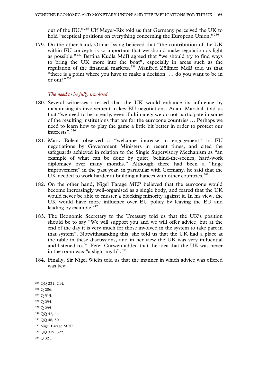out of the EU."[235](#page-64-0) Ulf Meyer-Rix told us that Germany perceived the UK to hold "sceptical positions on everything concerning the European Union."<sup>[236](#page-64-1)</sup>

179. On the other hand, Otmar Issing believed that "the contribution of the UK within EU concepts is so important that we should make regulation as light as possible."[237](#page-64-2) Bettina Kudla MdB agreed that "we should try to find ways to bring the UK more into the boat", especially in areas such as the regulation of the financial markets.[238](#page-64-3) Manfred Zöllmer MdB told us that "there is a point where you have to make a decision. … do you want to be in or out?"[239](#page-64-4)

#### *The need to be fully involved*

- 180. Several witnesses stressed that the UK would enhance its influence by maximising its involvement in key EU negotiations. Adam Marshall told us that "we need to be in early, even if ultimately we do not participate in some of the resulting institutions that are for the eurozone countries … Perhaps we need to learn how to play the game a little bit better in order to protect our interests". [240](#page-64-5)
- 181. Mark Boleat observed a "welcome increase in engagement" in EU negotiations by Government Ministers in recent times, and cited the safeguards achieved in relation to the Single Supervisory Mechanism as "an example of what can be done by quiet, behind-the-scenes, hard-work diplomacy over many months." Although there had been a "huge improvement" in the past year, in particular with Germany, he said that the UK needed to work harder at building alliances with other countries.<sup>[241](#page-64-6)</sup>
- 182. On the other hand, Nigel Farage MEP believed that the eurozone would become increasingly well-organised as a single body, and feared that the UK would never be able to muster a blocking minority against it. In his view, the UK would have more influence over EU policy by leaving the EU and leading by example. $^{242}$  $^{242}$  $^{242}$
- 183. The Economic Secretary to the Treasury told us that the UK's position should be to say "We will support you and we will offer advice, but at the end of the day it is very much for those involved in the system to take part in that system". Notwithstanding this, she told us that the UK had a place at the table in these discussions, and in her view the UK was very influential and listened to.<sup>[243](#page-64-8)</sup> Peter Curwen added that the idea that the UK was never in the room was "a slight myth".<sup>[244](#page-64-9)</sup>
- 184. Finally, Sir Nigel Wicks told us that the manner in which advice was offered was key:

<span id="page-64-9"></span><span id="page-64-8"></span><span id="page-64-7"></span><span id="page-64-6"></span><span id="page-64-5"></span><span id="page-64-4"></span><span id="page-64-3"></span><span id="page-64-2"></span><span id="page-64-1"></span><span id="page-64-0"></span> 235 QQ 231, 244. <sup>236</sup> Q 286. <sup>237</sup> Q 315. <sup>238</sup> Q 294. <sup>239</sup> Q 295. <sup>240</sup> QQ 42, 44. <sup>241</sup> QQ 46, 50. <sup>242</sup> Nigel Farage MEP. <sup>243</sup> QQ 319, 322. <sup>244</sup> Q 321.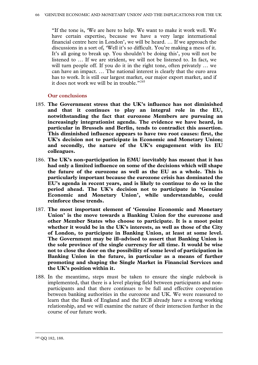"If the tone is, 'We are here to help. We want to make it work well. We have certain expertise, because we have a very large international financial centre here in London', we will be heard. … If we approach the discussions in a sort of, 'Well it's so difficult. You're making a mess of it. It's all going to break up. You shouldn't be doing this', you will not be listened to … If we are strident, we will not be listened to. In fact, we will turn people off. If you do it in the right tone, often privately … we can have an impact. … The national interest is clearly that the euro area has to work. It is still our largest market, our major export market, and if it does not work we will be in trouble."[245](#page-65-0)

# **Our conclusions**

- 185. **The Government stress that the UK's influence has not diminished and that it continues to play an integral role in the EU, notwithstanding the fact that eurozone Members are pursuing an increasingly integrationist agenda. The evidence we have heard, in particular in Brussels and Berlin, tends to contradict this assertion. This diminished influence appears to have two root causes: first, the UK's decision not to participate in Economic and Monetary Union; and secondly, the nature of the UK's engagement with its EU colleagues.**
- 186. **The UK's non-participation in EMU inevitably has meant that it has had only a limited influence on some of the decisions which will shape the future of the eurozone as well as the EU as a whole. This is particularly important because the eurozone crisis has dominated the EU's agenda in recent years, and is likely to continue to do so in the period ahead. The UK's decision not to participate in 'Genuine Economic and Monetary Union', while understandable, could reinforce these trends.**
- 187. **The most important element of 'Genuine Economic and Monetary Union' is the move towards a Banking Union for the eurozone and other Member States who choose to participate. It is a moot point whether it would be in the UK's interests, as well as those of the City of London, to participate in Banking Union, at least at some level. The Government may be ill-advised to assert that Banking Union is the sole province of the single currency for all time. It would be wise not to close the door on the possibility of some level of participation in Banking Union in the future, in particular as a means of further promoting and shaping the Single Market in Financial Services and the UK's position within it.**
- <span id="page-65-0"></span>188. In the meantime, steps must be taken to ensure the single rulebook is implemented, that there is a level playing field between participants and nonparticipants and that there continues to be full and effective cooperation between banking authorities in the eurozone and UK. We were reassured to learn that the Bank of England and the ECB already have a strong working relationship, and we will examine the nature of their interaction further in the course of our future work.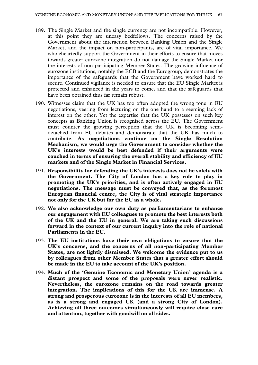- 189. The Single Market and the single currency are not incompatible. However, at this point they are uneasy bedfellows. The concerns raised by the Government about the interaction between Banking Union and the Single Market, and the impact on non-participants, are of vital importance. We wholeheartedly support the Government in their efforts to ensure that moves towards greater eurozone integration do not damage the Single Market nor the interests of non-participating Member States. The growing influence of eurozone institutions, notably the ECB and the Eurogroup, demonstrates the importance of the safeguards that the Government have worked hard to secure. Continued vigilance is needed to ensure that the EU Single Market is protected and enhanced in the years to come, and that the safeguards that have been obtained thus far remain robust.
- 190. Witnesses claim that the UK has too often adopted the wrong tone in EU negotiations, veering from lecturing on the one hand to a seeming lack of interest on the other. Yet the expertise that the UK possesses on such key concepts as Banking Union is recognised across the EU. The Government must counter the growing perception that the UK is becoming semidetached from EU debates and demonstrate that the UK has much to contribute. **As negotiations continue on the Single Resolution Mechanism, we would urge the Government to consider whether the UK's interests would be best defended if their arguments were couched in terms of ensuring the overall stability and efficiency of EU markets and of the Single Market in Financial Services.**
- 191. **Responsibility for defending the UK's interests does not lie solely with the Government. The City of London has a key role to play in promoting the UK's priorities, and is often actively engaged in EU negotiations. The message must be conveyed that, as the foremost European financial centre, the City is of vital strategic importance not only for the UK but for the EU as a whole.**
- 192. **We also acknowledge our own duty as parliamentarians to enhance our engagement with EU colleagues to promote the best interests both of the UK and the EU in general. We are taking such discussions forward in the context of our current inquiry into the role of national Parliaments in the EU.**
- 193. **The EU institutions have their own obligations to ensure that the UK's concerns, and the concerns of all non-participating Member States, are not lightly dismissed. We welcome the evidence put to us by colleagues from other Member States that a greater effort should be made in the EU to take account of the UK's position.**
- 194. **Much of the 'Genuine Economic and Monetary Union' agenda is a distant prospect and some of the proposals were never realistic. Nevertheless, the eurozone remains on the road towards greater integration. The implications of this for the UK are immense. A strong and prosperous eurozone is in the interests of all EU members, as is a strong and engaged UK (and a strong City of London). Achieving all three outcomes simultaneously will require close care and attention, together with goodwill on all sides.**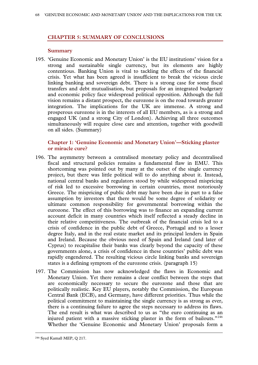# **CHAPTER 5: SUMMARY OF CONCLUSIONS**

### **Summary**

195. 'Genuine Economic and Monetary Union' is the EU institutions' vision for a strong and sustainable single currency, but its elements are highly contentious. Banking Union is vital to tackling the effects of the financial crisis. Yet what has been agreed is insufficient to break the vicious circle linking banking and sovereign debt. There is a strong case for some fiscal transfers and debt mutualisation, but proposals for an integrated budgetary and economic policy face widespread political opposition. Although the full vision remains a distant prospect, the eurozone is on the road towards greater integration. The implications for the UK are immense. A strong and prosperous eurozone is in the interests of all EU members, as is a strong and engaged UK (and a strong City of London). Achieving all three outcomes simultaneously will require close care and attention, together with goodwill on all sides. (Summary)

# **Chapter 1: 'Genuine Economic and Monetary Union'—Sticking plaster or miracle cure?**

- 196. The asymmetry between a centralised monetary policy and decentralised fiscal and structural policies remains a fundamental flaw in EMU. This shortcoming was pointed out by many at the outset of the single currency project, but there was little political will to do anything about it. Instead, national central banks and regulators stood by while widespread mispricing of risk led to excessive borrowing in certain countries, most notoriously Greece. The mispricing of public debt may have been due in part to a false assumption by investors that there would be some degree of solidarity or ultimate common responsibility for governmental borrowing within the eurozone. The effect of this borrowing was to finance an expanding current account deficit in many countries which itself reflected a steady decline in their relative competitiveness. The outbreak of the financial crisis led to a crisis of confidence in the public debt of Greece, Portugal and to a lesser degree Italy, and in the real estate market and its principal lenders in Spain and Ireland. Because the obvious need of Spain and Ireland (and later of Cyprus) to recapitalise their banks was clearly beyond the capacity of these governments alone, a crisis of confidence in these countries' public debt was rapidly engendered. The resulting vicious circle linking banks and sovereign states is a defining symptom of the eurozone crisis. (paragraph 15)
- <span id="page-67-0"></span>197. The Commission has now acknowledged the flaws in Economic and Monetary Union. Yet there remains a clear conflict between the steps that are economically necessary to secure the eurozone and those that are politically realistic. Key EU players, notably the Commission, the European Central Bank (ECB), and Germany, have different priorities. Thus while the political commitment to maintaining the single currency is as strong as ever, there is a continuing failure to agree the steps necessary to address its flaws. The end result is what was described to us as "the euro continuing as an injured patient with a massive sticking plaster in the form of bailouts."[246](#page-67-0) Whether the 'Genuine Economic and Monetary Union' proposals form a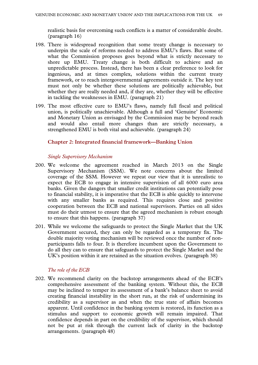realistic basis for overcoming such conflicts is a matter of considerable doubt. (paragraph 16)

- 198. There is widespread recognition that some treaty change is necessary to underpin the scale of reforms needed to address EMU's flaws. But some of what the Commission proposes goes beyond what is strictly necessary to shore up EMU. Treaty change is both difficult to achieve and an unpredictable process. Instead, there has been a clear preference to look for ingenious, and at times complex, solutions within the current treaty framework, or to reach intergovernmental agreements outside it. The key test must not only be whether these solutions are politically achievable, but whether they are really needed and, if they are, whether they will be effective in tackling the weaknesses in EMU. (paragraph 21)
- 199. The most effective cure to EMU's flaws, namely full fiscal and political union, is politically unachievable. Although a full and 'Genuine' Economic and Monetary Union as envisaged by the Commission may be beyond reach and would also entail more changes than are strictly necessary, a strengthened EMU is both vital and achievable. (paragraph 24)

### **Chapter 2: Integrated financial framework—Banking Union**

### *Single Supervisory Mechanism*

- 200. We welcome the agreement reached in March 2013 on the Single Supervisory Mechanism (SSM). We note concerns about the limited coverage of the SSM. However we repeat our view that it is unrealistic to expect the ECB to engage in intensive supervision of all 6000 euro area banks. Given the dangers that smaller credit institutions can potentially pose to financial stability, it is imperative that the ECB is able quickly to intervene with any smaller banks as required. This requires close and positive cooperation between the ECB and national supervisors. Parties on all sides must do their utmost to ensure that the agreed mechanism is robust enough to ensure that this happens. (paragraph 37)
- 201. While we welcome the safeguards to protect the Single Market that the UK Government secured, they can only be regarded as a temporary fix. The double majority voting mechanism will be reviewed once the number of nonparticipants falls to four. It is therefore incumbent upon the Government to do all they can to ensure that safeguards to protect the Single Market and the UK's position within it are retained as the situation evolves. (paragraph 38)

# *The role of the ECB*

202. We recommend clarity on the backstop arrangements ahead of the ECB's comprehensive assessment of the banking system. Without this, the ECB may be inclined to temper its assessment of a bank's balance sheet to avoid creating financial instability in the short run, at the risk of undermining its credibility as a supervisor as and when the true state of affairs becomes apparent. Until confidence in the banking system is restored, its function as a stimulus and support to economic growth will remain impaired. That confidence depends in part on the credibility of the supervisor, which should not be put at risk through the current lack of clarity in the backstop arrangements. (paragraph 48)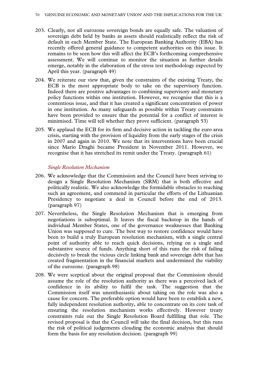- 203. Clearly, not all eurozone sovereign bonds are equally safe. The valuation of sovereign debt held by banks as assets should realistically reflect the risk of default in each Member State. The European Banking Authority (EBA) has recently offered general guidance to competent authorities on this issue. It remains to be seen how this will affect the ECB's forthcoming comprehensive assessment. We will continue to monitor the situation as further details emerge, notably in the elaboration of the stress test methodology expected by April this year. (paragraph 49)
- 204. We reiterate our view that, given the constraints of the existing Treaty, the ECB is the most appropriate body to take on the supervisory function. Indeed there are positive advantages to combining supervisory and monetary policy functions within one institution. However, we recognise that this is a contentious issue, and that it has created a significant concentration of power in one institution. As many safeguards as possible within Treaty constraints have been provided to ensure that the potential for a conflict of interest is minimised. Time will tell whether they prove sufficient. (paragraph 53)
- 205. We applaud the ECB for its firm and decisive action in tackling the euro area crisis, starting with the provision of liquidity from the early stages of the crisis in 2007 and again in 2010. We note that its interventions have been crucial since Mario Draghi became President in November 2011. However, we recognise that it has stretched its remit under the Treaty. (paragraph 61)

### *Single Resolution Mechanism*

- 206. We acknowledge that the Commission and the Council have been striving to design a Single Resolution Mechanism (SRM) that is both effective and politically realistic. We also acknowledge the formidable obstacles to reaching such an agreement, and commend in particular the efforts of the Lithuanian Presidency to negotiate a deal in Council before the end of 2013. (paragraph 97)
- 207. Nevertheless, the Single Resolution Mechanism that is emerging from negotiations is suboptimal. It leaves the fiscal backstop in the hands of individual Member States, one of the governance weaknesses that Banking Union was supposed to cure. The best way to restore confidence would have been to build a truly European resolution mechanism, with a single central point of authority able to reach quick decisions, relying on a single and substantive source of funds. Anything short of this runs the risk of failing decisively to break the vicious circle linking bank and sovereign debt that has created fragmentation in the financial markets and undermined the viability of the eurozone. (paragraph 98)
- 208. We were sceptical about the original proposal that the Commission should assume the role of the resolution authority as there was a perceived lack of confidence in its ability to fulfil the task. The suggestion that the Commission itself was unenthusiastic about taking on the role was also a cause for concern. The preferable option would have been to establish a new, fully independent resolution authority, able to concentrate on its core task of ensuring the resolution mechanism works effectively. However treaty constraints rule out the Single Resolution Board fulfilling that role. The revised proposal is that the Council will take the final decision, but this runs the risk of political judgements clouding the economic analysis that should form the basis for any resolution decision. (paragraph 99)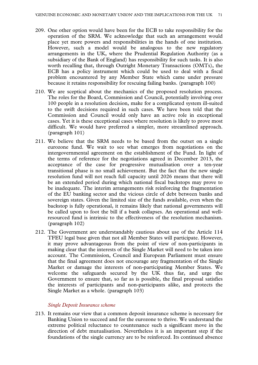- 209. One other option would have been for the ECB to take responsibility for the operation of the SRM. We acknowledge that such an arrangement would place yet more powers and responsibilities in the hands of one institution. However, such a model would be analogous to the new regulatory arrangements in the UK, where the Prudential Regulation Authority (as a subsidiary of the Bank of England) has responsibility for such tasks. It is also worth recalling that, through Outright Monetary Transactions (OMTs), the ECB has a policy instrument which could be used to deal with a fiscal problem encountered by any Member State which came under pressure because it retains responsibility for rescuing failing banks. (paragraph 100)
- 210. We are sceptical about the mechanics of the proposed resolution process. The roles for the Board, Commission and Council, potentially involving over 100 people in a resolution decision, make for a complicated system ill-suited to the swift decisions required in such cases. We have been told that the Commission and Council would only have an active role in exceptional cases. Yet it is these exceptional cases where resolution is likely to prove most difficult. We would have preferred a simpler, more streamlined approach. (paragraph 101)
- 211. We believe that the SRM needs to be based from the outset on a single eurozone fund. We wait to see what emerges from negotiations on the intergovernmental agreement on the establishment of the Fund. In light of the terms of reference for the negotiations agreed in December 2013, the acceptance of the case for progressive mutualisation over a ten-year transitional phase is no small achievement. But the fact that the new single resolution fund will not reach full capacity until 2026 means that there will be an extended period during which national fiscal backstops may prove to be inadequate. The interim arrangements risk reinforcing the fragmentation of the EU banking sector and the vicious circle of debt between banks and sovereign states. Given the limited size of the funds available, even when the backstop is fully operational, it remains likely that national governments will be called upon to foot the bill if a bank collapses. An operational and wellresourced fund is intrinsic to the effectiveness of the resolution mechanism. (paragraph 102)
- 212. The Government are understandably cautious about use of the Article 114 TFEU legal base given that not all Member States will participate. However, it may prove advantageous from the point of view of non-participants in making clear that the interests of the Single Market will need to be taken into account. The Commission, Council and European Parliament must ensure that the final agreement does not encourage any fragmentation of the Single Market or damage the interests of non-participating Member States. We welcome the safeguards secured by the UK thus far, and urge the Government to ensure that, so far as is possible, the final proposal satisfies the interests of participants and non-participants alike, and protects the Single Market as a whole. (paragraph 103)

### *Single Deposit Insurance scheme*

213. It remains our view that a common deposit insurance scheme is necessary for Banking Union to succeed and for the eurozone to thrive. We understand the extreme political reluctance to countenance such a significant move in the direction of debt mutualisation. Nevertheless it is an important step if the foundations of the single currency are to be reinforced. Its continued absence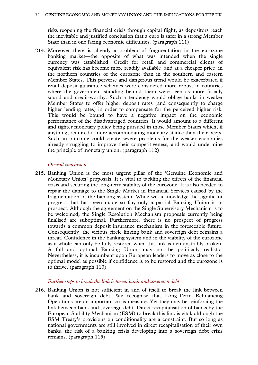risks reopening the financial crisis through capital flight, as depositors reach the inevitable and justified conclusion that a euro is safer in a strong Member State than in one facing economic difficulties. (paragraph 111)

214. Moreover there is already a problem of fragmentation in the eurozone banking market—the opposite of what was intended when the single currency was established. Credit for retail and commercial clients of equivalent risk has become more readily available, and at a cheaper price, in the northern countries of the eurozone than in the southern and eastern Member States. This perverse and dangerous trend would be exacerbated if retail deposit guarantee schemes were considered more robust in countries where the government standing behind them were seen as more fiscally sound and credit-worthy. Such a tendency would oblige banks in weaker Member States to offer higher deposit rates (and consequently to charge higher lending rates) in order to compensate for the perceived higher risk. This would be bound to have a negative impact on the economic performance of the disadvantaged countries. It would amount to a different and tighter monetary policy being pursued in those Member States which, if anything, required a more accommodating monetary stance than their peers. Such an outcome could create severe problems for the weaker economies already struggling to improve their competitiveness, and would undermine the principle of monetary union. (paragraph 112)

### *Overall conclusion*

215. Banking Union is the most urgent pillar of the 'Genuine Economic and Monetary Union' proposals. It is vital to tackling the effects of the financial crisis and securing the long-term stability of the eurozone. It is also needed to repair the damage to the Single Market in Financial Services caused by the fragmentation of the banking system. While we acknowledge the significant progress that has been made so far, only a partial Banking Union is in prospect. Although the agreement on the Single Supervisory Mechanism is to be welcomed, the Single Resolution Mechanism proposals currently being finalised are suboptimal. Furthermore, there is no prospect of progress towards a common deposit insurance mechanism in the foreseeable future. Consequently, the vicious circle linking bank and sovereign debt remains a threat. Confidence in the banking system and in the viability of the eurozone as a whole can only be fully restored when this link is demonstrably broken. A full and optimal Banking Union may not be politically realistic. Nevertheless, it is incumbent upon European leaders to move as close to the optimal model as possible if confidence is to be restored and the eurozone is to thrive. (paragraph 113)

### *Further steps to break the link between bank and sovereign debt*

216. Banking Union is not sufficient in and of itself to break the link between bank and sovereign debt. We recognise that Long-Term Refinancing Operations are an important crisis measure. Yet they may be reinforcing the link between bank and sovereign debt. Direct recapitalisation of banks by the European Stability Mechanism (ESM) to break this link is vital, although the ESM Treaty's provisions on conditionality are a constraint. But so long as national governments are still involved in direct recapitalisation of their own banks, the risk of a banking crisis developing into a sovereign debt crisis remains. (paragraph 115)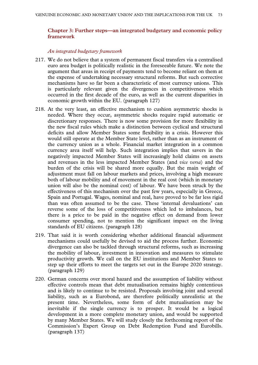# **Chapter 3: Further steps—an integrated budgetary and economic policy framework**

#### *An integrated budgetary framework*

- 217. We do not believe that a system of permanent fiscal transfers via a centralised euro area budget is politically realistic in the foreseeable future. We note the argument that areas in receipt of payments tend to become reliant on them at the expense of undertaking necessary structural reforms. But such corrective mechanisms have so far been a characteristic of most currency unions. This is particularly relevant given the divergences in competitiveness which occurred in the first decade of the euro, as well as the current disparities in economic growth within the EU. (paragraph 127)
- 218. At the very least, an effective mechanism to cushion asymmetric shocks is needed. Where they occur, asymmetric shocks require rapid automatic or discretionary responses. There is now some provision for more flexibility in the new fiscal rules which make a distinction between cyclical and structural deficits and allow Member States some flexibility in a crisis. However this would still operate at the Member State level, rather than as an instrument of the currency union as a whole. Financial market integration in a common currency area itself will help. Such integration implies that savers in the negatively impacted Member States will increasingly hold claims on assets and revenues in the less impacted Member States (and *vice versa*) and the burden of the crisis will be shared more equally. But the main weight of adjustment must fall on labour markets and prices, involving a high measure both of labour mobility and of movement in the real cost (which in monetary union will also be the nominal cost) of labour. We have been struck by the effectiveness of this mechanism over the past few years, especially in Greece, Spain and Portugal. Wages, nominal and real, have proved to be far less rigid than was often assumed to be the case. These 'internal devaluations' can reverse some of the loss of competitiveness which led to imbalances, but there is a price to be paid in the negative effect on demand from lower consumer spending, not to mention the significant impact on the living standards of EU citizens. (paragraph 128)
- 219. That said it is worth considering whether additional financial adjustment mechanisms could usefully be devised to aid the process further. Economic divergence can also be tackled through structural reforms, such as increasing the mobility of labour, investment in innovation and measures to stimulate productivity growth. We call on the EU institutions and Member States to step up their efforts to meet the targets set out in the Europe 2020 strategy. (paragraph 129)
- 220. German concerns over moral hazard and the assumption of liability without effective controls mean that debt mutualisation remains highly contentious and is likely to continue to be resisted. Proposals involving joint and several liability, such as a Eurobond, are therefore politically unrealistic at the present time. Nevertheless, some form of debt mutualisation may be inevitable if the single currency is to prosper. It would be a logical development in a more complete monetary union, and would be supported by many Member States. We will study closely the forthcoming report of the Commission's Expert Group on Debt Redemption Fund and Eurobills. (paragraph 137)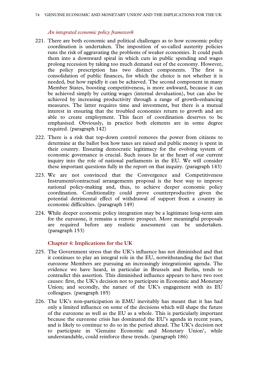#### *An integrated economic policy framework*

- 221. There are both economic and political challenges as to how economic policy coordination is undertaken. The imposition of so-called austerity policies runs the risk of aggravating the problems of weaker economies. It could push them into a downward spiral in which cuts in public spending and wages prolong recession by taking too much demand out of the economy. However, the policy prescription has two distinct components. The first is consolidation of public finances, for which the choice is not whether it is needed, but how rapidly it can be achieved. The second component in many Member States, boosting competitiveness, is more awkward, because it can be achieved simply by cutting wages (internal devaluation), but can also be achieved by increasing productivity through a range of growth-enhancing measures. The latter requires time and investment, but there is a mutual interest in ensuring that the troubled economies return to growth and are able to create employment. This facet of coordination deserves to be emphasised. Obviously, in practice both elements are in some degree required. (paragraph 142)
- 222. There is a risk that top-down control removes the power from citizens to determine at the ballot box how taxes are raised and public money is spent in their country. Ensuring democratic legitimacy for the evolving system of economic governance is crucial. Such issues lie at the heart of our current inquiry into the role of national parliaments in the EU. We will consider these important questions fully in the report on that inquiry. (paragraph 143)
- 223. We are not convinced that the Convergence and Competitiveness Instrument/contractual arrangements proposal is the best way to improve national policy-making and, thus, to achieve deeper economic policy coordination. Conditionality could prove counterproductive given the potential detrimental effect of withdrawal of support from a country in economic difficulties. (paragraph 149)
- 224. While deeper economic policy integration may be a legitimate long-term aim for the eurozone, it remains a remote prospect. More meaningful proposals are required before any realistic assessment can be undertaken. (paragraph 153)

#### **Chapter 4: Implications for the UK**

- 225. The Government stress that the UK's influence has not diminished and that it continues to play an integral role in the EU, notwithstanding the fact that eurozone Members are pursuing an increasingly integrationist agenda. The evidence we have heard, in particular in Brussels and Berlin, tends to contradict this assertion. This diminished influence appears to have two root causes: first, the UK's decision not to participate in Economic and Monetary Union; and secondly, the nature of the UK's engagement with its EU colleagues. (paragraph 185)
- 226. The UK's non-participation in EMU inevitably has meant that it has had only a limited influence on some of the decisions which will shape the future of the eurozone as well as the EU as a whole. This is particularly important because the eurozone crisis has dominated the EU's agenda in recent years, and is likely to continue to do so in the period ahead. The UK's decision not to participate in 'Genuine Economic and Monetary Union', while understandable, could reinforce these trends. (paragraph 186)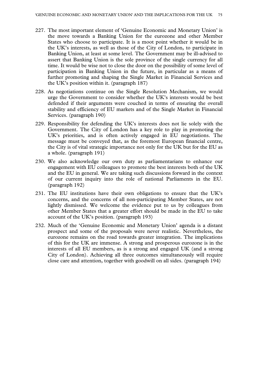- 227. The most important element of 'Genuine Economic and Monetary Union' is the move towards a Banking Union for the eurozone and other Member States who choose to participate. It is a moot point whether it would be in the UK's interests, as well as those of the City of London, to participate in Banking Union, at least at some level. The Government may be ill-advised to assert that Banking Union is the sole province of the single currency for all time. It would be wise not to close the door on the possibility of some level of participation in Banking Union in the future, in particular as a means of further promoting and shaping the Single Market in Financial Services and the UK's position within it. (paragraph 187)
- 228. As negotiations continue on the Single Resolution Mechanism, we would urge the Government to consider whether the UK's interests would be best defended if their arguments were couched in terms of ensuring the overall stability and efficiency of EU markets and of the Single Market in Financial Services. (paragraph 190)
- 229. Responsibility for defending the UK's interests does not lie solely with the Government. The City of London has a key role to play in promoting the UK's priorities, and is often actively engaged in EU negotiations. The message must be conveyed that, as the foremost European financial centre, the City is of vital strategic importance not only for the UK but for the EU as a whole. (paragraph 191)
- 230. We also acknowledge our own duty as parliamentarians to enhance our engagement with EU colleagues to promote the best interests both of the UK and the EU in general. We are taking such discussions forward in the context of our current inquiry into the role of national Parliaments in the EU. (paragraph 192)
- 231. The EU institutions have their own obligations to ensure that the UK's concerns, and the concerns of all non-participating Member States, are not lightly dismissed. We welcome the evidence put to us by colleagues from other Member States that a greater effort should be made in the EU to take account of the UK's position. (paragraph 193)
- 232. Much of the 'Genuine Economic and Monetary Union' agenda is a distant prospect and some of the proposals were never realistic. Nevertheless, the eurozone remains on the road towards greater integration. The implications of this for the UK are immense. A strong and prosperous eurozone is in the interests of all EU members, as is a strong and engaged UK (and a strong City of London). Achieving all three outcomes simultaneously will require close care and attention, together with goodwill on all sides. (paragraph 194)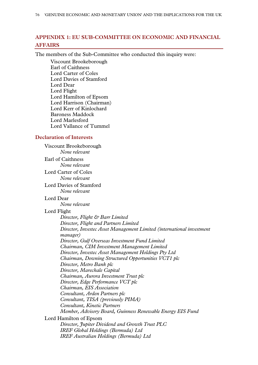# **APPENDIX 1: EU SUB-COMMITTEE ON ECONOMIC AND FINANCIAL AFFAIRS**

The members of the Sub-Committee who conducted this inquiry were:

Viscount Brookeborough Earl of Caithness Lord Carter of Coles Lord Davies of Stamford Lord Dear Lord Flight Lord Hamilton of Epsom Lord Harrison (Chairman) Lord Kerr of Kinlochard Baroness Maddock Lord Marlesford Lord Vallance of Tummel

### **Declaration of Interests**

Viscount Brookeborough *None relevant* Earl of Caithness *None relevant* Lord Carter of Coles *None relevant* Lord Davies of Stamford *None relevant* Lord Dear *None relevant* Lord Flight *Director, Flight & Barr Limited Director, Flight and Partners Limited Director, Investec Asset Management Limited (international investment manager) Director, Gulf Overseas Investment Fund Limited Chairman, CIM Investment Management Limited Director, Investec Asset Management Holdings Pty Ltd Chairman, Downing Structured Opportunities VCT1 plc Director, Metro Bank plc Director, Marechale Capital Chairman, Aurora Investment Trust plc Director, Edge Performance VCT plc Chairman, EIS Association Consultant, Arden Partners plc Consultant, TISA (previously PIMA) Consultant, Kinetic Partners Member, Advisory Board, Guinness Renewable Energy EIS Fund* Lord Hamilton of Epsom *Director, Jupiter Dividend and Growth Trust PLC IREF Global Holdings (Bermuda) Ltd IREF Australian Holdings (Bermuda) Ltd*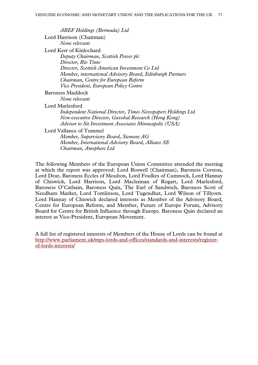*AREF Holdings (Bermuda) Ltd* Lord Harrison (Chairman) *None relevant* Lord Kerr of Kinlochard *Deputy Chairman, Scottish Power plc Director, Rio Tinto Director, Scottish American Investment Co Ltd Member, international Advisory Board, Edinburgh Partners Chairman, Centre for European Reform Vice President, European Policy Centre* Baroness Maddock *None relevant* Lord Marlesford *Independent National Director, Times Newspapers Holdings Ltd Non-executive Director, Gavekal Research (Hong Kong) Advisor to Sit Investment Associates Minneapolis (USA)* Lord Vallance of Tummel *Member, Supervisory Board, Siemens AG Member, International Advisory Board, Allianz SE*

*Chairman, Amsphere Ltd*

The following Members of the European Union Committee attended the meeting at which the report was approved: Lord Boswell (Chairman), Baroness Corston, Lord Dear, Baroness Eccles of Moulton, Lord Foulkes of Cumnock, Lord Hannay of Chiswick, Lord Harrison, Lord Maclennan of Rogart, Lord Marlesford, Baroness O'Cathain, Baroness Quin, The Earl of Sandwich, Baroness Scott of Needham Market, Lord Tomlinson, Lord Tugendhat, Lord Wilson of Tillyorn. Lord Hannay of Chiswick declared interests as Member of the Advisory Board, Centre for European Reform, and Member, Future of Europe Forum, Advisory Board for Centre for British Influence through Europe. Baroness Quin declared an interest as Vice-President, European Movement.

A full list of registered interests of Members of the House of Lords can be found at [http://www.parliament.uk/mps-lords-and-offices/standards-and-interests/register](http://www.parliament.uk/mps-lords-and-offices/standards-and-interests/register-of-lords-interests/)[of-lords-interests/](http://www.parliament.uk/mps-lords-and-offices/standards-and-interests/register-of-lords-interests/)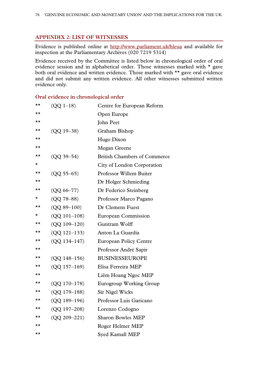# **APPENDIX 2: LIST OF WITNESSES**

Evidence is published online at<http://www.parliament.uk/hleua> and available for inspection at the Parliamentary Archives (020 7219 5314)

Evidence received by the Committee is listed below in chronological order of oral evidence session and in alphabetical order. Those witnesses marked with \* gave both oral evidence and written evidence. Those marked with \*\* gave oral evidence and did not submit any written evidence. All other witnesses submitted written evidence only.

| ★★       | $(QQ 1-18)$      | Centre for European Reform          |
|----------|------------------|-------------------------------------|
| ★★       |                  | Open Europe                         |
| ★★       |                  | John Peet                           |
| ★★       | $(QQ 19 - 38)$   | Graham Bishop                       |
| ★★       |                  | Hugo Dixon                          |
| ★★       |                  | Megan Greene                        |
| ★★       | $(QQ 39 - 54)$   | <b>British Chambers of Commerce</b> |
| *        |                  | City of London Corporation          |
| ★★       | $(QQ 55 - 65)$   | <b>Professor Willem Buiter</b>      |
| ★★       |                  | Dr Holger Schmieding                |
| ★★       | $(QQ 66 - 77)$   | Dr Federico Steinberg               |
| $^\star$ | $(QQ 78 - 88)$   | Professor Marco Pagano              |
| ★★       | $(QQ 89 - 100)$  | Dr Clemens Fuest                    |
| $\star$  | $(QQ 101-108)$   | European Commission                 |
| ★★       | $(QQ 109 - 120)$ | Guntram Wolff                       |
| ★★       | $(QQ 121-133)$   | Anton La Guardia                    |
| ★★       | $(QQ 134 - 147)$ | <b>European Policy Centre</b>       |
| ★★       |                  | Professor André Sapir               |
| ★★       | $(QQ 148 - 156)$ | <b>BUSINESSEUROPE</b>               |
| ★★       | $(QQ 157 - 169)$ | Elisa Ferreira MEP                  |
| ★★       |                  | Liêm Hoang Ngoc MEP                 |
| ★★       | (QQ 170-178)     | <b>Eurogroup Working Group</b>      |
| ★★       | $(OO 179-188)$   | <b>Sir Nigel Wicks</b>              |
| ★★       | $(QQ 189 - 196)$ | Professor Luis Garicano             |
| ★★       | $(QQ 197 - 208)$ | Lorenzo Codogno                     |
| ★★       | $(QQ 209 - 221)$ | <b>Sharon Bowles MEP</b>            |
| ★★       |                  | Roger Helmer MEP                    |
| ★★       |                  | Syed Kamall MEP                     |

# **Oral evidence in chronological order**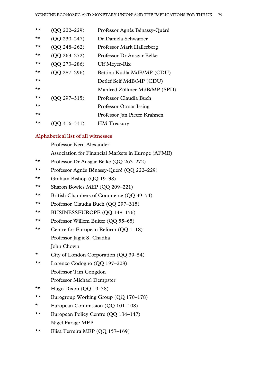| $\star\star$ | (QQ 222-229)     | Professor Agnès Bénassy-Quéré |
|--------------|------------------|-------------------------------|
| $\star\star$ | $(OO 230 - 247)$ | Dr Daniela Schwarzer          |
| $\star\star$ | $(OO 248 - 262)$ | Professor Mark Hallerberg     |
| ★★           | $(QQ 263 - 272)$ | Professor Dr Ansgar Belke     |
| $\star\star$ | $(QQ 273 - 286)$ | <b>Ulf Meyer-Rix</b>          |
| $\star\star$ | $(QQ 287 - 296)$ | Bettina Kudla MdB/MP (CDU)    |
| $\star\star$ |                  | Detlef Seif MdB/MP (CDU)      |
| $\star\star$ |                  | Manfred Zöllmer MdB/MP (SPD)  |
| $\star\star$ | $(QQ 297 - 315)$ | Professor Claudia Buch        |
| $\star\star$ |                  | <b>Professor Otmar Issing</b> |
| $\star\star$ |                  | Professor Jan Pieter Krahnen  |
| $\star\star$ | $($ QQ 316–331)  | <b>HM</b> Treasury            |

# **Alphabetical list of all witnesses**

Professor Kern Alexander

Association for Financial Markets in Europe (AFME)

- \*\* Professor Dr Ansgar Belke (QQ 263–272)
- \*\* Professor Agnès Bénassy-Quéré (QQ 222–229)
- \*\* Graham Bishop (QQ 19–38)
- \*\* Sharon Bowles MEP (QQ 209–221)
- \*\* British Chambers of Commerce (QQ 39–54)
- \*\* Professor Claudia Buch (QQ 297–315)
- \*\* BUSINESSEUROPE (QQ 148–156)
- \*\* Professor Willem Buiter (QQ 55–65)
- \*\* Centre for European Reform (QQ 1–18) Professor Jagjit S. Chadha John Chown
- \* City of London Corporation (QQ 39–54)
- \*\* Lorenzo Codogno (QQ 197–208) Professor Tim Congdon Professor Michael Dempster
- \*\* Hugo Dixon  $(QQ 19-38)$
- \*\* Eurogroup Working Group (QQ 170–178)
- \* European Commission (QQ 101–108)
- \*\* European Policy Centre (QQ 134–147) Nigel Farage MEP
- \*\* Elisa Ferreira MEP (QQ 157–169)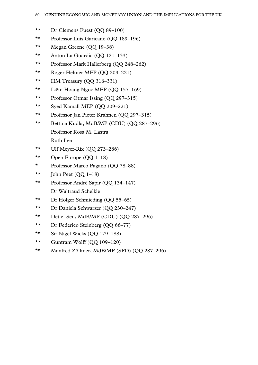- \*\* Dr Clemens Fuest (QQ 89–100)
- \*\* Professor Luis Garicano (QQ 189–196)
- \*\* Megan Greene (QQ 19–38)
- \*\* Anton La Guardia (QQ 121–133)
- \*\* Professor Mark Hallerberg (QQ 248–262)
- \*\* Roger Helmer MEP (QQ 209–221)
- \*\* HM Treasury (QQ 316–331)
- \*\* Liêm Hoang Ngoc MEP (QQ 157–169)
- \*\* Professor Otmar Issing (QQ 297–315)
- \*\* Syed Kamall MEP (QQ 209–221)
- \*\* Professor Jan Pieter Krahnen (QQ 297–315)
- \*\* Bettina Kudla, MdB/MP (CDU) (QQ 287–296) Professor Rosa M. Lastra Ruth Lea
- \*\* Ulf Meyer-Rix  $(QQ 273-286)$
- \*\* Open Europe  $(QQ 1-18)$
- \* Professor Marco Pagano (QQ 78–88)
- \*\* John Peet  $(QQ 1-18)$
- \*\* Professor André Sapir (QQ 134–147) Dr Waltraud Schelkle
- \*\* Dr Holger Schmieding (QQ 55–65)
- \*\* Dr Daniela Schwarzer (QQ 230–247)
- \*\* Detlef Seif, MdB/MP (CDU) (QQ 287–296)
- \*\* Dr Federico Steinberg (QQ 66–77)
- \*\* Sir Nigel Wicks (QQ 179–188)
- \*\* Guntram Wolff  $(QQ 109-120)$
- \*\* Manfred Zöllmer, MdB/MP (SPD) (QQ 287–296)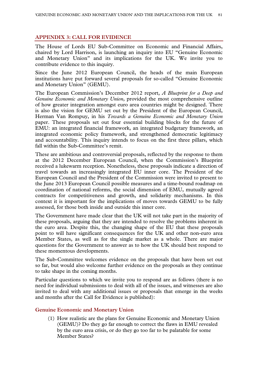# **APPENDIX 3: CALL FOR EVIDENCE**

The House of Lords EU Sub-Committee on Economic and Financial Affairs, chaired by Lord Harrison, is launching an inquiry into EU "Genuine Economic and Monetary Union" and its implications for the UK. We invite you to contribute evidence to this inquiry.

Since the June 2012 European Council, the heads of the main European institutions have put forward several proposals for so-called "Genuine Economic and Monetary Union" (GEMU).

The European Commission's December 2012 report, *A Blueprint for a Deep and Genuine Economic and Monetary Union*, provided the most comprehensive outline of how greater integration amongst euro area countries might be designed. There is also the vision for GEMU set out by the President of the European Council, Herman Van Rompuy, in his *Towards a Genuine Economic and Monetary Union*  paper. These proposals set out four essential building blocks for the future of EMU: an integrated financial framework, an integrated budgetary framework, an integrated economic policy framework, and strengthened democratic legitimacy and accountability. This inquiry intends to focus on the first three pillars, which fall within the Sub-Committee's remit.

These are ambitious and controversial proposals, reflected by the response to them at the 2012 December European Council, when the Commission's Blueprint received a lukewarm reception. Nonetheless, these proposals indicate a direction of travel towards an increasingly integrated EU inner core. The President of the European Council and the President of the Commission were invited to present to the June 2013 European Council possible measures and a time-bound roadmap on coordination of national reforms, the social dimension of EMU, mutually agreed contracts for competitiveness and growth, and solidarity mechanisms. In this context it is important for the implications of moves towards GEMU to be fully assessed, for those both inside and outside this inner core.

The Government have made clear that the UK will not take part in the majority of these proposals, arguing that they are intended to resolve the problems inherent in the euro area. Despite this, the changing shape of the EU that these proposals point to will have significant consequences for the UK and other non-euro area Member States, as well as for the single market as a whole. There are major questions for the Government to answer as to how the UK should best respond to these momentous developments.

The Sub-Committee welcomes evidence on the proposals that have been set out so far, but would also welcome further evidence on the proposals as they continue to take shape in the coming months.

Particular questions to which we invite you to respond are as follows (there is no need for individual submissions to deal with all of the issues, and witnesses are also invited to deal with any additional issues or proposals that emerge in the weeks and months after the Call for Evidence is published):

# **Genuine Economic and Monetary Union**

(1) How realistic are the plans for Genuine Economic and Monetary Union (GEMU)? Do they go far enough to correct the flaws in EMU revealed by the euro area crisis, or do they go too far to be palatable for some Member States?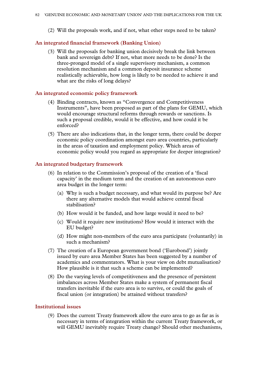(2) Will the proposals work, and if not, what other steps need to be taken?

# **An integrated financial framework (Banking Union)**

(3) Will the proposals for banking union decisively break the link between bank and sovereign debt? If not, what more needs to be done? Is the three-pronged model of a single supervisory mechanism, a common resolution mechanism and a common deposit insurance scheme realistically achievable, how long is likely to be needed to achieve it and what are the risks of long delays?

### **An integrated economic policy framework**

- (4) Binding contracts, known as "Convergence and Competitiveness Instruments", have been proposed as part of the plans for GEMU, which would encourage structural reforms through rewards or sanctions. Is such a proposal credible, would it be effective, and how could it be enforced?
- (5) There are also indications that, in the longer term, there could be deeper economic policy coordination amongst euro area countries, particularly in the areas of taxation and employment policy. Which areas of economic policy would you regard as appropriate for deeper integration?

### **An integrated budgetary framework**

- (6) In relation to the Commission's proposal of the creation of a 'fiscal capacity' in the medium term and the creation of an autonomous euro area budget in the longer term:
	- (a) Why is such a budget necessary, and what would its purpose be? Are there any alternative models that would achieve central fiscal stabilisation?
	- (b) How would it be funded, and how large would it need to be?
	- (c) Would it require new institutions? How would it interact with the EU budget?
	- (d) How might non-members of the euro area participate (voluntarily) in such a mechanism?
- (7) The creation of a European government bond ('Eurobond') jointly issued by euro area Member States has been suggested by a number of academics and commentators. What is your view on debt mutualisation? How plausible is it that such a scheme can be implemented?
- (8) Do the varying levels of competitiveness and the presence of persistent imbalances across Member States make a system of permanent fiscal transfers inevitable if the euro area is to survive, or could the goals of fiscal union (or integration) be attained without transfers?

### **Institutional issues**

(9) Does the current Treaty framework allow the euro area to go as far as is necessary in terms of integration within the current Treaty framework, or will GEMU inevitably require Treaty change? Should other mechanisms,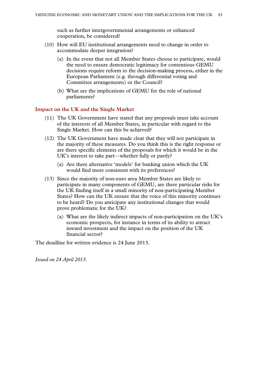such as further intergovernmental arrangements or enhanced cooperation, be considered?

- (10) How will EU institutional arrangements need to change in order to accommodate deeper integration?
	- (a) In the event that not all Member States choose to participate, would the need to ensure democratic legitimacy for contentious GEMU decisions require reform to the decision-making process, either in the European Parliament (e.g. through differential voting and Committee arrangements) or the Council?
	- (b) What are the implications of GEMU for the role of national parliaments?

### **Impact on the UK and the Single Market**

- (11) The UK Government have stated that any proposals must take account of the interests of all Member States, in particular with regard to the Single Market. How can this be achieved?
- (12) The UK Government have made clear that they will not participate in the majority of these measures. Do you think this is the right response or are there specific elements of the proposals for which it would be in the UK's interest to take part—whether fully or partly?
	- (a) Are there alternative 'models' for banking union which the UK would find more consistent with its preferences?
- (13) Since the majority of non-euro area Member States are likely to participate in many components of GEMU, are there particular risks for the UK finding itself in a small minority of non-participating Member States? How can the UK ensure that the voice of this minority continues to be heard? Do you anticipate any institutional changes that would prove problematic for the UK?
	- (a) What are the likely indirect impacts of non-participation on the UK's economic prospects, for instance in terms of its ability to attract inward investment and the impact on the position of the UK financial sector?

The deadline for written evidence is 24 June 2013.

*Issued on 24 April 2013.*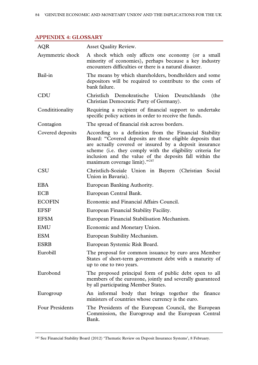# **APPENDIX 4: GLOSSARY**

| <b>AQR</b>             | <b>Asset Quality Review.</b>                                                                                                                                                                                                                                                                                                           |
|------------------------|----------------------------------------------------------------------------------------------------------------------------------------------------------------------------------------------------------------------------------------------------------------------------------------------------------------------------------------|
| Asymmetric shock       | A shock which only affects one economy (or a small<br>minority of economies), perhaps because a key industry<br>encounters difficulties or there is a natural disaster.                                                                                                                                                                |
| Bail-in                | The means by which shareholders, bondholders and some<br>depositors will be required to contribute to the costs of<br>bank failure.                                                                                                                                                                                                    |
| CDU                    | Christlich Demokratische Union Deutschlands<br>(the<br>Christian Democratic Party of Germany).                                                                                                                                                                                                                                         |
| Condititionality       | Requiring a recipient of financial support to undertake<br>specific policy actions in order to receive the funds.                                                                                                                                                                                                                      |
| Contagion              | The spread of financial risk across borders.                                                                                                                                                                                                                                                                                           |
| Covered deposits       | According to a definition from the Financial Stability<br>Board: "Covered deposits are those eligible deposits that<br>are actually covered or insured by a deposit insurance<br>scheme (i.e. they comply with the eligibility criteria for<br>inclusion and the value of the deposits fall within the<br>maximum coverage limit)."247 |
| <b>CSU</b>             | Christlich-Soziale Union in Bayern (Christian Social<br>Union in Bavaria).                                                                                                                                                                                                                                                             |
| <b>EBA</b>             | European Banking Authority.                                                                                                                                                                                                                                                                                                            |
| ECB                    | European Central Bank.                                                                                                                                                                                                                                                                                                                 |
| <b>ECOFIN</b>          | Economic and Financial Affairs Council.                                                                                                                                                                                                                                                                                                |
| <b>EFSF</b>            | European Financial Stability Facility.                                                                                                                                                                                                                                                                                                 |
| <b>EFSM</b>            | European Financial Stabilisation Mechanism.                                                                                                                                                                                                                                                                                            |
| <b>EMU</b>             | Economic and Monetary Union.                                                                                                                                                                                                                                                                                                           |
| <b>ESM</b>             | European Stability Mechanism.                                                                                                                                                                                                                                                                                                          |
| <b>ESRB</b>            | European Systemic Risk Board.                                                                                                                                                                                                                                                                                                          |
| Eurobill               | The proposal for common issuance by euro area Member<br>States of short-term government debt with a maturity of<br>up to one to two years.                                                                                                                                                                                             |
| Eurobond               | The proposed principal form of public debt open to all<br>members of the eurozone, jointly and severally guaranteed<br>by all participating Member States.                                                                                                                                                                             |
| Eurogroup              | An informal body that brings together the finance<br>ministers of countries whose currency is the euro.                                                                                                                                                                                                                                |
| <b>Four Presidents</b> | The Presidents of the European Council, the European<br>Commission, the Eurogroup and the European Central<br>Bank.                                                                                                                                                                                                                    |

<span id="page-83-0"></span>247 See Financial Stability Board (2012) 'Thematic Review on Deposit Insurance Systems', 8 February.